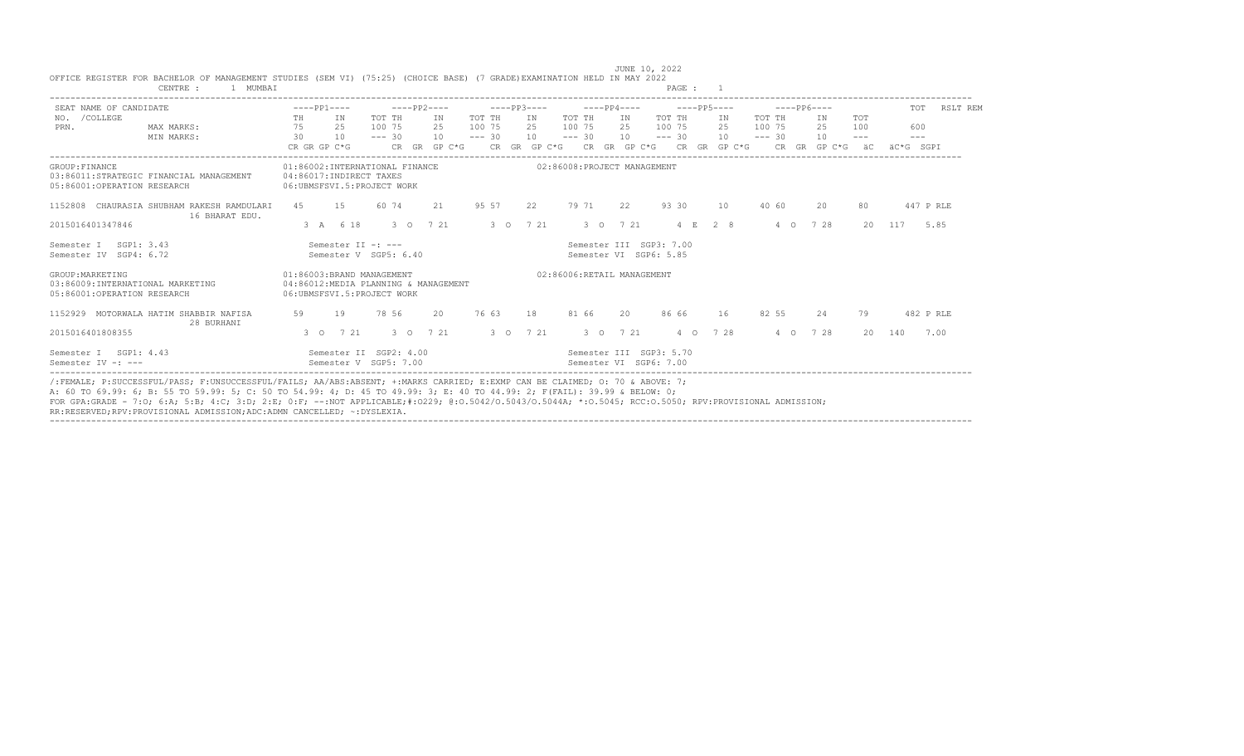| SEAT NAME OF CANDIDATE                                                              |                                                              |              | $---PP1---$   |                                                                                         |          | $---PP2---$   |                                      |          | $---PP3---$   |              |                             |               | $---PP4---$                                       |          |          | $---PP5---$  |                |         | $---PP6---$ |            | TOT       | RSLT REM  |
|-------------------------------------------------------------------------------------|--------------------------------------------------------------|--------------|---------------|-----------------------------------------------------------------------------------------|----------|---------------|--------------------------------------|----------|---------------|--------------|-----------------------------|---------------|---------------------------------------------------|----------|----------|--------------|----------------|---------|-------------|------------|-----------|-----------|
| /COLLEGE<br>NO.                                                                     |                                                              | TH           |               | IN                                                                                      | TOT TH   |               | IN                                   | TOT TH   |               | IN           | TOT TH                      |               | IN                                                | TOT TH   |          | IN           | TOT TH         |         | IN          | <b>TOT</b> |           |           |
| PRN.                                                                                | MAX MARKS:                                                   | 75           |               | 25                                                                                      | 100 75   |               | 2.5                                  | 100 75   |               | 2.5          | 100 75                      |               | 2.5                                               | 100 75   |          | 2.5          | 100 75         |         | 25          | 100        | 600       |           |
|                                                                                     | MIN MARKS:                                                   | 30           |               | 10                                                                                      | $--- 30$ |               | 10                                   | $--- 30$ |               | 10           | $--- 30$                    |               | 10                                                | $--- 30$ |          | 10           | $--- 30$       |         | 10          | $---$      | $- - -$   |           |
|                                                                                     |                                                              | CR GR GP C*G |               |                                                                                         |          | CR GR         | $GP C*G$                             |          |               | CR GR GP C*G |                             |               | CR GR GP C*G                                      |          |          | CR GR GP C*G | CR.            | GR      | $GP C*G$    | ăС         | äC*G SGPT |           |
| GROUP: FINANCE<br>05:86001:OPERATION RESEARCH                                       | 03:86011:STRATEGIC FINANCIAL MANAGEMENT                      |              |               | 01:86002:INTERNATIONAL FINANCE<br>04:86017:INDIRECT TAXES<br>06:UBMSFSVI.5:PROJECT WORK |          |               |                                      |          |               |              | 02:86008:PROJECT MANAGEMENT |               |                                                   |          |          |              |                |         |             |            |           |           |
|                                                                                     | 1152808 CHAURASIA SHUBHAM RAKESH RAMDULARI<br>16 BHARAT EDU. | 4.5          |               | 15                                                                                      | 60 74    |               | 2.1                                  | 95 57    |               | 22           | 79 71                       |               | 22                                                |          | 93 30    | 10           | 40 60          |         | 20          | 80         |           | 447 P RLE |
| 2015016401347846                                                                    |                                                              |              | 3 A 6 18      |                                                                                         |          | $3^{\circ}$ O | 7 21                                 |          | $3^{\circ}$ 0 | 7 21         |                             |               | 3 0 7 21                                          |          | 4 F.     | 2 8          | $\overline{4}$ | $\circ$ | 7 28        | 20         | 117       | 5.85      |
| SGP1: 3.43<br>Semester I<br>Semester IV<br>SGP4: 6.72                               |                                                              |              |               | Semester II -: ---<br>Semester V SGP5: 6.40                                             |          |               |                                      |          |               |              |                             |               | Semester III SGP3: 7.00<br>Semester VI SGP6: 5.85 |          |          |              |                |         |             |            |           |           |
| GROUP: MARKETING<br>03:86009:INTERNATIONAL MARKETING<br>05:86001:OPERATION RESEARCH |                                                              |              |               | 01:86003:BRAND MANAGEMENT<br>06:UBMSFSVI.5:PROJECT WORK                                 |          |               | 04:86012:MEDIA PLANNING & MANAGEMENT |          |               |              | 02:86006:RETAIL MANAGEMENT  |               |                                                   |          |          |              |                |         |             |            |           |           |
|                                                                                     | 1152929 MOTORWALA HATIM SHABBIR NAFISA<br>28 BURHANI         | 59           |               | 19                                                                                      | 78 56    |               | 20                                   | 76 63    |               | 18           | 81 66                       |               | 20                                                |          | 86 66    | 16           | 82 55          |         | 2.4         | 79         |           | 482 P RLE |
| 2015016401808355                                                                    |                                                              |              | $3^{\circ}$ 0 | 7 21                                                                                    |          | $3^{\circ}$ 0 | 7 21                                 |          | $3^{\circ}$ 0 | 7 21         |                             | $3^{\circ}$ 0 | 7 21                                              |          | $4\circ$ | 7 28         | $4\quad\Omega$ |         | 7 28        | 20         | 140       | 7.00      |
| SGP1: 4.43<br>Semester I<br>Semester $TV -: ---$                                    |                                                              |              |               | Semester II SGP2: 4.00<br>Semester V SGP5: 7.00                                         |          |               |                                      |          |               |              |                             |               | Semester III SGP3: 5.70<br>Semester VT SGP6: 7.00 |          |          |              |                |         |             |            |           |           |

----------------------------------------------------------------------------------------------------------------------------------------------------------------------------------

 JUNE 10, 2022 OFFICE REGISTER FOR BACHELOR OF MANAGEMENT STUDIES (SEM VI) (75:25) (CHOICE BASE) (7 GRADE)EXAMINATION HELD IN MAY 2022 CENTRE : 1 MUMBAI

/:FEMALE; P:SUCCESSFUL/PASS; F:UNSUCCESSFUL/FAILS; AA/ABS:ABSENT; +:MARKS CARRIED; E:EXMP CAN BE CLAIMED; O: 70 & ABOVE: 7;

A: 60 TO 69.99: 6; B: 55 TO 59.99: 5; C: 50 TO 54.99: 4; D: 45 TO 49.99: 3; E: 40 TO 44.99: 2; F(FAIL): 39.99 & BELOW: 0;

FOR GPA:GRADE - 7:O; 6:A; 5:B; 4:C; 3:D; 2:E; 0:F; --:NOT APPLICABLE;#:O229; @:O.5042/O.5043/O.5044A; \*:O.5045; RCC:O.5050; RPV:PROVISIONAL ADMISSION;

RR:RESERVED;RPV:PROVISIONAL ADMISSION;ADC:ADMN CANCELLED; ~:DYSLEXIA.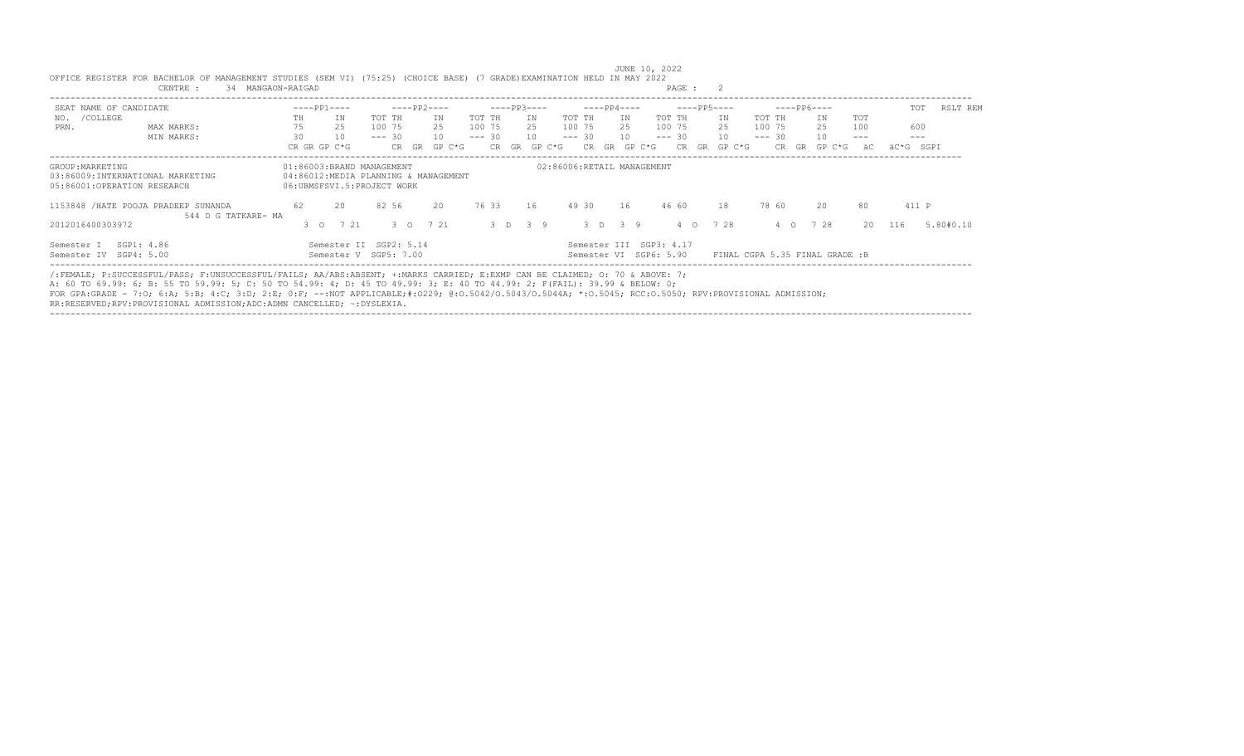| SEAT NAME OF CANDIDATE                                                              |                     |     | $---PP1---$                                                                                     |          |               | $---PP2---$ |        |          |       | $---PP3---$        |        |                                                   |    | $---PP4---$ |                | $---PP5---$ |                                |          |            | $---PP6---$ |       |    | TOT       | RSLT REM  |
|-------------------------------------------------------------------------------------|---------------------|-----|-------------------------------------------------------------------------------------------------|----------|---------------|-------------|--------|----------|-------|--------------------|--------|---------------------------------------------------|----|-------------|----------------|-------------|--------------------------------|----------|------------|-------------|-------|----|-----------|-----------|
| /COLLEGE<br>NO.                                                                     |                     | TH  | TN                                                                                              | TOT TH   |               |             | TN     | TOT TH   |       | TN                 | TOT TH |                                                   |    | IN          | TOT TH         |             | ΙN                             | TOT TH   |            | IN          | TOT   |    |           |           |
| PRN.                                                                                | MAX MARKS:          | 75  | 25                                                                                              | 100 75   |               |             | 2.5    | 100 75   |       | 2.5                |        | 100 75                                            |    | 2.5         | 100 75         |             | 25                             | 100 75   |            | 25          | 100   |    | 600       |           |
|                                                                                     | MIN MARKS:          | 30  | 10                                                                                              | $--- 30$ |               |             | 10     | $--- 30$ |       | 10                 |        | $--- 30$                                          |    | 10          | $--- 30$       |             | 10                             | $--- 30$ |            | 10          | $---$ |    | $- - -$   |           |
|                                                                                     |                     |     | CR GR GP C*G                                                                                    |          | CR GR         |             | GP C*G |          | CR GR | GP C*G             |        | CR.                                               | GR | GP C*G      | CR             | GR          | GP C*G                         |          | CR.<br>GR. | GP C*G      |       | äC | äC*G SGPI |           |
| GROUP: MARKETING<br>03:86009:INTERNATIONAL MARKETING<br>05:86001:OPERATION RESEARCH |                     |     | 01:86003:BRAND MANAGEMENT<br>04:86012:MEDIA PLANNING & MANAGEMENT<br>06:UBMSFSVI.5:PROJECT WORK |          |               |             |        |          |       |                    |        | 02:86006:RETAIL MANAGEMENT                        |    |             |                |             |                                |          |            |             |       |    |           |           |
| 1153848 / HATE POOJA PRADEEP SUNANDA                                                | 544 D G TATKARE- MA | 62  | 20                                                                                              |          | 82 56         |             | 20     |          | 76 33 | 16                 |        | 49 30                                             |    | 16          | 46 60          |             | 18                             |          | 78 60      | 20          |       | 80 | 411 P     |           |
| 2012016400303972                                                                    |                     | 300 | 7 21                                                                                            |          | $3^{\circ}$ 0 | 7 21        |        |          |       | $3 \t 7 \t 3 \t 9$ |        |                                                   |    | 3 D 3 9     | $4\quad\Omega$ |             | 7 28                           |          | $4\circ$   | 728         |       |    | 20 116    | 5.80#0.10 |
| SGP1: 4.86<br>Semester I<br>Semester IV SGP4: 5.00                                  |                     |     | Semester II SGP2: 5.14<br>Semester V SGP5: 7.00                                                 |          |               |             |        |          |       |                    |        | Semester III SGP3: 4.17<br>Semester VI SGP6: 5.90 |    |             |                |             | FINAL CGPA 5.35 FINAL GRADE :B |          |            |             |       |    |           |           |

 JUNE 10, 2022 OFFICE REGISTER FOR BACHELOR OF MANAGEMENT STUDIES (SEM VI) (75:25) (CHOICE BASE) (7 GRADE)EXAMINATION HELD IN MAY 2022 CENTRE : 34 MANGAON-RAIGAD

/:FEMALE; P:SUCCESSFUL/PASS; F:UNSUCCESSFUL/FAILS; AA/ABS:ABSENT; +:MARKS CARRIED; E:EXMP CAN BE CLAIMED; O: 70 & ABOVE: 7;

A: 60 TO 69.99: 6; B: 55 TO 59.99: 5; C: 50 TO 54.99: 4; D: 45 TO 49.99: 3; E: 40 TO 44.99: 2; F(FAIL): 39.99 & BELOW: 0;

FOR GPA:GRADE - 7:O; 6:A; 5:B; 4:C; 3:D; 2:E; 0:F; --:NOT APPLICABLE;#:O229; @:O.5042/O.5043/O.5044A; \*:O.5045; RCC:O.5050; RPV:PROVISIONAL ADMISSION;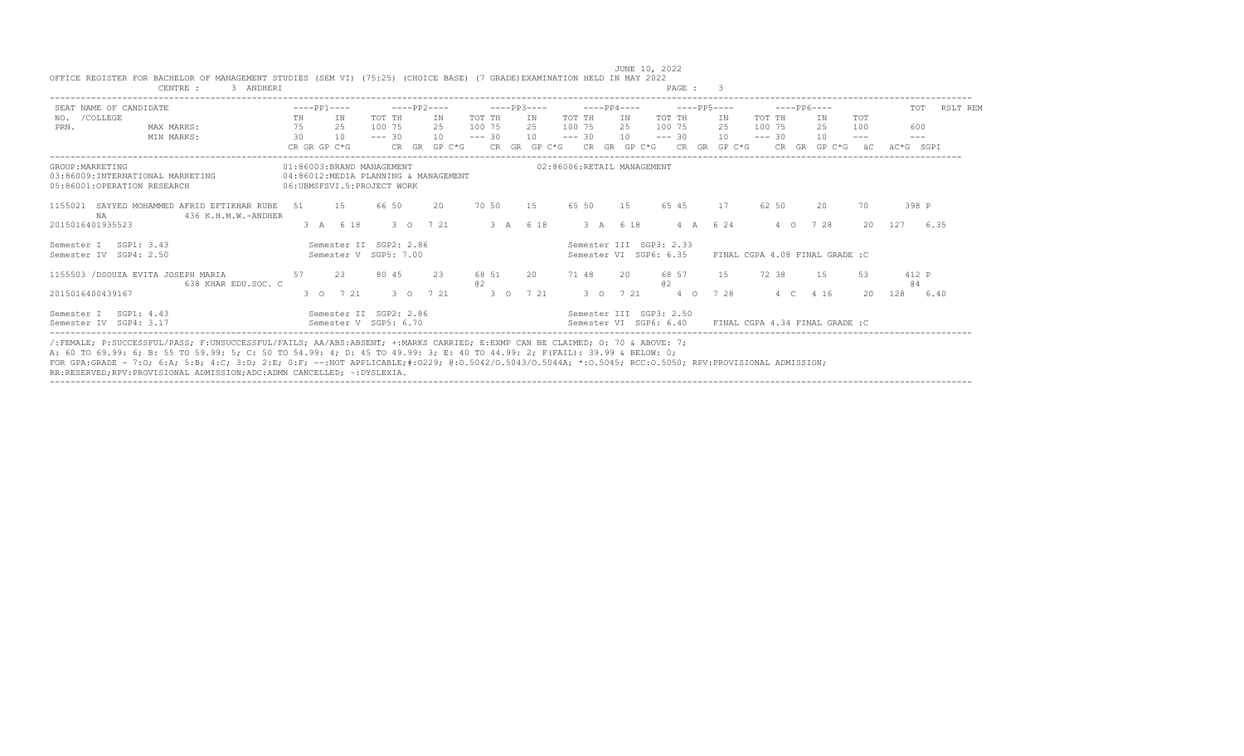| SEAT NAME OF CANDIDATE                                                               | $---PP1---$                                               | $---PP2---$                                     | $---PP3---$           | $---PP4---$                                       | $---PP5---$                  | $---PP6---$                     | TOT<br>RSLT REM   |
|--------------------------------------------------------------------------------------|-----------------------------------------------------------|-------------------------------------------------|-----------------------|---------------------------------------------------|------------------------------|---------------------------------|-------------------|
| NO. / COLLEGE                                                                        | TH<br>IN                                                  | TOT TH<br>ΙN                                    | TOT TH<br>IN          | TOT TH<br>IN                                      | TOT TH<br>IN                 | TOT TH<br><b>TOT</b><br>ΙN      |                   |
| PRN.<br>MAX MARKS:                                                                   | 75<br>25                                                  | 100 75<br>2.5                                   | 100 75<br>2.5         | 100 75<br>2.5                                     | 100 75<br>2.5                | 100 75<br>2.5<br>100            | 600               |
| MIN MARKS:                                                                           | 30<br>10                                                  | 10<br>$--- 30$                                  | 10<br>$--- 30$        | 10<br>$--- 30$                                    | 10<br>$--- 30$               | $--- 30$<br>10                  | $---$<br>$- - -$  |
|                                                                                      | CR GR GP C*G                                              | CR.<br>$GP C*G$<br><b>GR</b>                    | CR GR GP C*G          | GR GP C*G<br>CR                                   | $GP C*G$<br>CR.<br><b>GR</b> | CR.<br>GR<br>GP C*G             | äC*G SGPI<br>ăС   |
| GROUP: MARKETING<br>03:86009: INTERNATIONAL MARKETING<br>05:86001:OPERATION RESEARCH | 01:86003:BRAND MANAGEMENT<br>06: UBMSFSVI.5: PROJECT WORK | 04:86012:MEDIA PLANNING & MANAGEMENT            |                       | 02:86006:RETAIL MANAGEMENT                        |                              |                                 |                   |
| SAYYED MOHAMMED AFRID EFTIKHAR RUBE<br>1155021<br>NA                                 | 1.5<br>51<br>436 K.H.M.W.-ANDHER                          | 66 50<br>20                                     | 70 50<br>1.5          | 65 50<br>1.5                                      | 65 45<br>17                  | 62 50<br>20                     | 398 P<br>70       |
| 2015016401935523                                                                     | 6 18<br>3 A                                               | 7 21<br>$3^{\circ}$ 0                           | 3A<br>6 18            | 3 A 6 18                                          | 6 2 4<br>4 A                 | 7 28<br>$4\circ$                | 20<br>127<br>6.35 |
| SGP1: 3.43<br>Semester I<br>Semester IV SGP4: 2.50                                   |                                                           | Semester II SGP2: 2.86<br>Semester V SGP5: 7.00 |                       | Semester III SGP3: 2.33<br>Semester VI SGP6: 6.35 |                              | FINAL CGPA 4.08 FINAL GRADE : C |                   |
| 1155503 /DSOUZA EVITA JOSEPH MARIA                                                   | 23<br>57<br>638 KHAR EDU.SOC. C                           | 80 45<br>23                                     | 68 51<br>20<br>02     | 71 48<br>$20^{\circ}$                             | 68 57<br>1.5<br>0.2          | 72 38<br>1.5                    | 412 P<br>53<br>64 |
| 2015016400439167                                                                     | 7 21<br>$3 \Omega$                                        | 7 21<br>$3^{\circ}$ 0                           | $3^{\circ}$ 0<br>7 21 | $3 \Omega$<br>7 21                                | 7 28<br>$4\circ$             | 4 1 6<br>4 C                    | 128<br>20<br>6.40 |
| SGP1: 4.43<br>Semester I<br>Semester IV SGP4: 3.17                                   |                                                           | Semester II SGP2: 2.86<br>Semester V SGP5: 6.70 |                       | Semester III SGP3: 2.50<br>Semester VI SGP6: 6.40 |                              | FINAL CGPA 4.34 FINAL GRADE : C |                   |

JUNE 10, 2022<br>OFFICE REGISTER FOR BACHELOR OF MANAGEMENT STUDIES (SEM VI) (75:25) (CHOICE BASE) (7 GRADE)EXAMINATION HELD IN MAY 2022<br>CENTRE : 3 ANDHERI

A: 60 TO 69.99: 6; B: 55 TO 59.99: 5; C: 50 TO 54.99: 4; D: 45 TO 49.99: 3; E: 40 TO 44.99: 2; F(FAIL): 39.99 & BELOW: 0;<br>FOR GPA:GRADE - 7:O; 6:A; 5:B; 4:C; 3:D; 2:E; 0:F; --:NOT APPLICABLE;#:O229; @:O.5042/O.5043/O.5043A

RR:RESERVED;RPV:PROVISIONAL ADMISSION;ADC:ADMN CANCELLED; ~:DYSLEXIA.

----------------------------------------------------------------------------------------------------------------------------------------------------------------------------------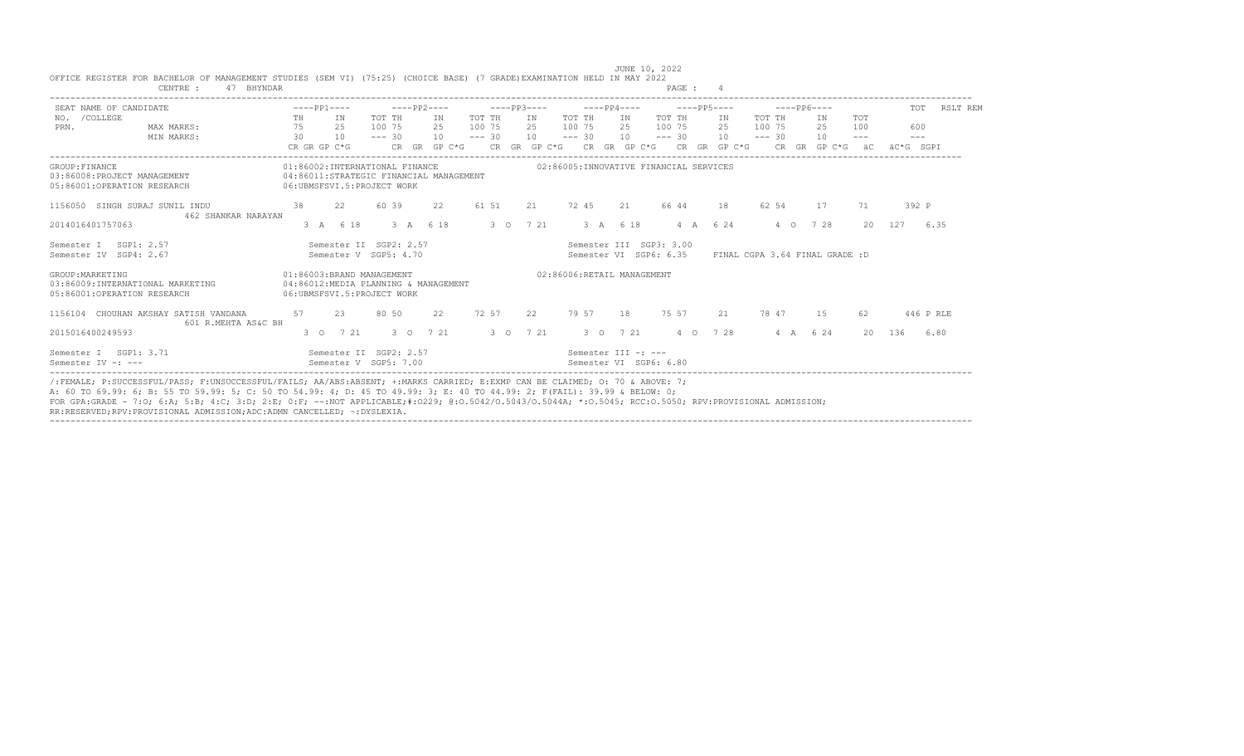| SEAT NAME OF CANDIDATE                                                              |    | $---PP1---$                                                                                             |          | $---PP2---$  |          | $---PP3---$ |                            |          | $---PP4---$                                       |       |                                | $---PP6---$          |                       | TOT                 | RSLT REM  |
|-------------------------------------------------------------------------------------|----|---------------------------------------------------------------------------------------------------------|----------|--------------|----------|-------------|----------------------------|----------|---------------------------------------------------|-------|--------------------------------|----------------------|-----------------------|---------------------|-----------|
| NO. / COLLEGE                                                                       | TH | IN                                                                                                      | TOT TH   | IN           | TOT TH   | IN          | TOT TH                     | IN       | TOT TH                                            | IN    | TOT TH                         | TN                   | <b>TOT</b>            |                     |           |
| MAX MARKS:<br>PRN.                                                                  | 75 | 25                                                                                                      | 100 75   | 2.5          | 100 75   | $25 -$      | 100 75                     | 2.5      | 100 75                                            | 2.5   | 100 75                         | 2.5                  | 100                   | 600                 |           |
| MIN MARKS:                                                                          | 30 | 10                                                                                                      | $--- 30$ | 10           | $--- 30$ | 10          | $--- 30$                   | 10       | $--- 30$                                          | 10    | $--- 30$                       | 10                   | $\qquad \qquad - - -$ | $\qquad \qquad - -$ |           |
|                                                                                     |    | CR GR GP C*G                                                                                            |          | CR GR GP C*G |          |             |                            |          | CR GR GP C*G CR GR GP C*G CR GR GP C*G            |       |                                | $CR$ $GR$ $GP$ $C*G$ | $\ddot{a}$ C          | äC*G SGPT           |           |
| GROUP: FINANCE<br>03:86008:PROJECT MANAGEMENT<br>05:86001:OPERATION RESEARCH        |    | 01:86002:INTERNATIONAL FINANCE<br>04:86011:STRATEGIC FINANCIAL MANAGEMENT<br>06:UBMSFSVI.5:PROJECT WORK |          |              |          |             |                            |          | 02:86005:INNOVATIVE FINANCIAL SERVICES            |       |                                |                      |                       |                     |           |
| 1156050 SINGH SURAJ SUNIL INDU                                                      | 38 | 2.2                                                                                                     | 60 39    | 22           | 61 51    | 2.1         | 72 45                      | 2.1      | 66 44                                             | 18    | 62 54                          | 17                   | 71                    | 392 P               |           |
| 462 SHANKAR NARAYAN<br>2014016401757063                                             |    | 3 A 6 18                                                                                                |          | 3 A 6 18     |          | 3 0 7 21    |                            | 3 A 6 18 | $4 \quad A$                                       | 6 2 4 | 4 0                            | 7 28                 | $20 -$                | 127                 | 6.35      |
| SGP1: 2.57<br>Semester T<br>Semester IV SGP4: 2.67                                  |    | Semester II SGP2: 2.57<br>Semester V SGP5: 4.70                                                         |          |              |          |             |                            |          | Semester III SGP3: 3.00<br>Semester VI SGP6: 6.35 |       | FINAL CGPA 3.64 FINAL GRADE :D |                      |                       |                     |           |
| GROUP: MARKETING<br>03:86009:INTERNATIONAL MARKETING<br>05:86001:OPERATION RESEARCH |    | 01:86003:BRAND MANAGEMENT<br>04:86012:MEDIA PLANNING & MANAGEMENT<br>06:UBMSFSVI.5:PROJECT WORK         |          |              |          |             | 02:86006:RETAIL MANAGEMENT |          |                                                   |       |                                |                      |                       |                     |           |
| 1156104 CHOUHAN AKSHAY SATISH VANDANA<br>601 R.MEHTA AS&C BH                        | 57 | 23                                                                                                      | 80 50    | 22           | 72 57    | 22          | 79 57                      | 18       | 75 57                                             | 21    | 78 47                          | 1.5                  | 62                    |                     | 446 P RLE |
| 2015016400249593                                                                    |    | $3 \t 0 \t 7 \t 21$                                                                                     |          | 3 0 7 21     |          | 3 0 7 21    |                            | 3 0 7 21 | 4 0 7 28                                          |       |                                | 4 A 6 24             |                       | 20 136              | 6.80      |
| Semester I SGP1: 3.71<br>Semester IV -: ---                                         |    | Semester II SGP2: 2.57<br>Semester V SGP5: 7.00                                                         |          |              |          |             | Semester III -: ---        |          | Semester VI SGP6: 6.80                            |       |                                |                      |                       |                     |           |

FOR GPA:GRADE - 7:O; 6:A; 5:B; 4:C; 3:D; 2:E; 0:F; --:NOT APPLICABLE;#:O229; @:O.5042/O.5043/O.5044A; \*:O.5045; RCC:O.5050; RPV:PROVISIONAL ADMISSION;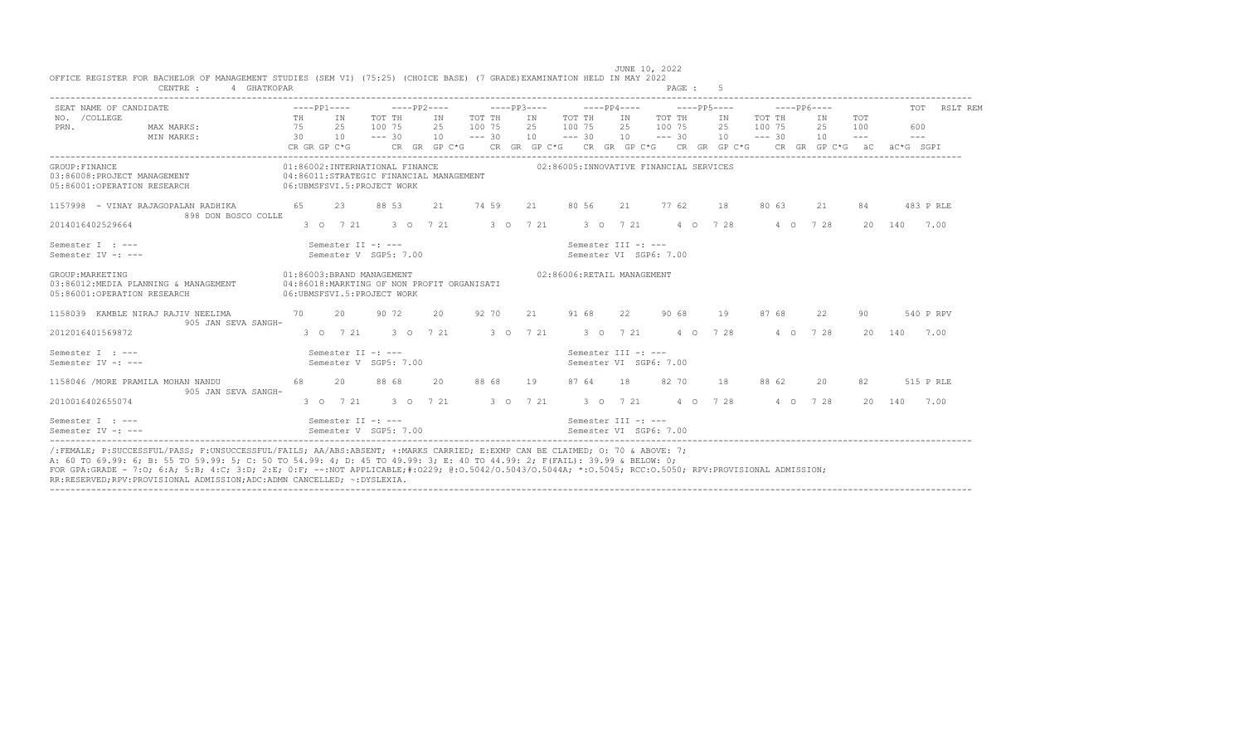|    |                                                                   |                                                                         |                                                                                           |                                                                                                                                                                         |                                                                                                                                  |                            |                                           |             |                                                                                                                                                                                                                                                                                                                                                    |                                                                                                           |                                                          | TOT RSLT REM                                                                                                                                                                                                                                                                                                                                                                                                                                                                                                   |
|----|-------------------------------------------------------------------|-------------------------------------------------------------------------|-------------------------------------------------------------------------------------------|-------------------------------------------------------------------------------------------------------------------------------------------------------------------------|----------------------------------------------------------------------------------------------------------------------------------|----------------------------|-------------------------------------------|-------------|----------------------------------------------------------------------------------------------------------------------------------------------------------------------------------------------------------------------------------------------------------------------------------------------------------------------------------------------------|-----------------------------------------------------------------------------------------------------------|----------------------------------------------------------|----------------------------------------------------------------------------------------------------------------------------------------------------------------------------------------------------------------------------------------------------------------------------------------------------------------------------------------------------------------------------------------------------------------------------------------------------------------------------------------------------------------|
|    |                                                                   |                                                                         |                                                                                           |                                                                                                                                                                         |                                                                                                                                  |                            |                                           |             | 25                                                                                                                                                                                                                                                                                                                                                 |                                                                                                           | 25<br>100                                                | 600<br>$  -$<br>äC*G SGPT                                                                                                                                                                                                                                                                                                                                                                                                                                                                                      |
|    |                                                                   |                                                                         |                                                                                           |                                                                                                                                                                         |                                                                                                                                  |                            |                                           |             |                                                                                                                                                                                                                                                                                                                                                    |                                                                                                           |                                                          |                                                                                                                                                                                                                                                                                                                                                                                                                                                                                                                |
|    |                                                                   | 88 53                                                                   | 2.1                                                                                       | 74 59                                                                                                                                                                   |                                                                                                                                  |                            |                                           |             |                                                                                                                                                                                                                                                                                                                                                    |                                                                                                           | 2.1<br>84                                                | 483 P RLE                                                                                                                                                                                                                                                                                                                                                                                                                                                                                                      |
|    |                                                                   |                                                                         |                                                                                           |                                                                                                                                                                         |                                                                                                                                  |                            |                                           |             |                                                                                                                                                                                                                                                                                                                                                    |                                                                                                           |                                                          | 7.00<br>140                                                                                                                                                                                                                                                                                                                                                                                                                                                                                                    |
|    |                                                                   |                                                                         |                                                                                           |                                                                                                                                                                         |                                                                                                                                  |                            |                                           |             |                                                                                                                                                                                                                                                                                                                                                    |                                                                                                           |                                                          |                                                                                                                                                                                                                                                                                                                                                                                                                                                                                                                |
|    |                                                                   |                                                                         |                                                                                           |                                                                                                                                                                         |                                                                                                                                  |                            |                                           |             |                                                                                                                                                                                                                                                                                                                                                    |                                                                                                           |                                                          |                                                                                                                                                                                                                                                                                                                                                                                                                                                                                                                |
| 70 |                                                                   | 90 72                                                                   | $20 -$                                                                                    | 92 70                                                                                                                                                                   |                                                                                                                                  |                            | 2.2                                       | 90 68       | 19                                                                                                                                                                                                                                                                                                                                                 | 87 68                                                                                                     | 2.2<br>90                                                | 540 P RPV                                                                                                                                                                                                                                                                                                                                                                                                                                                                                                      |
|    |                                                                   |                                                                         |                                                                                           |                                                                                                                                                                         |                                                                                                                                  |                            |                                           |             |                                                                                                                                                                                                                                                                                                                                                    |                                                                                                           |                                                          | 140<br>7.00                                                                                                                                                                                                                                                                                                                                                                                                                                                                                                    |
|    |                                                                   |                                                                         |                                                                                           |                                                                                                                                                                         |                                                                                                                                  |                            |                                           |             |                                                                                                                                                                                                                                                                                                                                                    |                                                                                                           |                                                          |                                                                                                                                                                                                                                                                                                                                                                                                                                                                                                                |
| 68 |                                                                   | 88 68                                                                   | 20                                                                                        | 88 68                                                                                                                                                                   | 19                                                                                                                               | 87 64                      |                                           | 82 70       | 18                                                                                                                                                                                                                                                                                                                                                 | 88 62                                                                                                     | 20<br>82                                                 | 515 P RLE                                                                                                                                                                                                                                                                                                                                                                                                                                                                                                      |
|    |                                                                   |                                                                         |                                                                                           |                                                                                                                                                                         |                                                                                                                                  |                            |                                           |             |                                                                                                                                                                                                                                                                                                                                                    |                                                                                                           |                                                          | 20 140<br>7.00                                                                                                                                                                                                                                                                                                                                                                                                                                                                                                 |
|    |                                                                   |                                                                         |                                                                                           |                                                                                                                                                                         |                                                                                                                                  |                            |                                           |             |                                                                                                                                                                                                                                                                                                                                                    |                                                                                                           |                                                          |                                                                                                                                                                                                                                                                                                                                                                                                                                                                                                                |
|    | 898 DON BOSCO COLLE<br>905 JAN SEVA SANGH-<br>905 JAN SEVA SANGH- | TH IN<br>75 25<br>1157998 - VINAY RAJAGOPALAN RADHIKA 65 23<br>20<br>20 | TOT TH<br>100 75<br>01:86003:BRAND MANAGEMENT<br>Semester II -: ---<br>Semester II -: --- | 01:86002:INTERNATIONAL FINANCE<br>06: UBMSFSVI.5: PROJECT WORK<br>Semester V SGP5: 7.00<br>06:UBMSFSVI.5:PROJECT WORK<br>Semester V SGP5: 7.00<br>Semester V SGP5: 7.00 | IN<br>2.5 100 7.5<br>04:86011:STRATEGIC FINANCIAL MANAGEMENT<br>Semester II -: ---<br>04:86018:MARKTING OF NON PROFIT ORGANISATI | 3 0 7 21 3 0 7 21 3 0 7 21 | TOT THE IN<br>TOT TH<br>2.5 100 7.5<br>21 | 91 68<br>18 | IN THE TELEVISION OF THE TELEVISION OF THE TELEVISION OF THE TELEVISION OF THE TELEVISION OF THE TELEVISION OF<br>Semester III -: ---<br>Semester VI SGP6: 7.00<br>02:86006:RETAIL MANAGEMENT<br>3 0 7 21 3 0 7 21 3 0 7 21 3 0 7 21<br>Semester III -: ---<br>Semester VI SGP6: 7.00<br>3 0 7 21<br>Semester III -: ---<br>Semester VI SGP6: 7.00 | TOT TH<br>IN<br>2.5 100 7.5<br>02:86005:INNOVATIVE FINANCIAL SERVICES<br>21 80 56 21 77 62 18<br>4 0 7 28 | 3 0 7 21 3 0 7 21 3 0 7 21 3 0 7 21 4 0 7 28<br>4 0 7 28 | $---PP6---$<br>TOT TH<br>TOT<br>IN<br>100 75<br>$\frac{13}{30}$ $\frac{23}{10}$ $\frac{13}{10}$ $\frac{13}{10}$ $\frac{13}{10}$ $\frac{1}{10}$ $\frac{1}{10}$ $\frac{1}{10}$ $\frac{1}{10}$ $\frac{1}{10}$ $\frac{1}{10}$ $\frac{1}{10}$ $\frac{1}{10}$ $\frac{1}{10}$ $\frac{1}{10}$<br>CR GR GP C*G $\phantom{1}$ CR GR GP C*G $\phantom{1}$ CR GP C*G $\phantom{1}$ CR GP C*G $\phantom{1}$ CR GP C*G $\phantom{1}$ CR GP C*G $\phantom{1}$ äC<br>80 63<br>4 0 7 28<br>20<br>4 0 7 28<br>$20 -$<br>4 0 7 28 |

/:FEMALE; P:SUCCESSFUL/PASS; F:UNSUCCESSFUL/FAILS; AA/ABS:ABSENT; +:MARKS CARRIED; E:EXMP CAN BE CLAIMED; O: 70 & ABOVE: 7;<br>A: 60 TO 69.99: 6; B: 55 TO 59.99: 5; C: 50 TO 54.99: 4; D: 45 TO 49.99: 3; E: 40 TO 44.99: 2; F(F FOR GPA:GRADE - 7:O; 6:A; 5:B; 4:C; 3:D; 2:E; 0:F; --:NOT APPLICABLE;#:O229; @:O.5042/O.5043/O.5044A; \*:O.5045; RCC:O.5050; RPV:PROVISIONAL ADMISSION; RR:RESERVED;RPV:PROVISIONAL ADMISSION;ADC:ADMN CANCELLED; ~:DYSLEXIA. ----------------------------------------------------------------------------------------------------------------------------------------------------------------------------------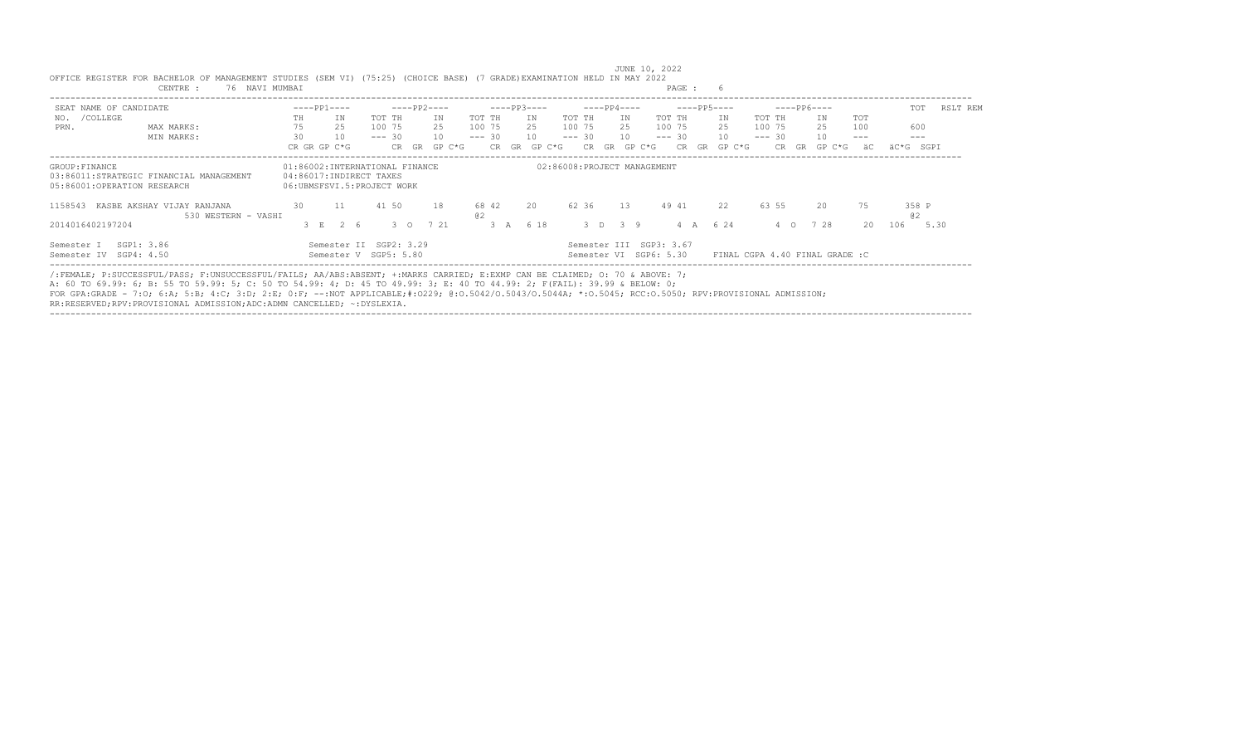| SEAT NAME OF CANDIDATE                             |                                                   |     | $---PP1---$                                                                             |             | $---PP2---$ |        |             |       | $---PP3---$ |          | $---PP4---$           |    |                                                   |          |    | $---PP5---$ |        | $---PP6---$ |     |                                 |         | TOT         | RSLT REM |  |
|----------------------------------------------------|---------------------------------------------------|-----|-----------------------------------------------------------------------------------------|-------------|-------------|--------|-------------|-------|-------------|----------|-----------------------|----|---------------------------------------------------|----------|----|-------------|--------|-------------|-----|---------------------------------|---------|-------------|----------|--|
| /COLLEGE<br>NO.                                    |                                                   | TH  | TN                                                                                      | TOT TH      | TN          |        | TOT TH      |       | T N         | TOT TH   |                       |    | IN                                                | TOT TH   |    | ΙN          |        | TOT TH      |     | IN                              | TOT     |             |          |  |
| PRN.                                               | MAX MARKS:                                        | 75  | 25                                                                                      | 100 75      | 2.5         |        | 100 75      |       | 25          | 100 75   |                       |    | 25                                                | 100 75   |    | 25          |        | 100 75      |     | 25                              | 100     | 600         |          |  |
|                                                    | MIN MARKS:                                        | 30  | 10                                                                                      | $--- 30$    | 10          |        | $--- 30$    |       | 10          | $--- 30$ |                       |    | 10                                                | $--- 30$ |    | 10          |        | $--- 30$    |     | 10                              | $- - -$ | $---$       |          |  |
|                                                    |                                                   |     | CR GR GP C*G                                                                            | CR GR       |             | GP C*G |             | CR GR | GP C*G      |          | CR.                   | GR | GP C*G                                            |          | CR | GR          | GP C*G | CR.         | GR. | GP C*G                          | äC      | äC*G SGPI   |          |  |
| GROUP: FINANCE<br>05:86001:OPERATION RESEARCH      | 03:86011:STRATEGIC FINANCIAL MANAGEMENT           |     | 01:86002:INTERNATIONAL FINANCE<br>04:86017:INDIRECT TAXES<br>06:UBMSFSVI.5:PROJECT WORK |             |             |        |             |       |             |          |                       |    | 02:86008:PROJECT MANAGEMENT                       |          |    |             |        |             |     |                                 |         |             |          |  |
| 1158543                                            | KASBE AKSHAY VIJAY RANJANA<br>530 WESTERN - VASHI | 30  | 11                                                                                      | 41 50       | 18          |        | 68 42<br>02 |       | 20          |          | 62 36                 |    | 13                                                | 49 41    |    | 22          |        | 63 55       |     | 20                              | 75      | 358 P<br>a2 |          |  |
| 2014016402197204                                   |                                                   | 3 E | 26                                                                                      | $3^\circ$ 0 | 7 21        |        |             | 3A    | 6 18        |          | $3 \times 3 \times 9$ |    |                                                   |          |    | 6 24        |        | $\circ$ 0   |     | 728                             | $20 -$  | 106         | 5.30     |  |
| SGP1: 3.86<br>Semester I<br>Semester IV SGP4: 4.50 |                                                   |     | Semester II SGP2: 3.29<br>Semester V SGP5: 5.80                                         |             |             |        |             |       |             |          |                       |    | Semester III SGP3: 3.67<br>Semester VI SGP6: 5.30 |          |    |             |        |             |     | FINAL CGPA 4.40 FINAL GRADE : C |         |             |          |  |

----------------------------------------------------------------------------------------------------------------------------------------------------------------------------------

JUNE 10, 2022

| OFFICE REGISTER FOR BACHELOR OF MANAGEMENT STUDIES (SEM VI) (75:25) (CHOICE BASE) (7 GRADE)EXAMINATION HELD IN MAY 2022 |     |             |  |  |  |      |  |
|-------------------------------------------------------------------------------------------------------------------------|-----|-------------|--|--|--|------|--|
| CENTRE                                                                                                                  | 76. | NAVI MUMBAI |  |  |  | PAGE |  |

/:FEMALE; P:SUCCESSFUL/PASS; F:UNSUCCESSFUL/FAILS; AA/ABS:ABSENT; +:MARKS CARRIED; E:EXMP CAN BE CLAIMED; O: 70 & ABOVE: 7;

A: 60 TO 69.99: 6; B: 55 TO 59.99: 5; C: 50 TO 54.99: 4; D: 45 TO 49.99: 3; E: 40 TO 44.99: 2; F(FAIL): 39.99 & BELOW: 0;

FOR GPA:GRADE - 7:O; 6:A; 5:B; 4:C; 3:D; 2:E; 0:F; --:NOT APPLICABLE;#:O229; @:O.5042/O.5043/O.5044A; \*:O.5045; RCC:O.5050; RPV:PROVISIONAL ADMISSION;

RR:RESERVED;RPV:PROVISIONAL ADMISSION;ADC:ADMN CANCELLED; ~:DYSLEXIA.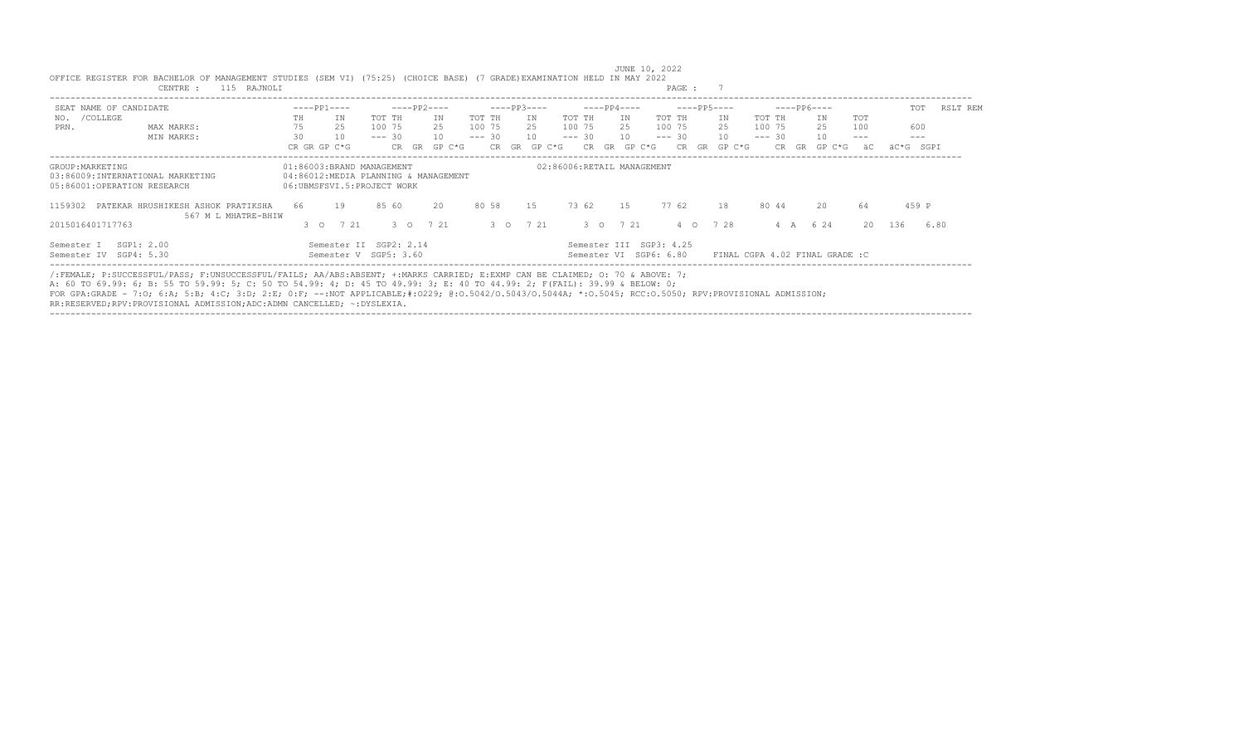| SEAT NAME OF CANDIDATE                                                              |                                                           |          | $---PP1---$                                                                                     |                    |               | $---PP2---$ |          |                    |       | $---PP3---$ |          |                    |       |    | $---PP4---$ |                                                   |                    | $---PP5---$ |          |                    |       | $---PP6---$ |                                |              |           | TOT            | RSLT REM |
|-------------------------------------------------------------------------------------|-----------------------------------------------------------|----------|-------------------------------------------------------------------------------------------------|--------------------|---------------|-------------|----------|--------------------|-------|-------------|----------|--------------------|-------|----|-------------|---------------------------------------------------|--------------------|-------------|----------|--------------------|-------|-------------|--------------------------------|--------------|-----------|----------------|----------|
| /COLLEGE<br>NO.                                                                     |                                                           | TH       | IN                                                                                              | TOT TH             |               | TN          |          | TOT TH             |       |             | IN       | TOT TH             |       |    | IN          |                                                   | TOT TH             |             | IN       | TOT TH             |       |             | IN                             | TOT          |           |                |          |
| PRN.                                                                                | MAX MARKS:<br>MIN MARKS:                                  | 75<br>30 | 25<br>10                                                                                        | 100 75<br>$--- 30$ |               | 25<br>10    |          | 100 75<br>$--- 30$ |       |             | 25<br>10 | 100 75<br>$--- 30$ |       |    | 25<br>10    |                                                   | 100 75<br>$--- 30$ |             | 25<br>10 | 100 75<br>$--- 30$ |       |             | 25<br>10                       | 100<br>$---$ |           | 600<br>$- - -$ |          |
|                                                                                     |                                                           |          | CR GR GP C*G                                                                                    |                    | CR GR         |             | $GP C*G$ |                    | CR GR |             | GP C*G   |                    | CR.   | GR | GP C*G      |                                                   | CR.                | GR          | GP C*G   |                    | CR.   | GR          | GP C*G                         | äC           | äC*G SGPI |                |          |
| GROUP: MARKETING<br>03:86009:INTERNATIONAL MARKETING<br>05:86001:OPERATION RESEARCH |                                                           |          | 01:86003:BRAND MANAGEMENT<br>04:86012:MEDIA PLANNING & MANAGEMENT<br>06:UBMSFSVI.5:PROJECT WORK |                    |               |             |          |                    |       |             |          |                    |       |    |             | 02:86006:RETAIL MANAGEMENT                        |                    |             |          |                    |       |             |                                |              |           |                |          |
| 1159302                                                                             | PATEKAR HRUSHIKESH ASHOK PRATIKSHA<br>567 M L MHATRE-BHIW | 66       | 19                                                                                              | 85 60              |               | 20          |          | 80 58              |       | 1.5         |          |                    | 73 62 |    | 1.5         |                                                   | 77 62              |             | 18       |                    | 80 44 |             | 20                             | 64           |           | 459 P          |          |
| 2015016401717763                                                                    |                                                           |          | 7 21<br>$3^\circ$ 0                                                                             |                    | $3^{\circ}$ 0 | 7 21        |          |                    |       | 3 0 7 21    |          |                    |       |    | 3 0 7 21    |                                                   | $4\degree$ O       |             | 7 28     |                    | 4 A   |             | 6 2 4                          | 20           | 136       | 6.80           |          |
| SGP1: 2.00<br>Semester I<br>Semester IV SGP4: 5.30                                  |                                                           |          | Semester II SGP2: 2.14<br>Semester V SGP5: 3.60                                                 |                    |               |             |          |                    |       |             |          |                    |       |    |             | Semester III SGP3: 4.25<br>Semester VI SGP6: 6.80 |                    |             |          |                    |       |             | FINAL CGPA 4.02 FINAL GRADE :C |              |           |                |          |

 JUNE 10, 2022 OFFICE REGISTER FOR BACHELOR OF MANAGEMENT STUDIES (SEM VI) (75:25) (CHOICE BASE) (7 GRADE)EXAMINATION HELD IN MAY 2022<br>CENTRE : 115 RAJNOLI CENTRE : 115 RAJNOLI

/:FEMALE; P:SUCCESSFUL/PASS; F:UNSUCCESSFUL/FAILS; AA/ABS:ABSENT; +:MARKS CARRIED; E:EXMP CAN BE CLAIMED; O: 70 & ABOVE: 7;

A: 60 TO 69.99: 6; B: 55 TO 59.99: 5; C: 50 TO 54.99: 4; D: 45 TO 49.99: 3; E: 40 TO 44.99: 2; F(FAIL): 39.99 & BELOW: 0;

FOR GPA:GRADE - 7:O; 6:A; 5:B; 4:C; 3:D; 2:E; 0:F; --:NOT APPLICABLE;#:O229; @:O.5042/O.5043/O.5044A; \*:O.5045; RCC:O.5050; RPV:PROVISIONAL ADMISSION;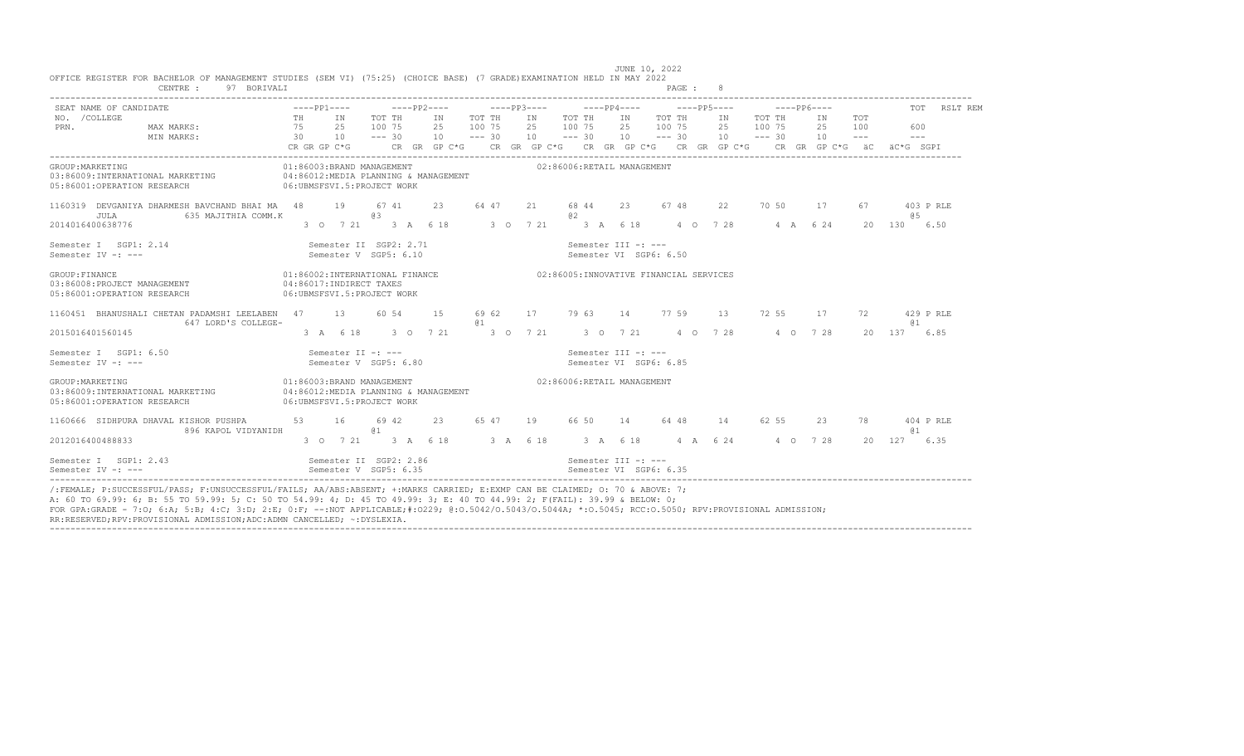| SEAT NAME OF CANDIDATE                                                                                            |                       |     |                                                                                           |                              |                                      |                              |                                           |       |                            |    |                                        |                                           | $---PP6---$ |                 |                                                                                                                                                                                                                                                                                                                                                                                                            |                                                                                                                                                                                                                                                                                                                                                                                                                  | TOT RSLT REM |
|-------------------------------------------------------------------------------------------------------------------|-----------------------|-----|-------------------------------------------------------------------------------------------|------------------------------|--------------------------------------|------------------------------|-------------------------------------------|-------|----------------------------|----|----------------------------------------|-------------------------------------------|-------------|-----------------|------------------------------------------------------------------------------------------------------------------------------------------------------------------------------------------------------------------------------------------------------------------------------------------------------------------------------------------------------------------------------------------------------------|------------------------------------------------------------------------------------------------------------------------------------------------------------------------------------------------------------------------------------------------------------------------------------------------------------------------------------------------------------------------------------------------------------------|--------------|
| NO. / COLLEGE<br>PRN.<br>MAX MARKS:<br>MIN MARKS:                                                                 | TH<br>75<br>$\sim$ 30 | 2.5 | IN<br>10                                                                                  | TOT TH<br>100 75<br>$--- 30$ | IN<br>2.5<br>10                      | TOT TH<br>100 75<br>$--- 30$ | IN TOT TH<br>2.5 100 7.5<br>$10 - - - 30$ |       |                            | IN | TOT TH<br>2.5 100 7.5<br>$10 - - - 30$ | IN TOT TH<br>2.5 100 7.5<br>$10 - - - 30$ |             | IN<br>2.5<br>10 | TOT<br>100<br>$\frac{1}{2} \frac{1}{2} \frac{1}{2} \frac{1}{2} \frac{1}{2} \frac{1}{2} \frac{1}{2} \frac{1}{2} \frac{1}{2} \frac{1}{2} \frac{1}{2} \frac{1}{2} \frac{1}{2} \frac{1}{2} \frac{1}{2} \frac{1}{2} \frac{1}{2} \frac{1}{2} \frac{1}{2} \frac{1}{2} \frac{1}{2} \frac{1}{2} \frac{1}{2} \frac{1}{2} \frac{1}{2} \frac{1}{2} \frac{1}{2} \frac{1}{2} \frac{1}{2} \frac{1}{2} \frac{1}{2} \frac{$ | 600<br>$\frac{1}{2} \frac{1}{2} \frac{1}{2} \frac{1}{2} \frac{1}{2} \frac{1}{2} \frac{1}{2} \frac{1}{2} \frac{1}{2} \frac{1}{2} \frac{1}{2} \frac{1}{2} \frac{1}{2} \frac{1}{2} \frac{1}{2} \frac{1}{2} \frac{1}{2} \frac{1}{2} \frac{1}{2} \frac{1}{2} \frac{1}{2} \frac{1}{2} \frac{1}{2} \frac{1}{2} \frac{1}{2} \frac{1}{2} \frac{1}{2} \frac{1}{2} \frac{1}{2} \frac{1}{2} \frac{1}{2} \frac{$<br>AC*G SGPT |              |
|                                                                                                                   | CR GR GP C*G          |     |                                                                                           |                              |                                      |                              |                                           |       |                            |    |                                        |                                           |             |                 |                                                                                                                                                                                                                                                                                                                                                                                                            |                                                                                                                                                                                                                                                                                                                                                                                                                  |              |
| GROUP: MARKETING<br>03:86009:INTERNATIONAL MARKETING<br>06:UBMSFSVI.5:PROJECT WORK<br>05:86001:OPERATION RESEARCH |                       |     | 01:86003:BRAND MANAGEMENT                                                                 |                              | 04:86012:MEDIA PLANNING & MANAGEMENT |                              |                                           |       | 02:86006:RETAIL MANAGEMENT |    |                                        |                                           |             |                 |                                                                                                                                                                                                                                                                                                                                                                                                            |                                                                                                                                                                                                                                                                                                                                                                                                                  |              |
| 1160319 DEVGANIYA DHARMESH BAVCHAND BHAI MA 48<br>635 MAJITHIA COMM.K<br>JULA                                     |                       | 19  |                                                                                           | 67 41<br>63                  | 23                                   | 64 47                        | 21                                        | 02    | 68 44                      |    | 23 67 48                               | 22                                        | 70 50       | 17              | 67                                                                                                                                                                                                                                                                                                                                                                                                         | 65                                                                                                                                                                                                                                                                                                                                                                                                               | 403 P RLE    |
| 2014016400638776                                                                                                  |                       |     | 3 0 7 21 3 A 6 18                                                                         |                              |                                      |                              | 3 0 7 21                                  |       | 3 A 6 18                   |    |                                        | 4 0 7 28                                  | 4 A 6 24    |                 | 20                                                                                                                                                                                                                                                                                                                                                                                                         | 130                                                                                                                                                                                                                                                                                                                                                                                                              | 6.50         |
| Semester I SGP1: 2.14<br>Semester IV -: ---                                                                       |                       |     | Semester II SGP2: 2.71<br>Semester V SGP5: 6.10                                           |                              |                                      |                              |                                           |       | Semester III -: ---        |    | Semester VI SGP6: 6.50                 |                                           |             |                 |                                                                                                                                                                                                                                                                                                                                                                                                            |                                                                                                                                                                                                                                                                                                                                                                                                                  |              |
| GROUP: FINANCE<br>03:86008:PROJECT MANAGEMENT<br>05:86001:OPERATION RESEARCH                                      |                       |     | 01:86002:INTERNATIONAL FINANCE<br>04:86017:INDIRECT TAXES<br>06: UBMSFSVI.5: PROJECT WORK |                              |                                      |                              | 02:86005:INNOVATIVE FINANCIAL SERVICES    |       |                            |    |                                        |                                           |             |                 |                                                                                                                                                                                                                                                                                                                                                                                                            |                                                                                                                                                                                                                                                                                                                                                                                                                  |              |
| 1160451 BHANUSHALI CHETAN PADAMSHI LEELABEN 47<br>647 LORD'S COLLEGE-                                             |                       |     | 13                                                                                        | 60 54                        | 1.5                                  | 69 62<br>01                  | 17 79 63 14 77 59                         |       |                            |    |                                        | 13                                        | 72 55       | 17              | 72                                                                                                                                                                                                                                                                                                                                                                                                         | <b>a</b> 1                                                                                                                                                                                                                                                                                                                                                                                                       | 429 P RLE    |
| 2015016401560145                                                                                                  |                       |     | 3 A 6 18                                                                                  |                              | 3 0 7 21                             |                              |                                           |       |                            |    |                                        | 3 0 7 21 3 0 7 21 4 0 7 28 4 0 7 28       |             |                 |                                                                                                                                                                                                                                                                                                                                                                                                            | 20 137 6.85                                                                                                                                                                                                                                                                                                                                                                                                      |              |
| Semester I SGP1: 6.50<br>Semester IV -: ---                                                                       |                       |     | Semester II -: ---<br>Semester V SGP5: 6.80                                               |                              |                                      |                              |                                           |       | Semester III -: ---        |    | Semester VI SGP6: 6.85                 |                                           |             |                 |                                                                                                                                                                                                                                                                                                                                                                                                            |                                                                                                                                                                                                                                                                                                                                                                                                                  |              |
| GROUP: MARKETING<br>03:86009:INTERNATIONAL MARKETING<br>05:86001:OPERATION RESEARCH                               |                       |     | 01:86003:BRAND MANAGEMENT<br>06:UBMSFSVI.5:PROJECT WORK                                   |                              | 04:86012:MEDIA PLANNING & MANAGEMENT |                              |                                           |       | 02:86006:RETAIL MANAGEMENT |    |                                        |                                           |             |                 |                                                                                                                                                                                                                                                                                                                                                                                                            |                                                                                                                                                                                                                                                                                                                                                                                                                  |              |
| 1160666 SIDHPURA DHAVAL KISHOR PUSHPA<br>896 KAPOL VIDYANIDH                                                      | 53                    |     | 16                                                                                        | 69 42<br>01                  | 23                                   | 65 47                        | 19                                        | 66 50 |                            | 14 | 64 48                                  | 14                                        | 62 55       | 23              | 78                                                                                                                                                                                                                                                                                                                                                                                                         | 01                                                                                                                                                                                                                                                                                                                                                                                                               | 404 P RLE    |
| 2012016400488833                                                                                                  |                       |     | 3 0 7 21 3 A 6 18                                                                         |                              |                                      | 3 A 6 18                     |                                           |       | 3 A 6 18                   |    |                                        | 4 A 6 24                                  | 4 0 7 2 8   |                 |                                                                                                                                                                                                                                                                                                                                                                                                            | 20 127                                                                                                                                                                                                                                                                                                                                                                                                           | 6.35         |
| Semester I SGP1: 2.43<br>Semester IV -: ---                                                                       |                       |     | Semester II SGP2: 2.86<br>Semester V SGP5: 6.35                                           |                              |                                      |                              |                                           |       | Semester III -: ---        |    | Semester VI SGP6: 6.35                 |                                           |             |                 |                                                                                                                                                                                                                                                                                                                                                                                                            |                                                                                                                                                                                                                                                                                                                                                                                                                  |              |

JUNE 10, 2022<br>OFFICE REGISTER FOR BACHELOR OF MANAGEMENT STUDIES (SEM VI) (75:25) (CHOICE BASE) (7 GRADE)EXAMINATION HELD IN MAY 2022<br>PAGE : 8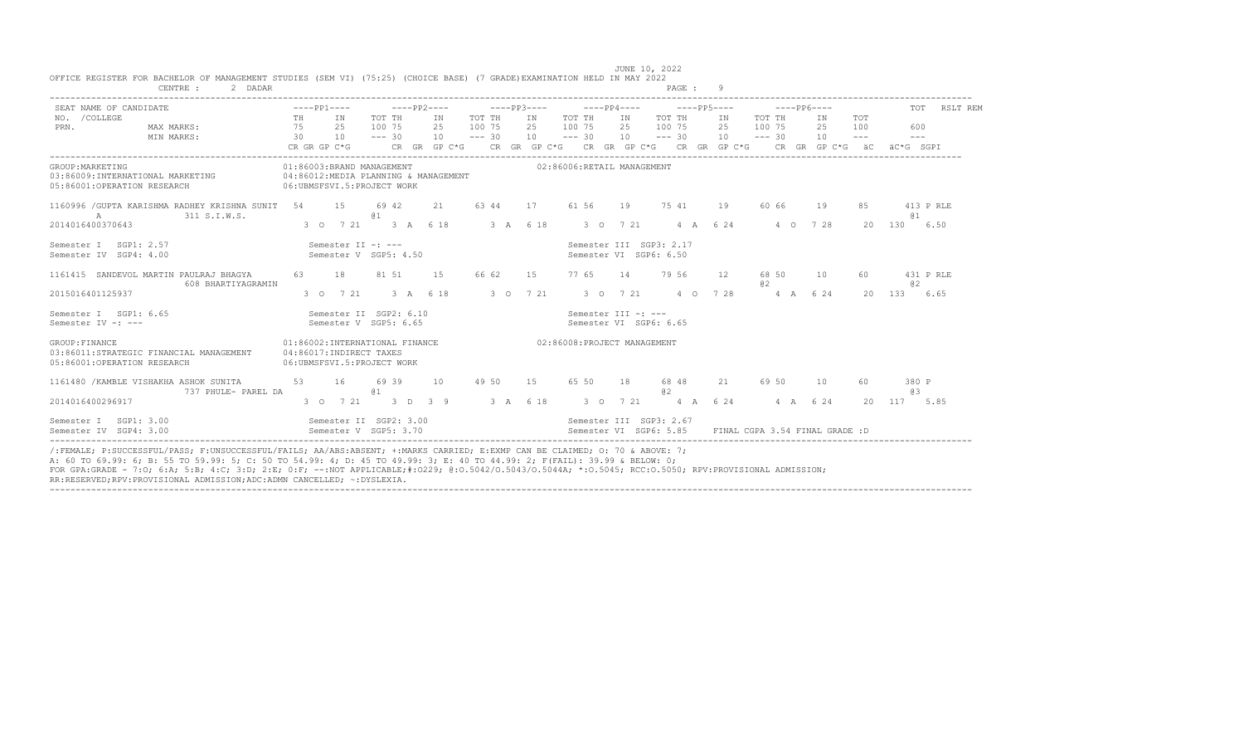| SEAT NAME OF CANDIDATE                                                                                           |                                                                                                                             |                                                 | ----pp1----     ----pp2----     ----pp3----    ----pp4----    ----pp5----    ----pp6---- |    |                                               |                                                       |    |             |           |            | TOT RSLT REM     |
|------------------------------------------------------------------------------------------------------------------|-----------------------------------------------------------------------------------------------------------------------------|-------------------------------------------------|------------------------------------------------------------------------------------------|----|-----------------------------------------------|-------------------------------------------------------|----|-------------|-----------|------------|------------------|
| NO. / COLLEGE<br>MAX MARKS: 75 25<br>PRN.<br>MIN MARKS:                                                          | TH IN<br>30 10 --- 30 10 --- 30 10 --- 30 10 --- 30 10 --- 30 10 --- 30 10 --- --- ---                                      | TOT TH<br>100 75                                | IN TOT TH IN TOT TH<br>25 100 75 25 100 75                                               |    |                                               | IN TOT THIN TOT THIN<br>25 100 75 25                  |    | 100 75      | 2.5       | TOT<br>100 | 600              |
|                                                                                                                  |                                                                                                                             |                                                 |                                                                                          |    |                                               |                                                       |    |             |           |            |                  |
| GROUP: MARKETING<br>03:86009:INTERNATIONAL MARKETING<br>05:86001:OPERATION RESEARCH                              | 01:86003:BRAND MANAGEMENT 602:86006:RETAIL MANAGEMENT<br>04:86012:MEDIA PLANNING & MANAGEMENT<br>06:UBMSFSVI.5:PROJECT WORK |                                                 |                                                                                          |    |                                               |                                                       |    |             |           |            |                  |
| 1160996 / GUPTA KARISHMA RADHEY KRISHNA SUNIT 54 15 69 42<br>A<br>311 S.I.W.S.                                   |                                                                                                                             | @ 1                                             | 21 63 44                                                                                 | 17 |                                               | 61 56 19 75 41 19                                     |    | 60 66       | 19        | 8.5        | 413 P RLE<br>@ 1 |
| 2014016400370643                                                                                                 |                                                                                                                             |                                                 | 3 0 7 21 3 A 6 18 3 A 6 18                                                               |    |                                               | 3 0 7 21 4 A 6 24                                     |    |             | 4 0 7 2 8 |            | 20 130 6.50      |
| Semester I SGP1: 2.57<br>Semester IV SGP4: 4.00                                                                  | Semester II $-:---$                                                                                                         | Semester V SGP5: 4.50                           |                                                                                          |    | Semester VI SGP6: 6.50                        | Semester III SGP3: 2.17                               |    |             |           |            |                  |
| 1161415 SANDEVOL MARTIN PAULRAJ BHAGYA<br>608 BHARTIYAGRAMIN                                                     | 63 18                                                                                                                       | 81 51                                           | 66 62<br>1.5                                                                             | 15 |                                               | 77 65 14 79 56                                        | 12 | 68 50<br>02 | 10        | 60.        | 431 P RLE<br>a2  |
| 2015016401125937                                                                                                 |                                                                                                                             |                                                 | 3 0 7 21 3 A 6 18 3 0 7 21 3 0 7 21 4 0 7 28                                             |    |                                               |                                                       |    | 4 A 6 24    |           | $20 -$     | 133 6.65         |
| Semester I SGP1: 6.65<br>Semester IV -: ---                                                                      |                                                                                                                             | Semester II SGP2: 6.10<br>Semester V SGP5: 6.65 |                                                                                          |    | Semester III -: ---<br>Semester VI SGP6: 6.65 |                                                       |    |             |           |            |                  |
| GROUP: FINANCE<br>03:86011:STRATEGIC FINANCIAL MANAGEMENT 04:86017:INDIRECT TAXES<br>05:86001:OPERATION RESEARCH | 01:86002:INTERNATIONAL FINANCE 602:86008:PROJECT MANAGEMENT<br>06:UBMSFSVI.5:PROJECT WORK                                   |                                                 |                                                                                          |    |                                               |                                                       |    |             |           |            |                  |
| 1161480 / KAMBLE VISHAKHA ASHOK SUNITA 53 16<br>737 PHULE- PAREL DA                                              |                                                                                                                             | 69 39<br>@ 1                                    | 10 49 50 15                                                                              |    |                                               | 65 50 18 68 48<br>02                                  |    | 21 69 50    | 10        |            | 380 P<br>a3      |
| 2014016400296917                                                                                                 |                                                                                                                             |                                                 |                                                                                          |    |                                               |                                                       |    |             |           |            | 2.0 117 5.85     |
| Semester I SGP1: 3.00 Semester II SGP2: 3.00 Semester II SGP3: 2.67<br>Semester IV SGP4: 3.00                    | Semester V SGP5: 3.70                                                                                                       |                                                 |                                                                                          |    |                                               | Semester VI SGP6: 5.85 FINAL CGPA 3.54 FINAL GRADE: D |    |             |           |            |                  |

JUNE 10, 2022<br>OFFICE REGISTER FOR BACHELOR OF MANAGEMENT STUDIES (SEM VI) (75:25) (CHOICE BASE) (7 GRADE)EXAMINATION HELD IN MAY 2022<br>PAGE : 9

FOR GPA:GRADE - 7:O; 6:A; 5:B; 4:C; 3:D; 2:E; 0:F; --:NOT APPLICABLE;#:O229; @:O.5042/O.5043/O.5044A; \*:O.5045; RCC:O.5050; RPV:PROVISIONAL ADMISSION; RR:RESERVED;RPV:PROVISIONAL ADMISSION;ADC:ADMN CANCELLED; ~:DYSLEXIA.

----------------------------------------------------------------------------------------------------------------------------------------------------------------------------------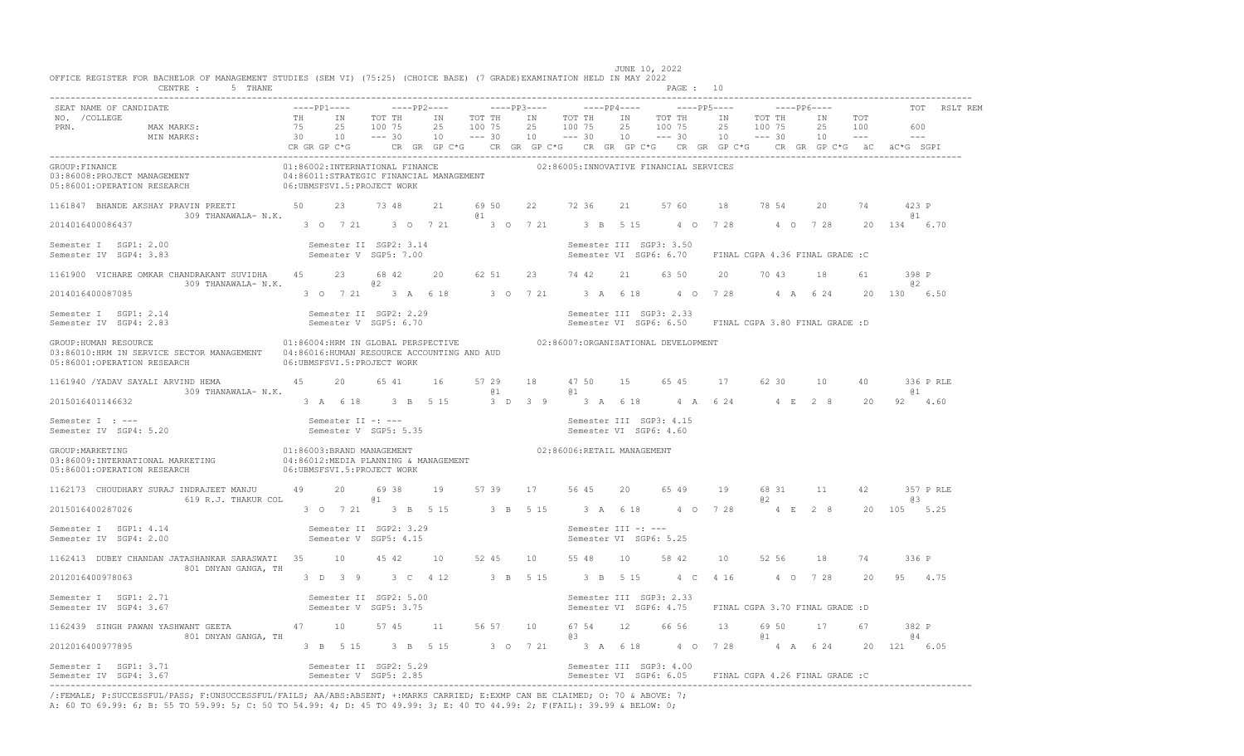| CENTRE : 5 THANE                                                                                                                                                                                                                                                                                                                                                                 |  |                                                                                                                                      |    |                  |                            | PAGE : IU                                                                        |    |     |             |    |                                         |              |
|----------------------------------------------------------------------------------------------------------------------------------------------------------------------------------------------------------------------------------------------------------------------------------------------------------------------------------------------------------------------------------|--|--------------------------------------------------------------------------------------------------------------------------------------|----|------------------|----------------------------|----------------------------------------------------------------------------------|----|-----|-------------|----|-----------------------------------------|--------------|
| SEAT NAME OF CANDIDATE                                                                                                                                                                                                                                                                                                                                                           |  | ----pp1----     ----pp2----     ----pp3----    ----pp4----    ----pp5----    ----pp6----                                             |    |                  |                            |                                                                                  |    |     |             |    |                                         | TOT RSLT REM |
| GROUP:FINANCE FINANCE MANAGEMENT (01:86002:INTERNATIONAL FINANCE )<br>03:86008:PROJECT MANAGEMENT (04:86011:STRATEGIC FINANCIAL MANAGEMENT) (02:86005:INNOVATIVE FINANCIAL SERVICES<br>05:86001:OPERATION RESEARCH (06:UBMSFSVI.5:PR                                                                                                                                             |  |                                                                                                                                      |    |                  |                            |                                                                                  |    |     |             |    |                                         |              |
| 1161847 BHANDE AKSHAY PRAVIN PREETI 50 23 73 48<br>309 THANAWALA- N.K.<br>$2014016400086437$ 3 0 7 21 3 0 7 21 3 0 7 21 3 B 5 15 4 0 7 28 4 0 7 28 20 134 6.70                                                                                                                                                                                                                   |  |                                                                                                                                      | @1 |                  |                            | 21 69 50 22 72 36 21 57 60 18 78 54 20 74 423 P                                  |    |     |             |    | a <sub>1</sub>                          |              |
| Semester II SGP2: 3.14<br>Semester V SGP5: 7.00<br>Semester I SGP1: 2.00<br>Semester IV SGP4: 3.83                                                                                                                                                                                                                                                                               |  |                                                                                                                                      |    |                  |                            | Semester III SGP3: 3.50<br>Semester VI SGP6: 6.70 FINAL CGPA 4.36 FINAL GRADE :C |    |     |             |    |                                         |              |
| 1161900 VICHARE OMKAR CHANDRAKANT SUVIDHA  45  23  68  42  20  62  51  23  74  42  21  63  50  20  70  43  18<br>$309$ THANAWALA- N.K. $\qquad \qquad \qquad \qquad \qquad \qquad 02$<br>2014016400087085                                                                                                                                                                        |  | 3 0 7 21 3 A 6 18 3 0 7 21 3 A 6 18 4 0 7 28 4 A 6 24 20 130 6.50                                                                    |    |                  |                            |                                                                                  |    |     |             | 61 | 398 P<br>a2                             |              |
| Semester I SGP1: 2.14 Semester II SGP2: 2.29 Semester II SGP3: 2.33<br>Semester IV SGP4: 2.83 Semester V SGP5: 6.70 Semester V SGP6: 6.50 FINAL CGPA 3.80 FINAL GRADE :D                                                                                                                                                                                                         |  |                                                                                                                                      |    |                  |                            |                                                                                  |    |     |             |    |                                         |              |
| GROUP: HUMAN RESOURCE CONTROL CONTROLS AND THE SECONOMIC SERVICE ON THE SECONOMIC SERVICE OF SALL SERVICES OF SALL SERVICES OF SALL SERVICES OF SALL SERVICES OF SALL SERVICES OF SALL SERVICES OF SALL SERVICES OF SALL SERVI<br>03:86010:HRM IN SERVICE SECTOR MANAGEMENT 04:86016:HUMAN RESOURCE ACCOUNTING AND AUD<br>05:86001:OPERATION RESEARCH 06:UBMSFSVI.5:PROJECT WORK |  |                                                                                                                                      |    |                  |                            |                                                                                  |    |     |             |    |                                         |              |
| 1161940 /YADAV SAYALI ARVIND HEMA   45   20   65   41   16   57   29<br>309 THANAWALA- N.K.                                                                                                                                                                                                                                                                                      |  |                                                                                                                                      | @1 | $\mathfrak{g}$ 1 |                            | 18  47  50  15  65  45  17  62  30  10  40  336 P RLE                            |    |     |             |    | 61                                      |              |
| 2015016401146632<br>Semester I : ---<br>Semester IV SGP4: 5.20                                                                                                                                                                                                                                                                                                                   |  | 3 A 6 18 3 B 5 15 3 D 3 9 3 A 6 18 4 A 6 24 4 E 2 8 20 92 4.60<br>Semester II -: ---<br>Semester V SGP5: 5.35 Semester VI SGP6: 4.60 |    |                  |                            |                                                                                  |    |     |             |    |                                         |              |
|                                                                                                                                                                                                                                                                                                                                                                                  |  |                                                                                                                                      |    |                  | 02:86006:RETAIL MANAGEMENT |                                                                                  |    |     |             |    |                                         |              |
| 1162173 CHOUDHARY SURAJ INDRAJEET MANJU 49 20 6938<br>619 R.J. THAKUR COL 61<br>3 0 7 21 3 B 5 15 3 B 5 15 3 A 6 18 4 0 7 28<br>2015016400287026                                                                                                                                                                                                                                 |  | 19 57 39 17 56 45 20 65 49                                                                                                           |    |                  |                            |                                                                                  | 19 | 0.2 | 68 31 11 42 |    | 357 P RLE<br>0.3<br>4 E 2 8 20 105 5.25 |              |
| Semester I SGP1: 4.14<br>Semester IV SGP4: 2.00<br>Semester V SGP5: 4.15                                                                                                                                                                                                                                                                                                         |  |                                                                                                                                      |    |                  | Semester III -: ---        | Semester VI SGP6: 5.25                                                           |    |     |             |    |                                         |              |
| 1162413 DUBEY CHANDAN JATASHANKAR SARASWATI 35 10 45 42 10 52 45 10 55 48 10 58 42 10 52 56 18                                                                                                                                                                                                                                                                                   |  |                                                                                                                                      |    |                  |                            |                                                                                  |    |     |             |    | 74 336 P                                |              |
| 801 DNYAN GANGA, TH<br>2012016400978063                                                                                                                                                                                                                                                                                                                                          |  | 3 D 3 9 3 C 4 12 3 B 5 15 3 B 5 15 4 C 4 16 4 0 7 28 20 95 4.75                                                                      |    |                  |                            |                                                                                  |    |     |             |    |                                         |              |
| Semester I SGP1: 2.71<br>Semester IV SGP4: 3.67<br>Semester V SGP5: 3.75                                                                                                                                                                                                                                                                                                         |  |                                                                                                                                      |    |                  |                            | Semester III SGP3: 2.33<br>Semester VI SGP6: 4.75 FINAL CGPA 3.70 FINAL GRADE: D |    |     |             |    |                                         |              |
| 1162439 SINGH PAWAN YASHWANT GEETA   47   10   57   45   11   56   57   10   67   54   12   66   56   13<br>801 DNYAN GANGA, TH                                                                                                                                                                                                                                                  |  |                                                                                                                                      |    |                  | 03                         |                                                                                  |    | @1  | 69 50 17 67 |    | 382 P<br>64                             |              |
| 2012016400977895<br>Semester I SGP1: 3.71 Semester II SGP2: 5.29 Semester II SGP3: 4.00<br>Semester IV SGP4: 3.67 Semester V SGP5: 2.85 Semester V SGP6: 6.05 FINAL CGPA 4.26 FINAL GRADE :C                                                                                                                                                                                     |  | 3 B 5 15 3 B 5 15 3 0 7 21 3 A 6 18 4 0 7 28 4 A 6 24 20 121 6.05                                                                    |    |                  |                            |                                                                                  |    |     |             |    |                                         |              |

JUNE 10, 2022<br>OFFICE REGISTER FOR BACHELOR OF MANAGEMENT STUDIES (SEM VI) (75:25) (CHOICE BASE) (7 GRADE)EXAMINATION HELD IN MAY 2022<br>PAGE : 10

/:FEMALE; P:SUCCESSFUL/PASS; F:UNSUCCESSFUL/FAILS; AA/ABS:ABSENT; +:MARKS CARRIED; E:EXMP CAN BE CLAIMED; O: 70 & ABOVE: 7;<br>A: 60 TO 69.99: 6; B: 55 TO 59.99: 5; C: 50 TO 54.99: 4; D: 45 TO 49.99: 3; E: 40 TO 44.99: 2; F(F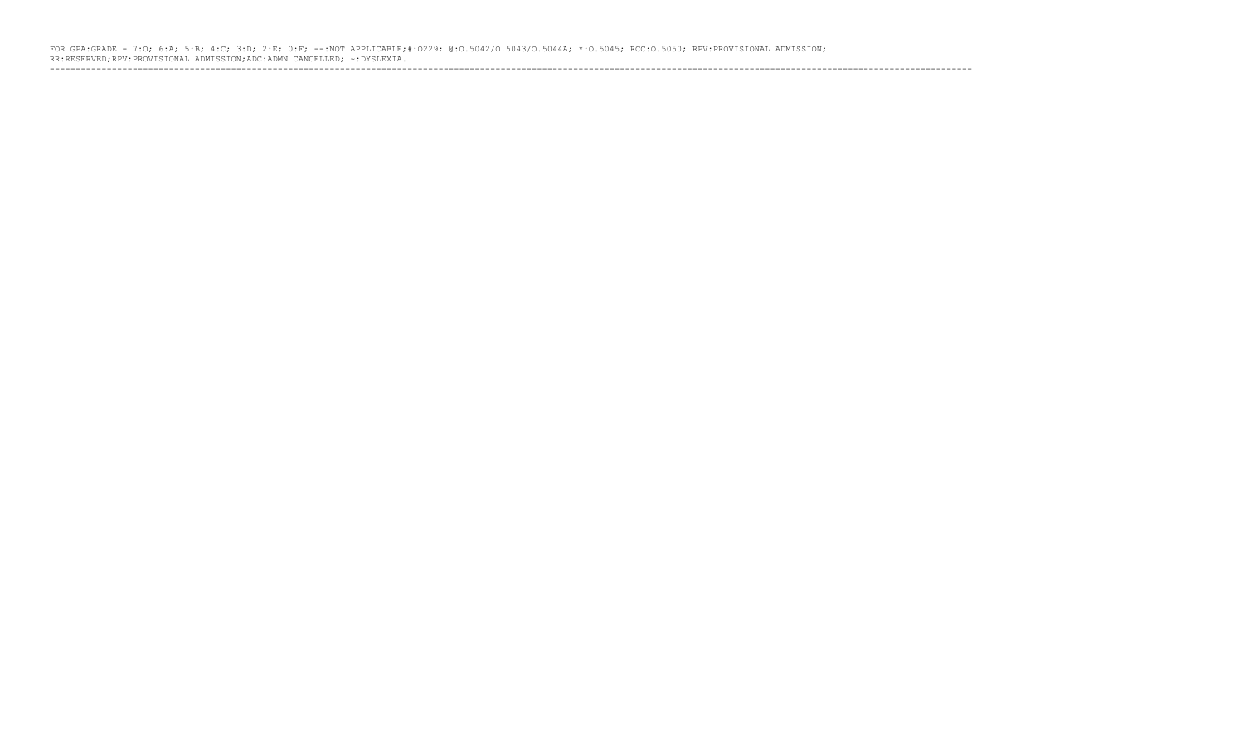FOR GPA:GRADE - 7:O; 6:A; 5:B; 4:C; 3:D; 2:E; 0:F; --:NOT APPLICABLE;#:O229; @:O.5042/O.5043/O.5044A; \*:O.5045; RCC:O.5050; RPV:PROVISIONAL ADMISSION; RR:RESERVED;RPV:PROVISIONAL ADMISSION;ADC:ADMN CANCELLED; ~:DYSLEXIA. ----------------------------------------------------------------------------------------------------------------------------------------------------------------------------------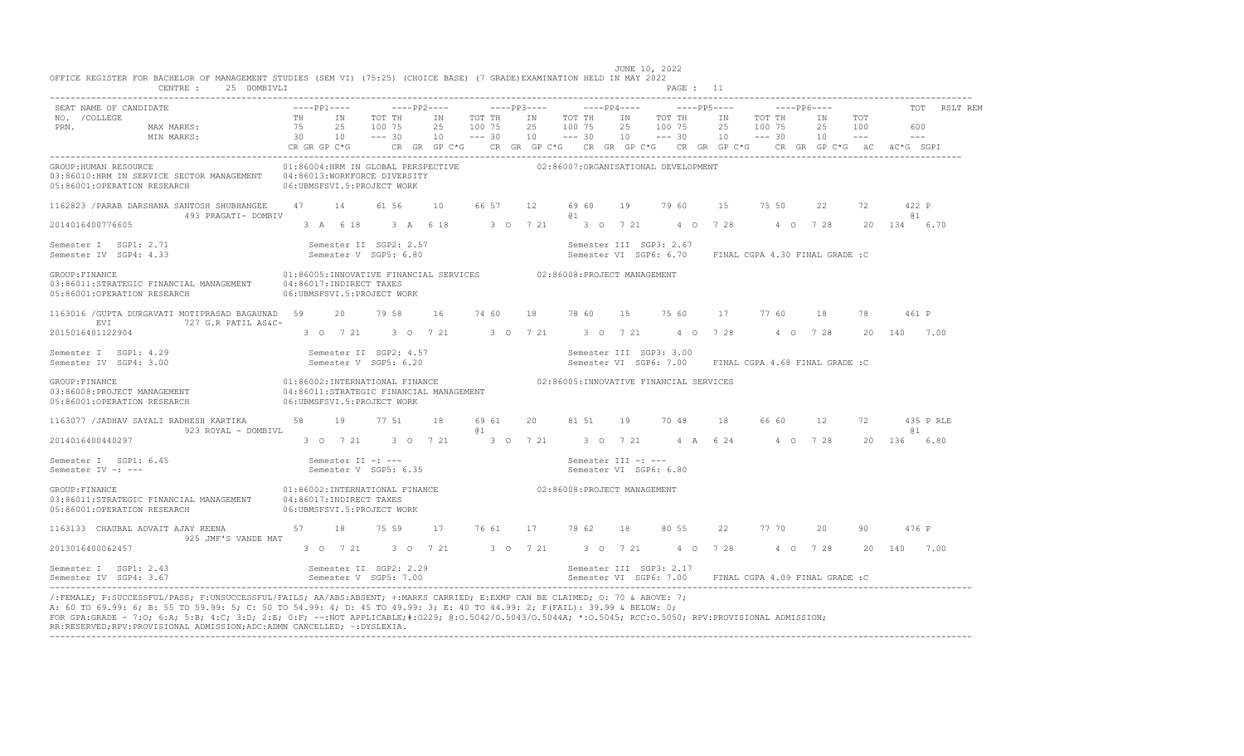| CENTRE : 25 DOMBIVLI                                                                                                                                                                                                                                                                                                                                                                                                                                                                         |                                                         |                                                 |                            | PAGE : II                                                                                                                                                                                |                                |              |                         |
|----------------------------------------------------------------------------------------------------------------------------------------------------------------------------------------------------------------------------------------------------------------------------------------------------------------------------------------------------------------------------------------------------------------------------------------------------------------------------------------------|---------------------------------------------------------|-------------------------------------------------|----------------------------|------------------------------------------------------------------------------------------------------------------------------------------------------------------------------------------|--------------------------------|--------------|-------------------------|
| SEAT NAME OF CANDIDATE<br>NO. / COLLEGE                                                                                                                                                                                                                                                                                                                                                                                                                                                      | TH IN                                                   | TOT TH                                          | IN TOT TH                  | IN TOT THIN TOT TH                                                                                                                                                                       | $---PP6---$<br>IN<br>TOT TH    | IN TOT       | TOT RSLT REM            |
| PRN.<br>MAX MARKS:                                                                                                                                                                                                                                                                                                                                                                                                                                                                           | 75                                                      | 25 100 75<br>25                                 | 100 75                     | 25 100 75<br>25<br>100 75                                                                                                                                                                | 25<br>100 75                   | 25 100       | 600                     |
| MIN MARKS:                                                                                                                                                                                                                                                                                                                                                                                                                                                                                   | $30 \t 10 \t - -30$                                     |                                                 |                            | $10 \qquad -- -30 \qquad 10 \qquad -- -30 \qquad 10 \qquad -- -30 \qquad 10 \qquad -- -30$<br>CR GR GP C*G CR GR GP C*G CR GR GP C*G CR GR GP C*G CR GR GP C*G CR GR GP C*G äC äC*G SGPI |                                | $10 - - -$   | $---$                   |
| GROUP: HUMAN RESOURCE<br>03:86010:HRM IN SERVICE SECTOR MANAGEMENT    04:86013:WORKFORCE DIVERSITY<br>05:86001:OPERATION RESEARCH 06:UBMSFSVI.5:PROJECT WORK                                                                                                                                                                                                                                                                                                                                 |                                                         | 01:86004:HRM IN GLOBAL PERSPECTIVE              |                            | 02:86007:ORGANISATIONAL DEVELOPMENT                                                                                                                                                      |                                |              |                         |
| 1162823 / PARAB DARSHANA SANTOSH SHUBHANGEE 47 14<br>493 PRAGATI- DOMBIV                                                                                                                                                                                                                                                                                                                                                                                                                     |                                                         | 61 56<br>10                                     | 66 57<br>12                | 69 60<br>19<br>79 60<br>@ 1                                                                                                                                                              | 75 50<br>15                    | 22<br>72     | 422 P<br>61 T           |
| 2014016400776605                                                                                                                                                                                                                                                                                                                                                                                                                                                                             |                                                         |                                                 | 3 A 6 18 3 A 6 18 3 0 7 21 | 3 0 7 21 4 0 7 28 4 0 7 28                                                                                                                                                               |                                | $20^{\circ}$ | 134 6.70                |
| Semester I SGP1: 2.71<br>Semester IV SGP4: 4.33                                                                                                                                                                                                                                                                                                                                                                                                                                              |                                                         | Semester II SGP2: 2.57<br>Semester V SGP5: 6.80 |                            | Semester III SGP3: 2.67<br>Semester VI SGP6: 6.70 FINAL CGPA 4.30 FINAL GRADE :C                                                                                                         |                                |              |                         |
| GROUP: FINANCE<br>03:86011:STRATEGIC FINANCIAL MANAGEMENT<br>05:86001:OPERATION RESEARCH                                                                                                                                                                                                                                                                                                                                                                                                     | 04:86017:INDIRECT TAXES<br>06: UBMSFSVI.5: PROJECT WORK |                                                 |                            | 01:86005:INNOVATIVE FINANCIAL SERVICES 602:86008:PROJECT MANAGEMENT                                                                                                                      |                                |              |                         |
| 1163016 / GUPTA DURGAVATI MOTIPRASAD BAGAUNAD 59<br>727 G.R PATIL AS&C-<br>EVI                                                                                                                                                                                                                                                                                                                                                                                                               | 20                                                      | 79 58<br>16                                     | 74 60<br>18 78 60          | 15 75 60                                                                                                                                                                                 | 17<br>77 60                    | 18<br>78     | 461 P                   |
| 2015016401122904                                                                                                                                                                                                                                                                                                                                                                                                                                                                             |                                                         | 3 0 7 21 3 0 7 21 3 0 7 21                      |                            | 3 0 7 21<br>4 0 7 28                                                                                                                                                                     | 4 0 7 28                       | $20^{\circ}$ | 7.00<br>140             |
| Semester I SGP1: 4.29<br>Semester IV SGP4: 3.00                                                                                                                                                                                                                                                                                                                                                                                                                                              |                                                         | Semester II SGP2: 4.57<br>Semester V SGP5: 6.20 |                            | Semester III SGP3: 3.00<br>Semester VI SGP6: 7.00                                                                                                                                        | FINAL CGPA 4.68 FINAL GRADE :C |              |                         |
| GROUP: FINANCE<br>03:86008:PROJECT MANAGEMENT<br>05:86001:OPERATION RESEARCH                                                                                                                                                                                                                                                                                                                                                                                                                 | 06: UBMSFSVI.5: PROJECT WORK                            | 04:86011:STRATEGIC FINANCIAL MANAGEMENT         |                            | 01:86002:INTERNATIONAL FINANCE 02:86005:INNOVATIVE FINANCIAL SERVICES                                                                                                                    |                                |              |                         |
| 1163077 / JADHAV SAYALI RADHESH KARTIKA<br>923 ROYAL - DOMBIVL                                                                                                                                                                                                                                                                                                                                                                                                                               | 58 19                                                   | 77 51<br>18                                     | 69 61<br>20<br>@ 1         | 81 51<br>19 70 48                                                                                                                                                                        | 18<br>66 60                    | 12<br>72     | 435 P RLE<br><b>a</b> 1 |
| 2014016400440297                                                                                                                                                                                                                                                                                                                                                                                                                                                                             |                                                         |                                                 |                            | 3 0 7 21 3 0 7 21 3 0 7 21 3 0 7 21 4 A 6 24                                                                                                                                             | 4 0 7 28                       |              | 20 136 6.80             |
| Semester I SGP1: 6.45<br>Semester IV -: ---                                                                                                                                                                                                                                                                                                                                                                                                                                                  | Semester II -: ---                                      | Semester V SGP5: 6.35                           |                            | Semester III -: ---<br>Semester VI SGP6: 6.80                                                                                                                                            |                                |              |                         |
| GROUP: FINANCE<br>03:86011:STRATEGIC FINANCIAL MANAGEMENT 04:86017:INDIRECT TAXES<br>05:86001:OPERATION RESEARCH                                                                                                                                                                                                                                                                                                                                                                             | 06:UBMSFSVI.5:PROJECT WORK                              |                                                 |                            | 01:86002:INTERNATIONAL FINANCE 602:86008:PROJECT MANAGEMENT                                                                                                                              |                                |              |                         |
| 1163133 CHAUBAL ADVAIT AJAY REENA 57<br>925 JMF'S VANDE MAT                                                                                                                                                                                                                                                                                                                                                                                                                                  | 18                                                      | 75 59                                           | 17 76 61<br>17 78 62       | 18<br>80 55                                                                                                                                                                              | 77 70<br>22                    | 20<br>90     | 476 P                   |
| 2013016400062457                                                                                                                                                                                                                                                                                                                                                                                                                                                                             |                                                         |                                                 |                            | 3 0 7 21 3 0 7 21 3 0 7 21 3 0 7 21 4 0 7 28                                                                                                                                             | 4 0 7 28                       |              | 20 140 7.00             |
| Semester I SGP1: 2.43<br>Semester IV SGP4: 3.67                                                                                                                                                                                                                                                                                                                                                                                                                                              |                                                         | Semester II SGP2: 2.29<br>Semester V SGP5: 7.00 |                            | Semester III SGP3: 2.17<br>Semester VI SGP6: 7.00 FINAL CGPA 4.09 FINAL GRADE: C                                                                                                         |                                |              |                         |
| /:FEMALE; P:SUCCESSFUL/PASS; F:UNSUCCESSFUL/FAILS; AA/ABS:ABSENT; +:MARKS CARRIED; E:EXMP CAN BE CLAIMED; 0: 70 & ABOVE: 7;<br>A: 60 TO 69.99: 6; B: 55 TO 59.99: 5; C: 50 TO 54.99: 4; D: 45 TO 49.99: 3; E: 40 TO 44.99: 2; F(FAIL): 39.99 & BELOW: 0;<br>FOR GPA:GRADE - 7:0; 6:A; 5:B; 4:C; 3:D; 2:E; 0:F; --:NOT APPLICABLE;#:0229; 0:0.5042/0.5043/0.5044A; *:0.5045; RCC:0.5050; RPV:PROVISIONAL ADMISSION;<br>RR:RESERVED;RPV:PROVISIONAL ADMISSION;ADC:ADMN CANCELLED; ~: DYSLEXIA. |                                                         |                                                 |                            |                                                                                                                                                                                          |                                |              |                         |

----------------------------------------------------------------------------------------------------------------------------------------------------------------------------------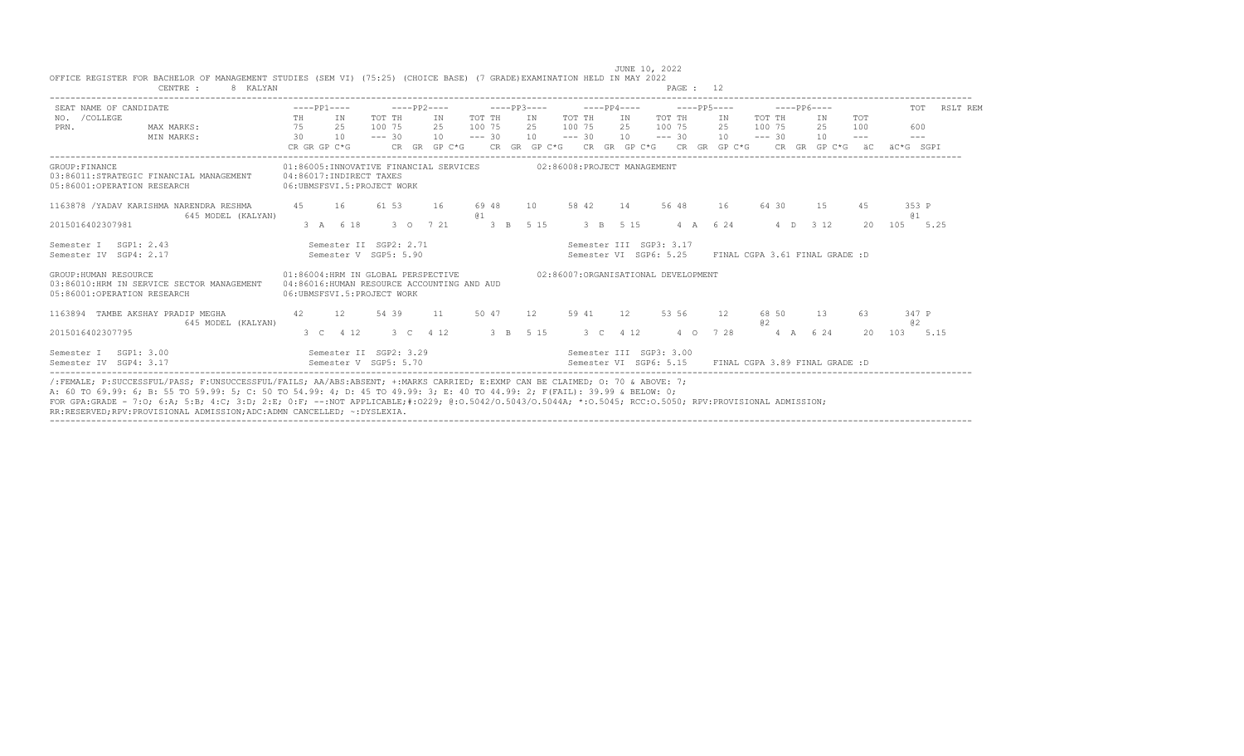| SEAT NAME OF CANDIDATE                               |                                                                |              | $---PP1---$                                             |          |       | -----PP2----                           |                                            |             | $---PP3---$     |          | $---PP4---$ |                                                   |          | $---PP5---$                            |             | $---PP6---$ |                                |                     | TOT          | RSLT REM |
|------------------------------------------------------|----------------------------------------------------------------|--------------|---------------------------------------------------------|----------|-------|----------------------------------------|--------------------------------------------|-------------|-----------------|----------|-------------|---------------------------------------------------|----------|----------------------------------------|-------------|-------------|--------------------------------|---------------------|--------------|----------|
| NO. / COLLEGE                                        |                                                                | TH           | IN                                                      | TOT TH   |       | IN                                     | TOT TH                                     |             | IN              | TOT TH   |             | IN                                                | TOT TH   | TN                                     | TOT TH      |             | T <sub>N</sub>                 | <b>TOT</b>          |              |          |
| PRN.                                                 | MAX MARKS:                                                     | 75           | 25                                                      | 100 75   |       | 25                                     | 100 75                                     |             |                 |          |             | 25 100 75 25 100 75                               |          | 25                                     | 100 75      |             | 25                             | 100                 | 600          |          |
|                                                      | MIN MARKS:                                                     | 30           | 10                                                      | $--- 30$ |       | 10                                     | $--- 30$                                   |             | 10              | $--- 30$ |             | 10                                                | $--- 30$ | 10                                     | $--- 30$    |             | 10                             | $\qquad \qquad - -$ | $- - -$      |          |
|                                                      |                                                                | CR GR GP C*G |                                                         |          |       | CR GR GP C*G                           |                                            |             |                 |          |             |                                                   |          | CR GR GP C*G CR GR GP C*G CR GR GP C*G |             |             | CR GR GP C*G äC                |                     | äC*G SGPT    |          |
| GROUP: FINANCE<br>05:86001:OPERATION RESEARCH        | 03:86011:STRATEGIC FINANCIAL MANAGEMENT                        |              | 04:86017:INDIRECT TAXES<br>06: UBMSFSVI.5: PROJECT WORK |          |       | 01:86005:INNOVATIVE FINANCIAL SERVICES |                                            |             |                 |          |             | 02:86008:PROJECT MANAGEMENT                       |          |                                        |             |             |                                |                     |              |          |
|                                                      | 1163878 / YADAV KARISHMA NARENDRA RESHMA<br>645 MODEL (KALYAN) | 45           | 16                                                      |          | 61 53 | 16                                     | 69 48<br>@ 1                               |             | 10 <sup>1</sup> | 58 42    | 14          | 56 48                                             |          | 16                                     | 64 30       |             | 15                             | 4.5                 | 353 P<br>61  |          |
| 2015016402307981                                     |                                                                |              | 3 A 6 18                                                |          |       | 3 0 7 21                               |                                            | $3 \quad B$ | 5 1 5           |          | 3 B 5 15    |                                                   |          | 4 A 6 24                               |             | $4\quad$ D  | 3 1 2                          | 20                  | 105          | 5.25     |
| Semester I SGP1: 2.43<br>Semester IV SGP4: 2.17      |                                                                |              | Semester II SGP2: 2.71<br>Semester V SGP5: 5.90         |          |       |                                        |                                            |             |                 |          |             | Semester III SGP3: 3.17<br>Semester VI SGP6: 5.25 |          |                                        |             |             | FINAL CGPA 3.61 FINAL GRADE :D |                     |              |          |
| GROUP: HUMAN RESOURCE<br>05:86001:OPERATION RESEARCH | 03:86010:HRM IN SERVICE SECTOR MANAGEMENT                      |              | 06: UBMSFSVI.5: PROJECT WORK                            |          |       | 01:86004:HRM IN GLOBAL PERSPECTIVE     | 04:86016:HUMAN RESOURCE ACCOUNTING AND AUD |             |                 |          |             | 02:86007:ORGANISATIONAL DEVELOPMENT               |          |                                        |             |             |                                |                     |              |          |
|                                                      | 1163894 TAMBE AKSHAY PRADIP MEGHA<br>645 MODEL (KALYAN)        | 42           | 12                                                      | 54 39    |       | 11                                     | 50 47                                      |             | 12              | 59 41    | 12          |                                                   | 53 56    | 12                                     | 68 50<br>a2 |             | 13                             | 63                  | 347 P<br>0.2 |          |
| 2015016402307795                                     |                                                                |              | 3 C 4 12                                                |          |       | 3 C 4 12                               | 3 B 5 15                                   |             |                 |          | 3 C 4 12    |                                                   |          | 4 0 7 28                               |             | 4 A 6 24    |                                | 20                  | 103 5.15     |          |
| Semester I SGP1: 3.00<br>Semester IV SGP4: 3.17      |                                                                |              | Semester II SGP2: 3.29<br>Semester V SGP5: 5.70         |          |       |                                        |                                            |             |                 |          |             | Semester III SGP3: 3.00<br>Semester VI SGP6: 5.15 |          |                                        |             |             | FINAL CGPA 3.89 FINAL GRADE: D |                     |              |          |

----------------------------------------------------------------------------------------------------------------------------------------------------------------------------------

 JUNE 10, 2022 OFFICE REGISTER FOR BACHELOR OF MANAGEMENT STUDIES (SEM VI) (75:25) (CHOICE BASE) (7 GRADE)EXAMINATION HELD IN MAY 2022 CENTRE : 8 KALYAN

FOR GPA:GRADE - 7:O; 6:A; 5:B; 4:C; 3:D; 2:E; 0:F; --:NOT APPLICABLE;#:O229; @:O.5042/O.5043/O.5044A; \*:O.5045; RCC:O.5050; RPV:PROVISIONAL ADMISSION;

RR:RESERVED;RPV:PROVISIONAL ADMISSION;ADC:ADMN CANCELLED; ~:DYSLEXIA.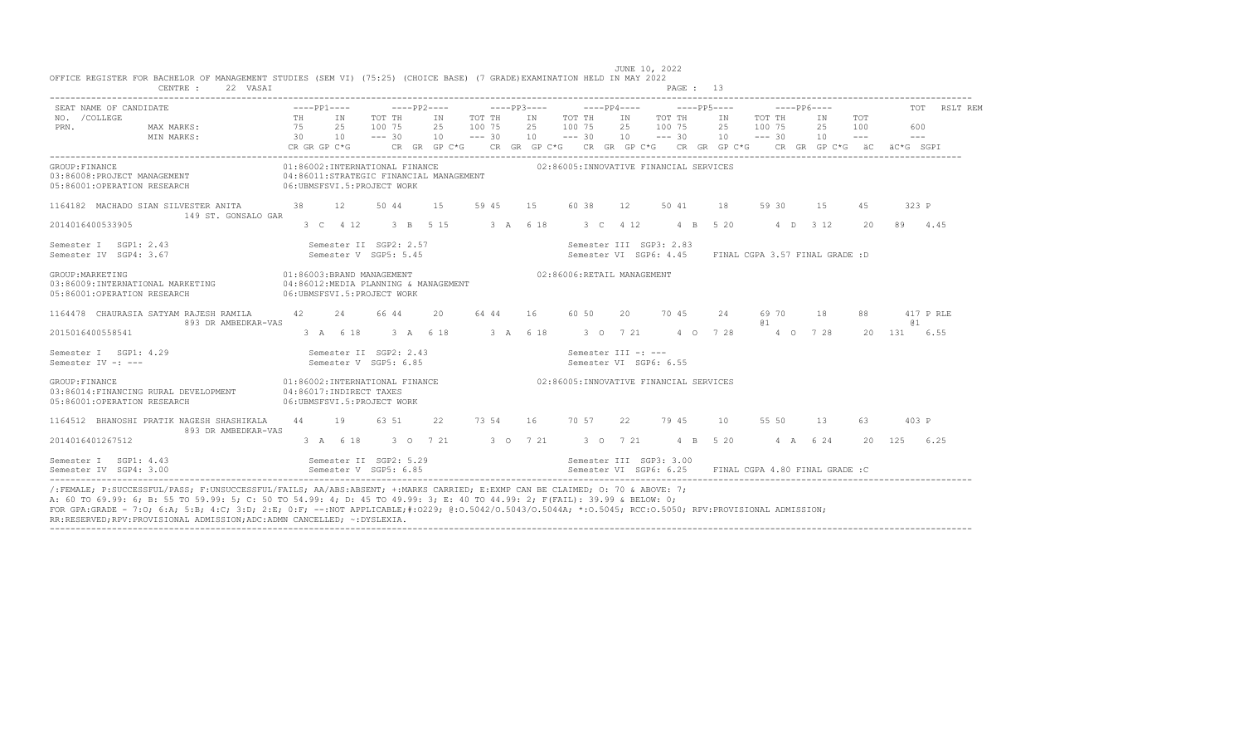| ZZ VASAI                                                                                                    |                                                                                                   |    |                                                 |                         |                  |    |                                                                                                                                                            |     |                                                                                                                                                      |                 |                                |                |                                                                                                                                                                                                                                                                                                                                                                                                            |                           |
|-------------------------------------------------------------------------------------------------------------|---------------------------------------------------------------------------------------------------|----|-------------------------------------------------|-------------------------|------------------|----|------------------------------------------------------------------------------------------------------------------------------------------------------------|-----|------------------------------------------------------------------------------------------------------------------------------------------------------|-----------------|--------------------------------|----------------|------------------------------------------------------------------------------------------------------------------------------------------------------------------------------------------------------------------------------------------------------------------------------------------------------------------------------------------------------------------------------------------------------------|---------------------------|
| SEAT NAME OF CANDIDATE                                                                                      |                                                                                                   |    |                                                 |                         |                  |    |                                                                                                                                                            |     |                                                                                                                                                      |                 |                                |                |                                                                                                                                                                                                                                                                                                                                                                                                            | TOT RSLT REM              |
| NO. / COLLEGE<br>PRN.<br>MAX MARKS:<br>$30 \t 10 \t - - - 30$<br>MIN MARKS:                                 | TH IN<br>75<br>CR GR GP C*G                                                                       | 25 | TOT TH<br>100 75                                | IN<br>25<br>$10 = -230$ | TOT TH<br>100 75 |    | IN TOT TH<br>2.5 100 7.5<br>$10 - - - 30$                                                                                                                  |     | IN TOT TH<br>25 100 75<br>$10 \t--- 30 \t10 \t--- 30$<br>CR GR GP C*G $\,$ CR GR GP C*G $\,$ CR GR GP C*G $\,$ CR GP C*G $\,$ CR GP C*G $\,$ äC $\,$ |                 | IN TOT TH<br>2.5 100 7.5       | IN<br>25<br>10 | TOT<br>100<br>$\frac{1}{2} \frac{1}{2} \frac{1}{2} \frac{1}{2} \frac{1}{2} \frac{1}{2} \frac{1}{2} \frac{1}{2} \frac{1}{2} \frac{1}{2} \frac{1}{2} \frac{1}{2} \frac{1}{2} \frac{1}{2} \frac{1}{2} \frac{1}{2} \frac{1}{2} \frac{1}{2} \frac{1}{2} \frac{1}{2} \frac{1}{2} \frac{1}{2} \frac{1}{2} \frac{1}{2} \frac{1}{2} \frac{1}{2} \frac{1}{2} \frac{1}{2} \frac{1}{2} \frac{1}{2} \frac{1}{2} \frac{$ | 600<br>$  -$<br>äC*G SGPI |
| GROUP: FINANCE<br>03:86008: PROJECT MANAGEMENT<br>05:86001:OPERATION RESEARCH<br>06:UBMSFSVI.5:PROJECT WORK | 01:86002:INTERNATIONAL FINANCE<br>04:86011:STRATEGIC FINANCIAL MANAGEMENT                         |    |                                                 |                         |                  |    |                                                                                                                                                            |     | 02:86005:INNOVATIVE FINANCIAL SERVICES                                                                                                               |                 |                                |                |                                                                                                                                                                                                                                                                                                                                                                                                            |                           |
| 1164182 MACHADO SIAN SILVESTER ANITA 38 12<br>149 ST. GONSALO GAR                                           |                                                                                                   |    | 50 44                                           | 1.5                     | 59 45            | 15 | 60 38                                                                                                                                                      | 12  | 50 41                                                                                                                                                | 18              | 59 30                          | 15             | 4.5                                                                                                                                                                                                                                                                                                                                                                                                        | 323 P                     |
| 2014016400533905                                                                                            |                                                                                                   |    | 3 C 4 12 3 B 5 15                               |                         | 3 A 6 18         |    | 3 C 4 12                                                                                                                                                   |     |                                                                                                                                                      | 4 B 5 20        |                                | 4 D 3 12       | $20^{\circ}$                                                                                                                                                                                                                                                                                                                                                                                               | 4.45<br>89                |
| Semester I SGP1: 2.43<br>Semester IV SGP4: 3.67                                                             |                                                                                                   |    | Semester II SGP2: 2.57<br>Semester V SGP5: 5.45 |                         |                  |    |                                                                                                                                                            |     | Semester III SGP3: 2.83<br>Semester VI SGP6: 4.45                                                                                                    |                 | FINAL CGPA 3.57 FINAL GRADE :D |                |                                                                                                                                                                                                                                                                                                                                                                                                            |                           |
| GROUP: MARKETING<br>03:86009:INTERNATIONAL MARKETING<br>05:86001:OPERATION RESEARCH                         | 01:86003:BRAND MANAGEMENT<br>04:86012:MEDIA PLANNING & MANAGEMENT<br>06: UBMSFSVI.5: PROJECT WORK |    |                                                 |                         |                  |    | 02:86006:RETAIL MANAGEMENT                                                                                                                                 |     |                                                                                                                                                      |                 |                                |                |                                                                                                                                                                                                                                                                                                                                                                                                            |                           |
| 1164478 CHAURASIA SATYAM RAJESH RAMILA<br>893 DR AMBEDKAR-VAS                                               | 42                                                                                                | 24 | 66 44                                           | 20                      | 64 44            | 16 | 60 50                                                                                                                                                      | 20  | 70 45                                                                                                                                                | 24              | 69 70<br>01                    | - 18           | 88                                                                                                                                                                                                                                                                                                                                                                                                         | 417 P RLE<br>0 1          |
| 2015016400558541                                                                                            |                                                                                                   |    | 3 A 6 18 3 A 6 18                               |                         |                  |    |                                                                                                                                                            |     | 3 A 6 18 3 O 7 21 4 O 7 28                                                                                                                           |                 |                                | 4 0 7 28       |                                                                                                                                                                                                                                                                                                                                                                                                            | 20 131 6.55               |
| Semester I SGP1: 4.29<br>Semester IV -: ---                                                                 |                                                                                                   |    | Semester II SGP2: 2.43<br>Semester V SGP5: 6.85 |                         |                  |    | Semester III -: ---<br>Semester VI SGP6: 6.55                                                                                                              |     |                                                                                                                                                      |                 |                                |                |                                                                                                                                                                                                                                                                                                                                                                                                            |                           |
| GROUP: FINANCE<br>03:86014:FINANCING RURAL DEVELOPMENT<br>05:86001:OPERATION RESEARCH                       | 01:86002:INTERNATIONAL FINANCE<br>04:86017:INDIRECT TAXES<br>06:UBMSFSVI.5:PROJECT WORK           |    |                                                 |                         |                  |    |                                                                                                                                                            |     | 02:86005:INNOVATIVE FINANCIAL SERVICES                                                                                                               |                 |                                |                |                                                                                                                                                                                                                                                                                                                                                                                                            |                           |
| 1164512 BHANOSHI PRATIK NAGESH SHASHIKALA<br>893 DR AMBEDKAR-VAS                                            | 44                                                                                                | 19 | 63 51                                           | 22                      | 73 54            |    | 16 70 57                                                                                                                                                   | 2.2 | 79 45                                                                                                                                                | 10 <sup>1</sup> | 55 50                          | 13             | 63                                                                                                                                                                                                                                                                                                                                                                                                         | 403 P                     |
| 2014016401267512                                                                                            |                                                                                                   |    |                                                 |                         |                  |    | 3 A 6 18 3 O 7 21 3 O 7 21 3 O 7 21                                                                                                                        |     | 4 B 5 20                                                                                                                                             |                 |                                | 4 A 6 24       |                                                                                                                                                                                                                                                                                                                                                                                                            | 20 125 6.25               |
| Semester I SGP1: 4.43<br>Semester IV SGP4: 3.00                                                             |                                                                                                   |    |                                                 |                         |                  |    | Semester II SGP2: 5.29                                 Semester III SGP3: 3.00<br>Semester V SGP5: 6.85                             Semester VI SGP6: 6.25 |     | Semester VI SGP6: 6.25 FINAL CGPA 4.80 FINAL GRADE :C                                                                                                |                 |                                |                |                                                                                                                                                                                                                                                                                                                                                                                                            |                           |

FOR GPA:GRADE - 7:O; 6:A; 5:B; 4:C; 3:D; 2:E; 0:F; --:NOT APPLICABLE;#:O229; @:O.5042/O.5043/O.5044A; \*:O.5045; RCC:O.5050; RPV:PROVISIONAL ADMISSION;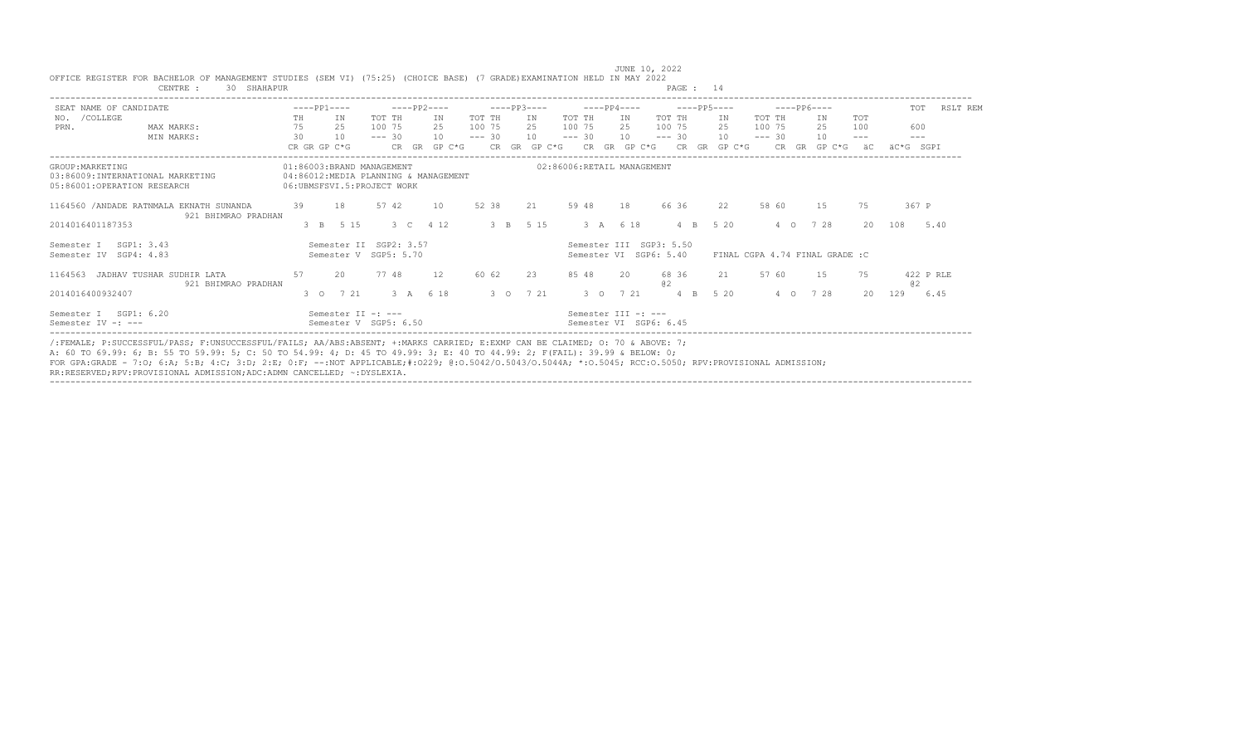| SEAT NAME OF CANDIDATE                                                               |                                                                 |              | $---PP1---$ |                                                                                                 |          |      | $---PP2---$ |              |          |             | $---PP3---$ | $---PP4---$ |                                                   |             |                  | $---PP5---$  |          | $---PP6---$ |                                 |            |           | TOT<br>RSLT REM |
|--------------------------------------------------------------------------------------|-----------------------------------------------------------------|--------------|-------------|-------------------------------------------------------------------------------------------------|----------|------|-------------|--------------|----------|-------------|-------------|-------------|---------------------------------------------------|-------------|------------------|--------------|----------|-------------|---------------------------------|------------|-----------|-----------------|
| NO. / COLLEGE                                                                        |                                                                 | TH           |             | ΙN                                                                                              | TOT TH   |      | IN          |              | TOT TH   |             | TN          | TOT TH      | IN                                                | TOT TH      |                  | IN           | TOT TH   |             | TN                              | <b>TOT</b> |           |                 |
| PRN.                                                                                 | MAX MARKS:                                                      | 75           |             | 25                                                                                              | 100 75   |      | 2.5         |              | 100 75   |             | 2.5         | 100 75      | 2.5                                               | 100 75      |                  | 2.5          | 100 75   |             | 2.5                             | 100        |           | 600             |
|                                                                                      | MIN MARKS:                                                      | 30           |             | 10                                                                                              | $--- 30$ |      | 10          |              | $--- 30$ |             | 10          | $--- 30$    | 10                                                | $--- 30$    |                  | 10           | $--- 30$ |             | 10                              | $- - - -$  |           | $- - -$         |
|                                                                                      |                                                                 | CR GR GP C*G |             |                                                                                                 |          |      |             | CR GR GP C*G |          |             |             |             | CR GR GP C*G CR GR GP C*G                         |             |                  | CR GR GP C*G |          |             | CR GR GP C*G                    | äC         | äC*G SGPT |                 |
| GROUP: MARKETING<br>03:86009; INTERNATIONAL MARKETING<br>05:86001:OPERATION RESEARCH |                                                                 |              |             | 01:86003:BRAND MANAGEMENT<br>04:86012:MEDIA PLANNING & MANAGEMENT<br>06:UBMSFSVI.5:PROJECT WORK |          |      |             |              |          |             |             |             | 02:86006:RETAIL MANAGEMENT                        |             |                  |              |          |             |                                 |            |           |                 |
|                                                                                      | 1164560 / ANDADE RATNMALA EKNATH SUNANDA<br>921 BHIMRAO PRADHAN | 39           |             | 18                                                                                              | 57 42    |      | 10          |              | 52 38    |             | 21          | 59 48       | 18                                                | 66 36       |                  | 22           |          | 58 60       | 1.5                             | 75         |           | 367 P           |
| 2014016401187353                                                                     |                                                                 |              | $3 \quad B$ | 5 1 5                                                                                           |          | $3-$ | 4 1 2       |              |          | $3 \quad B$ | 5 15        | 3 A 6 18    |                                                   |             | $4 \quad B$      | 5 20         |          | $4\circ$    | 7 28                            | 20         | 108       | 5.40            |
| Semester I<br>Semester IV                                                            | SGP1: 3.43<br>SGP4: 4.83                                        |              |             | Semester II SGP2: 3.57<br>Semester V SGP5: 5.70                                                 |          |      |             |              |          |             |             |             | Semester III SGP3: 5.50<br>Semester VI SGP6: 5.40 |             |                  |              |          |             | FINAL CGPA 4.74 FINAL GRADE : C |            |           |                 |
| 1164563                                                                              | JADHAV TUSHAR SUDHIR LATA<br>921 BHIMRAO PRADHAN                | 57           |             | - 2.0                                                                                           | 77 48    |      | 12          |              | 60 62    |             | 23          | 85 48       | 2.0                                               | 68 36<br>a2 |                  | 21           |          | 57 60       | 1.5                             | 75         | a2        | 422 P RLE       |
| 2014016400932407                                                                     |                                                                 |              |             | 3 0 7 21                                                                                        |          |      | 3 A 6 18    |              |          |             | 3 0 7 21    | 3 0 7 21    |                                                   |             | $4 \overline{B}$ | 5 20         |          | $4\circ$    | 7 28                            | 20         | 129       | 6.45            |
| Semester I SGP1: 6.20                                                                |                                                                 |              |             | Semester II -: ---                                                                              |          |      |             |              |          |             |             |             | Semester III -: ---                               |             |                  |              |          |             |                                 |            |           |                 |
| Semester IV -: ---                                                                   |                                                                 |              |             | Semester V SGP5: 6.50                                                                           |          |      |             |              |          |             |             |             | Semester VI SGP6: 6.45                            |             |                  |              |          |             |                                 |            |           |                 |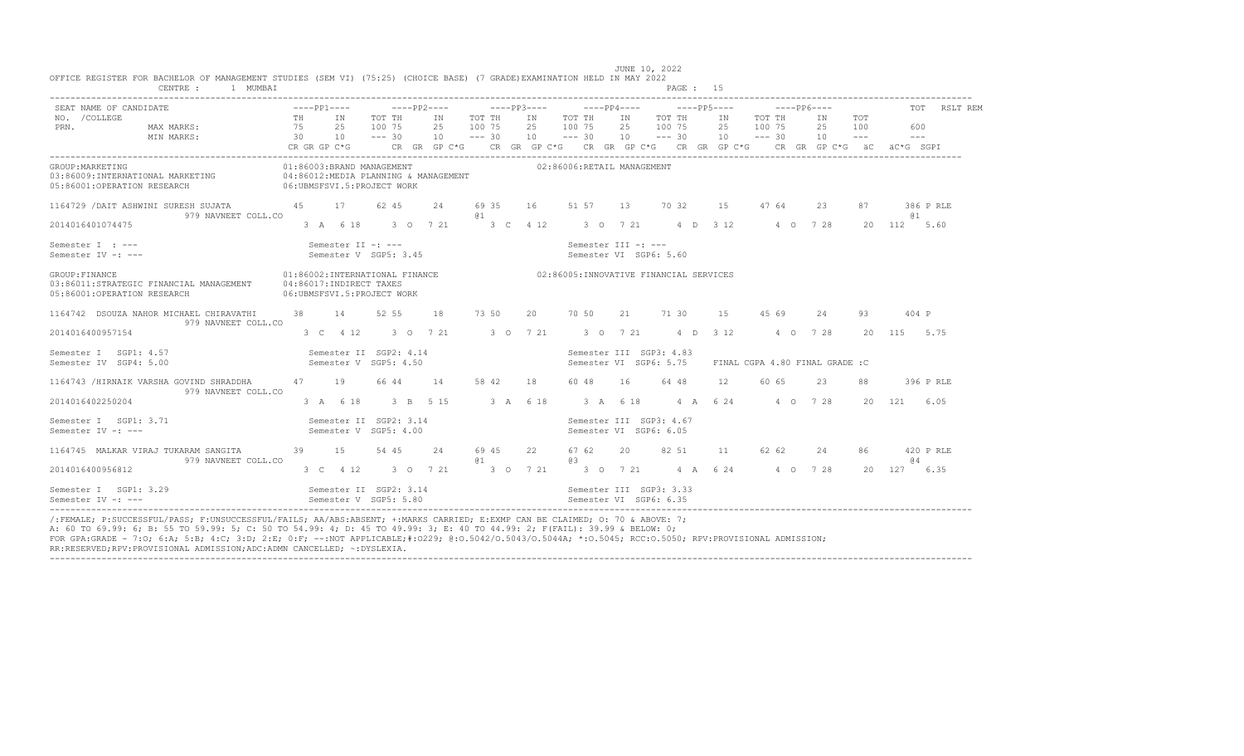| SEAT NAME OF CANDIDATE                                                                                                                                |                                                       |                                                 |                                           |                    |                                                                       |           |                                                                                                                                                                                             | TOT RSLT REM     |
|-------------------------------------------------------------------------------------------------------------------------------------------------------|-------------------------------------------------------|-------------------------------------------------|-------------------------------------------|--------------------|-----------------------------------------------------------------------|-----------|---------------------------------------------------------------------------------------------------------------------------------------------------------------------------------------------|------------------|
| NO. / COLLEGE<br>TH IN TOT TH<br>MAX MARKS: $75$ 25 100 75<br>PRN.<br>MIN MARKS: 30 10 --- 30                                                         | TH IN                                                 | TOT TH                                          | IN TOT THIN TOT TH<br>25 100 75 25 100 75 |                    | IN TOT TH                                                             | IN TOT TH | IN TOT<br>25 100 75 25 100 75 25 100<br>10 --- 30 10 --- 30 10 --- 30 10 --- 30 10 --- -- ---<br>CR GR GP C*G CR GR GP C*G CR GR GP C*G CR GR GP C*G CR GR GP C*G CR GR GP C*G äC äC*G SGPI | 600              |
| GROUP: MARKETING<br>03:86009:INTERNATIONAL MARKETING 6 04:86012:MEDIA PLANNING & MANAGEMENT<br>05:86001:OPERATION RESEARCH 06:UBMSFSVI.5:PROJECT WORK |                                                       | 01:86003:BRAND MANAGEMENT                       | 02:86006:RETAIL MANAGEMENT                |                    |                                                                       |           |                                                                                                                                                                                             |                  |
| 1164729 / DAIT ASHWINI SURESH SUJATA 62 45<br>979 NAVNEET COLL.CO                                                                                     |                                                       | 24                                              | @ 1                                       |                    | 69 35 16 51 57 13 70 32 15                                            |           | 47 64<br>23<br>87                                                                                                                                                                           | 386 P RLE<br>@ 1 |
| 2014016401074475                                                                                                                                      |                                                       |                                                 |                                           |                    | 3 A 6 18 3 O 7 21 3 C 4 12 3 O 7 21 4 D 3 12 4 O 7 28                 |           |                                                                                                                                                                                             | 20 112 5.60      |
| Semester I : ---<br>Semester IV -: ---                                                                                                                | Semester II -: ---                                    | Semester V SGP5: 3.45                           |                                           |                    | Semester III -: ---<br>Semester VI SGP6: 5.60                         |           |                                                                                                                                                                                             |                  |
| GROUP: FINANCE<br>03:86011:STRATEGIC FINANCIAL MANAGEMENT<br>05:86001:OPERATION RESEARCH                                                              | 04:86017:INDIRECT TAXES<br>06:UBMSFSVI.5:PROJECT WORK |                                                 |                                           |                    | 01:86002:INTERNATIONAL FINANCE 62:86005:INNOVATIVE FINANCIAL SERVICES |           |                                                                                                                                                                                             |                  |
| 1164742 DSOUZA NAHOR MICHAEL CHIRAVATHI<br>979 NAVNEET COLL.CO                                                                                        | 38 14                                                 | 52 55<br>18                                     |                                           |                    | 73 50 20 70 50 21 71 30                                               | 15 45 69  | 2.4<br>93                                                                                                                                                                                   | $404$ P          |
| 2014016400957154                                                                                                                                      |                                                       |                                                 |                                           |                    | 3 C 4 12 3 O 7 21 3 O 7 21 3 O 7 21 4 D 3 12 4 O 7 28                 |           |                                                                                                                                                                                             | 20 115 5.75      |
| Semester I SGP1: 4.57<br>Semester IV SGP4: 5.00                                                                                                       |                                                       | Semester II SGP2: 4.14<br>Semester V SGP5: 4.50 |                                           |                    | Semester III SGP3: 4.83<br>Semester VI SGP6: 5.75                     |           | FINAL CGPA 4.80 FINAL GRADE :C                                                                                                                                                              |                  |
| 1164743 /HIRNAIK VARSHA GOVIND SHRADDHA<br>979 NAVNEET COLL.CO                                                                                        | 47 19                                                 | 66 44                                           | 14 58 42 18                               |                    | 64 48<br>60 48 16                                                     | 12        | 60 65<br>23<br>88                                                                                                                                                                           | 396 P RLE        |
| 2014016402250204                                                                                                                                      |                                                       |                                                 |                                           |                    | 3 A 6 18 3 B 5 15 3 A 6 18 3 A 6 18 4 A 6 24 4 0 7 28                 |           |                                                                                                                                                                                             | 20 121<br>6.05   |
| Semester I SGP1: 3.71<br>Semester IV -: ---                                                                                                           |                                                       | Semester II SGP2: 3.14<br>Semester V SGP5: 4.00 |                                           |                    | Semester III SGP3: 4.67<br>Semester VI SGP6: 6.05                     |           |                                                                                                                                                                                             |                  |
| 1164745 MALKAR VIRAJ TUKARAM SANGITA<br>979 NAVNEET COLL.CO                                                                                           | 39 15                                                 | 54 45<br>24                                     | 69 45<br>a <sub>1</sub>                   | 67 62<br>22<br>@ 3 | 82 51<br>20                                                           | 11 62 62  | 24<br>86                                                                                                                                                                                    | 420 P RLE<br>0.4 |
| 2014016400956812                                                                                                                                      |                                                       |                                                 |                                           |                    | 3 C 4 12 3 O 7 21 3 O 7 21 3 O 7 21 4 A 6 24 4 O 7 28                 |           |                                                                                                                                                                                             | 20 127 6.35      |
| Semester I SGP1: 3.29 Semester II SGP2: 3.14 Semester II SGP3: 3.33<br>Semester IV -: ---                                                             |                                                       | Semester V SGP5: 5.80                           |                                           |                    | Semester VI SGP6: 6.35                                                |           |                                                                                                                                                                                             |                  |

---------------------------------------------------------------------------------------------------------------------------------------------------------------------------------- /:FEMALE; P:SUCCESSFUL/PASS; F:UNSUCCESSFUL/FAILS; AA/ABS:ABSENT; +:MARKS CARRIED; E:EXMP CAN BE CLAIMED; O: 70 & ABOVE: 7; A: 60 TO 69.99: 6; B: 55 TO 59.99: 5; C: 50 TO 54.99: 4; D: 45 TO 49.99: 3; E: 40 TO 44.99: 2; F(FAIL): 39.99 & BELOW: 0; FOR GPA:GRADE - 7:O; 6:A; 5:B; 4:C; 3:D; 2:E; 0:F; --:NOT APPLICABLE;#:O229; @:O.5042/O.5043/O.5044A; \*:O.5045; RCC:O.5050; RPV:PROVISIONAL ADMISSION; RR:RESERVED;RPV:PROVISIONAL ADMISSION;ADC:ADMN CANCELLED; ~:DYSLEXIA.

----------------------------------------------------------------------------------------------------------------------------------------------------------------------------------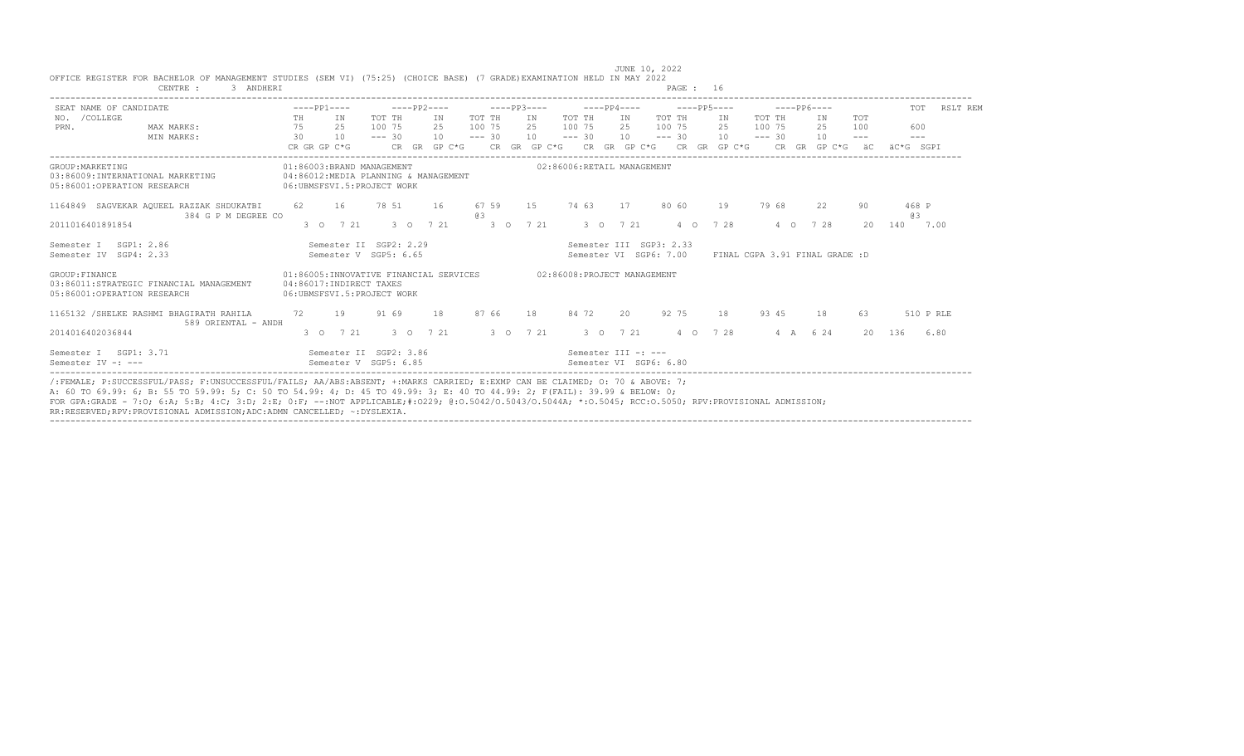| SEAT NAME OF CANDIDATE                                                                   | $---PP1---$                                                                                     | $---PP2---$              |           | $---PP3---$      |          |                                               | $---PP4---$ |                                                          | $---PP5---$ |                                | $---PP6---$        |                             | <b>TOT</b>           | RSLT REM |
|------------------------------------------------------------------------------------------|-------------------------------------------------------------------------------------------------|--------------------------|-----------|------------------|----------|-----------------------------------------------|-------------|----------------------------------------------------------|-------------|--------------------------------|--------------------|-----------------------------|----------------------|----------|
| NO. / COLLEGE<br>MAX MARKS:<br>PRN.                                                      | IN<br>TH<br>75<br>25                                                                            | TOT TH<br>100 75         | IN<br>2.5 | TOT TH<br>100 75 | IN<br>25 | TOT TH<br>100 75                              | IN<br>2.5   | TOT TH<br>100 75                                         | IN<br>2.5   | TOT TH<br>100 75               | IN<br>2.5          | TOT<br>100                  | 600                  |          |
| MIN MARKS:                                                                               | 30<br>10<br>CR GR GP C*G                                                                        | $--- 30$<br>CR GR GP C*G | 10        | $--- 30$         | 10       | $--- 30$                                      | 10          | $--- 30$<br>CR GR GP $C*G$ CR GR GP $C*G$ CR GR GP $C*G$ | 10          | $--- 30$                       | 10<br>CR GR GP C*G | $\qquad \qquad - -$<br>– äC | $- - -$<br>äC*G SGPI |          |
| GROUP: MARKETING<br>03:86009:INTERNATIONAL MARKETING<br>05:86001:OPERATION RESEARCH      | 01:86003:BRAND MANAGEMENT<br>04:86012:MEDIA PLANNING & MANAGEMENT<br>06:UBMSFSVI.5:PROJECT WORK |                          |           |                  |          | 02:86006:RETAIL MANAGEMENT                    |             |                                                          |             |                                |                    |                             |                      |          |
| 1164849 SAGVEKAR AQUEEL RAZZAK SHDUKATBI<br>384 G P M DEGREE CO                          | 16<br>62.                                                                                       | 78 51                    | 16        | 67 59<br>63      | 1.5      | 74 63                                         | 17          | 80 60                                                    | 19          | 79 68                          | 22                 | 90                          | 468 P<br>6.3         |          |
| 2011016401891854                                                                         | 3 0 7 21                                                                                        | $3^{\circ}$ 0            | 7 21      | $3^{\circ}$ O    | 7 21     |                                               | 3 0 7 21    | $4\circ$                                                 | 7 28        | $4\circ$                       | 7 28               | $20 -$                      | 140                  | 7.00     |
| SGP1: 2.86<br>Semester I<br>Semester IV SGP4: 2.33                                       | Semester V SGP5: 6.65                                                                           | Semester II SGP2: 2.29   |           |                  |          |                                               |             | Semester III SGP3: 2.33<br>Semester VI SGP6: 7.00        |             | FINAL CGPA 3.91 FINAL GRADE :D |                    |                             |                      |          |
| GROUP: FINANCE<br>03:86011:STRATEGIC FINANCIAL MANAGEMENT<br>05:86001:OPERATION RESEARCH | 01:86005:INNOVATIVE FINANCIAL SERVICES<br>04:86017:INDIRECT TAXES<br>06:UBMSFSVI.5:PROJECT WORK |                          |           |                  |          | 02:86008:PROJECT MANAGEMENT                   |             |                                                          |             |                                |                    |                             |                      |          |
| 1165132 / SHELKE RASHMI BHAGIRATH RAHILA<br>589 ORIENTAL - ANDH                          | 72<br>19                                                                                        | 91 69                    | 18        | 87 66            | 18       | 84 72                                         | 2.0         | 92 75                                                    | 18          | 93 45                          | 18                 | 63                          | 510 P RLE            |          |
| 2014016402036844                                                                         | 3 0 7 21                                                                                        | $3^{\circ}$              | 7 21      | $3^{\circ}$ 0    | 7 21     |                                               | 3 0 7 21    | $4\circ$                                                 | 7 28        | $4 \overline{A}$               | 6 2 4              | 20                          | 136                  | 6.80     |
| Semester I SGP1: 3.71<br>Semester $TV -: ---$                                            | Semester II SGP2: 3.86<br>Semester V SGP5: 6.85                                                 |                          |           |                  |          | Semester III -: ---<br>Semester VI SGP6: 6.80 |             |                                                          |             |                                |                    |                             |                      |          |

----------------------------------------------------------------------------------------------------------------------------------------------------------------------------------

|                                                                                                                         |                |  |  |  | JUNE 10, 2022 |      |  |
|-------------------------------------------------------------------------------------------------------------------------|----------------|--|--|--|---------------|------|--|
| OFFICE REGISTER FOR BACHELOR OF MANAGEMENT STUDIES (SEM VI) (75:25) (CHOICE BASE) (7 GRADE)EXAMINATION HELD IN MAY 2022 |                |  |  |  |               |      |  |
| CENTRE                                                                                                                  | <b>ANDHERT</b> |  |  |  |               | PAGE |  |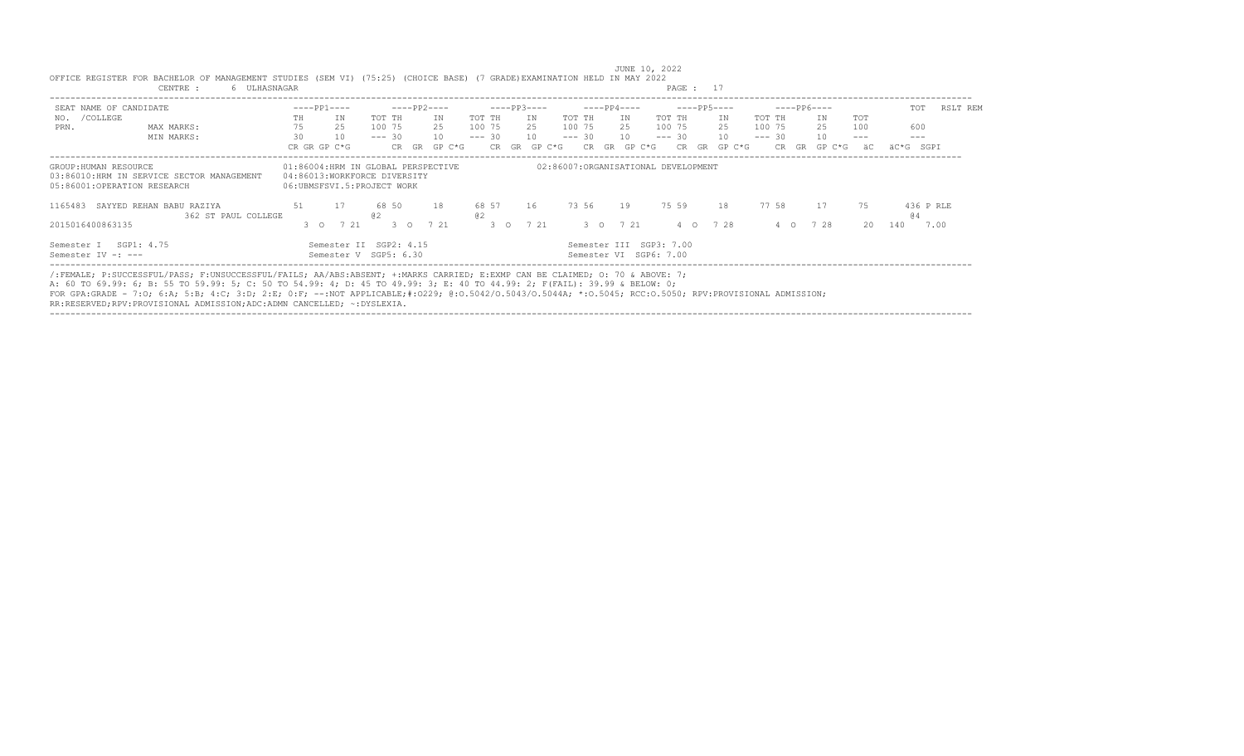| SEAT NAME OF CANDIDATE                               |                                                 | $---PP1---$  |                                                            |          |               | ----PP2----                        |             |               | $---PP3---$  |          | $---PP4---$  |                                                   | $---PP5---$  |          | $---PP6---$  |        | TOT       | RSLT REM  |
|------------------------------------------------------|-------------------------------------------------|--------------|------------------------------------------------------------|----------|---------------|------------------------------------|-------------|---------------|--------------|----------|--------------|---------------------------------------------------|--------------|----------|--------------|--------|-----------|-----------|
| /COLLEGE<br>NO.                                      |                                                 | TH           | ΙN.                                                        | TOT TH   |               | ΙN                                 | TOT TH      |               | IN           | TOT TH   | IN           | TOT TH                                            | IN           | TOT TH   | ΙN           | TOT    |           |           |
| PRN.                                                 | MAX MARKS:                                      | 75           | 25                                                         | 100 75   |               | 25                                 | 100 75      |               | 25 100 75    |          | 25           | 100 75                                            | 25           | 100 75   | 25           | 100    | 600       |           |
|                                                      | MIN MARKS:                                      | 30           | 10                                                         | $--- 30$ |               | 10                                 | $--- 30$    |               | 10           | $--- 30$ | 10           |                                                   | $--- 30 10$  | $--- 30$ | 10           |        | $---$     |           |
|                                                      |                                                 | CR GR GP C*G |                                                            |          |               | CR GR GP C*G                       |             |               | CR GR GP C*G |          | CR GR GP C*G |                                                   | CR GR GP C*G | CR.      | GR<br>GP C*G | ăС     | äC*G SGPI |           |
| GROUP: HUMAN RESOURCE<br>05:86001:OPERATION RESEARCH | 03:86010:HRM IN SERVICE SECTOR MANAGEMENT       |              | 04:86013:WORKFORCE DIVERSITY<br>06:UBMSFSVI.5:PROJECT WORK |          |               | 01:86004:HRM IN GLOBAL PERSPECTIVE |             |               |              |          |              | 02:86007:ORGANISATIONAL DEVELOPMENT               |              |          |              |        |           |           |
| 1165483                                              | SAYYED REHAN BABU RAZIYA<br>362 ST PAUL COLLEGE | 51           | 17                                                         | 02       | 68 50         | 18                                 | 68 57<br>02 |               | 16           | 73 56    | 19           | 75 59                                             | 18           | 7758     | 17           | 75     | (4)       | 436 P RLE |
| 2015016400863135                                     |                                                 |              | 3 0 7 21                                                   |          | $3^{\circ}$ 0 | 7 21                               |             | $3^{\circ}$ 0 | 7 21         |          | 3 0 7 21     |                                                   | 4 0 7 28     | $4\circ$ | 7 28         | $20 -$ | 140       | 7.00      |
| Semester I SGP1: 4.75<br>Semester IV -: ---          |                                                 |              | Semester II SGP2: 4.15<br>Semester V SGP5: 6.30            |          |               |                                    |             |               |              |          |              | Semester III SGP3: 7.00<br>Semester VI SGP6: 7.00 |              |          |              |        |           |           |

 JUNE 10, 2022 OFFICE REGISTER FOR BACHELOR OF MANAGEMENT STUDIES (SEM VI) (75:25) (CHOICE BASE) (7 GRADE)EXAMINATION HELD IN MAY 2022 CENTRE : 17 CENTRE : 17 CENTRE : 17 CENTRE : 17 CENTRE : 17 CENTRE : 17 CENTRE : 17 CENTRE : 17 CENTRE : 17 CENTRE : 17 CENTRE : 17 CENTRE : 17 CENTRE : 17 CENTRE : 17 CENTRE : 17 CENTRE : 17 CENTRE : 17 CENTRE : 17 CENTRE

A: 60 TO 69.99: 6; B: 55 TO 59.99: 5; C: 50 TO 54.99: 4; D: 45 TO 49.99: 3; E: 40 TO 44.99: 2; F(FAIL): 39.99 & BELOW: 0;<br>FOR GPA:GRADE - 7:O; 6:A; 5:B; 4:C; 3:D; 2:E; 0:F; --:NOT APPLICABLE;#:O229; @:O.5042/O.5043/O.5043A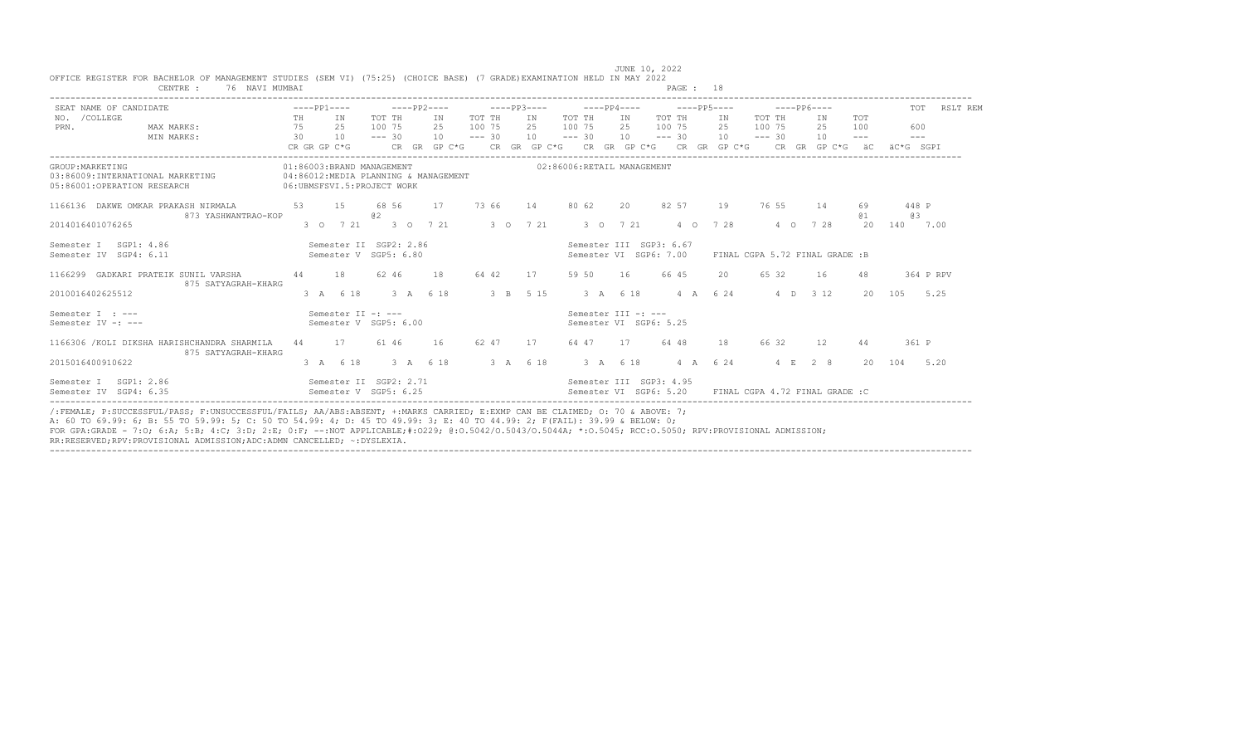| SEAT NAME OF CANDIDATE                                                              |    | $---PP1---$                                               |                  | $---PP2---$                          |        |    |                                           |    | $---PP3---$                                                                                                                                                                                                                                                             |        | $---PP6---$ |           |                                |                   |                                                                                                                                                                                                                                                                                                                                                                                                           | TOT RSLT REM |
|-------------------------------------------------------------------------------------|----|-----------------------------------------------------------|------------------|--------------------------------------|--------|----|-------------------------------------------|----|-------------------------------------------------------------------------------------------------------------------------------------------------------------------------------------------------------------------------------------------------------------------------|--------|-------------|-----------|--------------------------------|-------------------|-----------------------------------------------------------------------------------------------------------------------------------------------------------------------------------------------------------------------------------------------------------------------------------------------------------------------------------------------------------------------------------------------------------|--------------|
| NO. / COLLEGE<br>MAX MARKS:<br>PRN.                                                 |    | TH IN<br>75 25                                            | TOT TH<br>100 75 | IN T<br>25                           | 100 75 |    | TOT THE IN TOT THE<br>25 100 75 25 100 75 |    | IN TOT TH IN                                                                                                                                                                                                                                                            | 2.5    | 100 75      | TOT TH    | <b>TN</b><br>25                | <b>TOT</b><br>100 | 600                                                                                                                                                                                                                                                                                                                                                                                                       |              |
| MIN MARKS:                                                                          |    | 30 10                                                     | $--- 30$         |                                      |        |    |                                           |    | $10 \qquad \qquad -2 \qquad 30 \qquad 10 \qquad \qquad -2 \qquad 30 \qquad 10 \qquad \qquad -2 \qquad 30 \qquad 10 \qquad \qquad -2 \qquad 30 \qquad 10$<br>CR GR GP C*G $\,$ CR GR GP C*G $\,$ CR GR GP C*G $\,$ CR GR GP C*G $\,$ CR GP C*G $\,$ CR GR GP C*G $\,$ äC |        |             |           |                                | $---$             | $\frac{1}{2} \frac{1}{2} \frac{1}{2} \frac{1}{2} \frac{1}{2} \frac{1}{2} \frac{1}{2} \frac{1}{2} \frac{1}{2} \frac{1}{2} \frac{1}{2} \frac{1}{2} \frac{1}{2} \frac{1}{2} \frac{1}{2} \frac{1}{2} \frac{1}{2} \frac{1}{2} \frac{1}{2} \frac{1}{2} \frac{1}{2} \frac{1}{2} \frac{1}{2} \frac{1}{2} \frac{1}{2} \frac{1}{2} \frac{1}{2} \frac{1}{2} \frac{1}{2} \frac{1}{2} \frac{1}{2} \frac{$<br>äC*G SGPT |              |
| GROUP: MARKETING<br>03:86009:INTERNATIONAL MARKETING<br>05:86001:OPERATION RESEARCH |    | 01:86003:BRAND MANAGEMENT<br>06: UBMSFSVI.5: PROJECT WORK |                  | 04:86012:MEDIA PLANNING & MANAGEMENT |        |    | 02:86006:RETAIL MANAGEMENT                |    |                                                                                                                                                                                                                                                                         |        |             |           |                                |                   |                                                                                                                                                                                                                                                                                                                                                                                                           |              |
| 1166136 DAKWE OMKAR PRAKASH NIRMALA<br>873 YASHWANTRAO-KOP                          | 53 | 15                                                        | 68 56<br>a2      | 17                                   | 73 66  | 14 | 80 62                                     | 20 | 82 57                                                                                                                                                                                                                                                                   | 19     | 76 55       |           | 14                             | 69<br>@ 1         | 448 P<br>@ 3                                                                                                                                                                                                                                                                                                                                                                                              |              |
| 2014016401076265                                                                    |    |                                                           |                  |                                      |        |    | 3 0 7 21 3 0 7 21 3 0 7 21 3 0 7 21       |    | 4 0 7 28                                                                                                                                                                                                                                                                |        |             | 4 0 7 2 8 |                                | 20                | 140 7.00                                                                                                                                                                                                                                                                                                                                                                                                  |              |
| Semester I SGP1: 4.86<br>Semester IV SGP4: 6.11                                     |    | Semester II SGP2: 2.86<br>Semester V SGP5: 6.80           |                  |                                      |        |    |                                           |    | Semester III SGP3: 6.67<br>Semester VI SGP6: 7.00                                                                                                                                                                                                                       |        |             |           | FINAL CGPA 5.72 FINAL GRADE :B |                   |                                                                                                                                                                                                                                                                                                                                                                                                           |              |
| 1166299 GADKARI PRATEIK SUNIL VARSHA<br>875 SATYAGRAH-KHARG                         |    | 44 18                                                     | 62 46            | 18                                   | 64 42  | 17 | 59 50                                     | 16 | 66 45                                                                                                                                                                                                                                                                   | $20 -$ | 65 32       |           | 16                             | 48                |                                                                                                                                                                                                                                                                                                                                                                                                           | 364 P RPV    |
| 2010016402625512                                                                    |    | 3 A 6 18 3 A 6 18                                         |                  |                                      |        |    |                                           |    | 3 B 5 15 3 A 6 18 4 A 6 24 4 D 3 12                                                                                                                                                                                                                                     |        |             |           |                                | 20                | 105                                                                                                                                                                                                                                                                                                                                                                                                       | 5.25         |
| Semester I : ---<br>Semester IV -: ---                                              |    | Semester II -: ---<br>Semester V SGP5: 6.00               |                  |                                      |        |    | Semester III -: ---                       |    | Semester VI SGP6: 5.25                                                                                                                                                                                                                                                  |        |             |           |                                |                   |                                                                                                                                                                                                                                                                                                                                                                                                           |              |
| 1166306 / KOLI DIKSHA HARISHCHANDRA SHARMILA 44 17<br>875 SATYAGRAH-KHARG           |    |                                                           | 61 46            | 16                                   | 62 47  | 17 | 64 47 17                                  |    | 64 48                                                                                                                                                                                                                                                                   | 18     | 66 32       |           | 12                             | 44                | 361 P                                                                                                                                                                                                                                                                                                                                                                                                     |              |
| 2015016400910622                                                                    |    |                                                           |                  | 3 A 6 18 3 A 6 18 3 A 6 18           |        |    | 3 A 6 18                                  |    | 4 A 6 24                                                                                                                                                                                                                                                                |        |             | 4 E 2 8   |                                | $20 -$            | 104 5.20                                                                                                                                                                                                                                                                                                                                                                                                  |              |
| Semester I SGP1: 2.86<br>Semester IV SGP4: 6.35                                     |    | Semester V SGP5: 6.25                                     |                  | Semester II SGP2: 2.71               |        |    |                                           |    | Semester III SGP3: 4.95<br>Semester VI SGP6: 5.20 FINAL CGPA 4.72 FINAL GRADE :C                                                                                                                                                                                        |        |             |           |                                |                   |                                                                                                                                                                                                                                                                                                                                                                                                           |              |

|                                                                                                                         |  |                |  |  |  | JUNE 10, 2022 |  |
|-------------------------------------------------------------------------------------------------------------------------|--|----------------|--|--|--|---------------|--|
| OFFICE REGISTER FOR BACHELOR OF MANAGEMENT STUDIES (SEM VI) (75:25) (CHOICE BASE) (7 GRADE)EXAMINATION HELD IN MAY 2022 |  |                |  |  |  |               |  |
| CENTRE :                                                                                                                |  | 76 NAVI MUMBAT |  |  |  | PAGE          |  |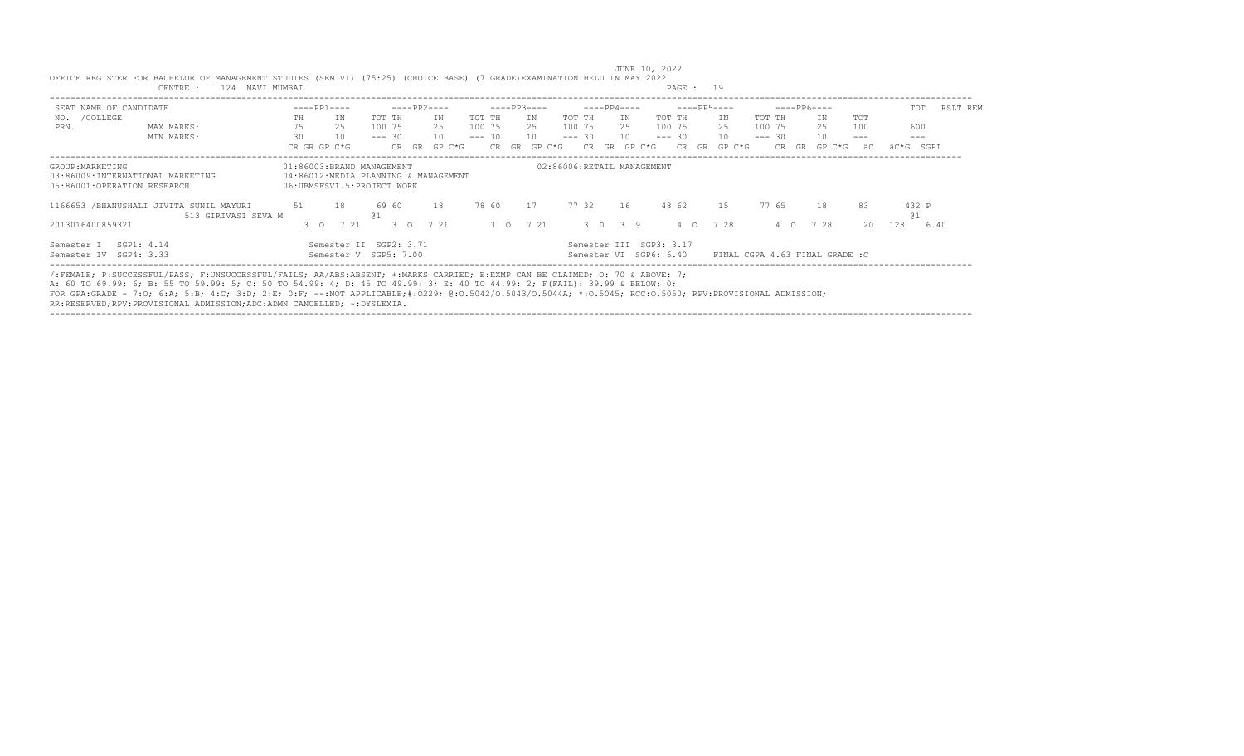| SEAT NAME OF CANDIDATE                                                              |                                                                |               | $---PP1---$                                             |            |               | $---PP2---$                          |          |       | $---PP3---$ |          |     | $---PP4---$                |                                                   |                   | $---PP5---$     |          |     | $---PP6---$                    |                     | TOT          | RSLT REM |
|-------------------------------------------------------------------------------------|----------------------------------------------------------------|---------------|---------------------------------------------------------|------------|---------------|--------------------------------------|----------|-------|-------------|----------|-----|----------------------------|---------------------------------------------------|-------------------|-----------------|----------|-----|--------------------------------|---------------------|--------------|----------|
| /COLLEGE<br>NO.                                                                     |                                                                | TH.           | ΙN                                                      | TOT TH     |               | ΙN                                   | TOT TH   |       | IN          | TOT TH   |     | IN                         | TOT TH                                            |                   | IN              | TOT TH   |     | IN                             | TOT                 |              |          |
| PRN.                                                                                | MAX MARKS:                                                     | 75            | 25                                                      | 100 75     |               | 2.5                                  | 100 75   |       | 25          | 100 75   |     | 2.5                        | 100 75                                            |                   | 2.5             | 100 75   |     | 25                             | 100                 | 600          |          |
|                                                                                     | MIN MARKS:                                                     | 30            | 10                                                      | $--- 30$   |               | 10                                   | $--- 30$ |       | 10          | $--- 30$ |     | 10                         | $--- 30$                                          |                   | 10 <sup>1</sup> | $--- 30$ |     | 10                             | $\qquad \qquad - -$ | $---$        |          |
|                                                                                     |                                                                |               | CR GR GP C*G                                            |            | CR GR         | GP C*G                               |          | CR GR | GP C*G      |          | CR. | GR<br>GP C*G               |                                                   | CR.<br>$-$ GR $-$ | GP C*G          |          | CR. | GR GP C*G                      | äС                  | äC*G SGPI    |          |
| GROUP: MARKETING<br>03:86009:INTERNATIONAL MARKETING<br>05:86001:OPERATION RESEARCH |                                                                |               | 01:86003:BRAND MANAGEMENT<br>06:UBMSFSVI.5:PROJECT WORK |            |               | 04:86012:MEDIA PLANNING & MANAGEMENT |          |       |             |          |     | 02:86006:RETAIL MANAGEMENT |                                                   |                   |                 |          |     |                                |                     |              |          |
|                                                                                     | 1166653 /BHANUSHALI JIVITA SUNIL MAYURI<br>513 GIRIVASI SEVA M | 51            | - 18                                                    | 6960<br>01 |               | 18                                   |          | 78 60 | 17          | 7732     |     | 16                         | 48 62                                             |                   | 1.5             | 77 65    |     | 18                             | 83                  | 432 P<br>@ 1 |          |
| 2013016400859321                                                                    |                                                                | $3^{\circ}$ 0 | 7 21                                                    |            | $3^{\circ}$ 0 | 7 21                                 |          |       | 3 0 7 21    |          |     | 3 D 3 9                    |                                                   | 4 0               | 7 28            |          | 4 0 | 7 28                           | 20                  | 128          | 6.40     |
| SGP1: 4.14<br>Semester I<br>Semester IV SGP4: 3.33                                  |                                                                |               | Semester II SGP2: 3.71<br>Semester V SGP5: 7.00         |            |               |                                      |          |       |             |          |     |                            | Semester III SGP3: 3.17<br>Semester VI SGP6: 6.40 |                   |                 |          |     | FINAL CGPA 4.63 FINAL GRADE :C |                     |              |          |

 JUNE 10, 2022 OFFICE REGISTER FOR BACHELOR OF MANAGEMENT STUDIES (SEM VI) (75:25) (CHOICE BASE) (7 GRADE)EXAMINATION HELD IN MAY 2022 CENTRE : 124 NAVI MUMBAI

A: 60 TO 69.99: 6; B: 55 TO 59.99: 5; C: 50 TO 54.99: 4; D: 45 TO 49.99: 3; E: 40 TO 44.99: 2; F(FAIL): 39.99 & BELOW: 0;<br>FOR GPA:GRADE - 7:O; 6:A; 5:B; 4:C; 3:D; 2:E; 0:F; --:NOT APPLICABLE;#:O229; @:O.5042/O.5043/O.5043A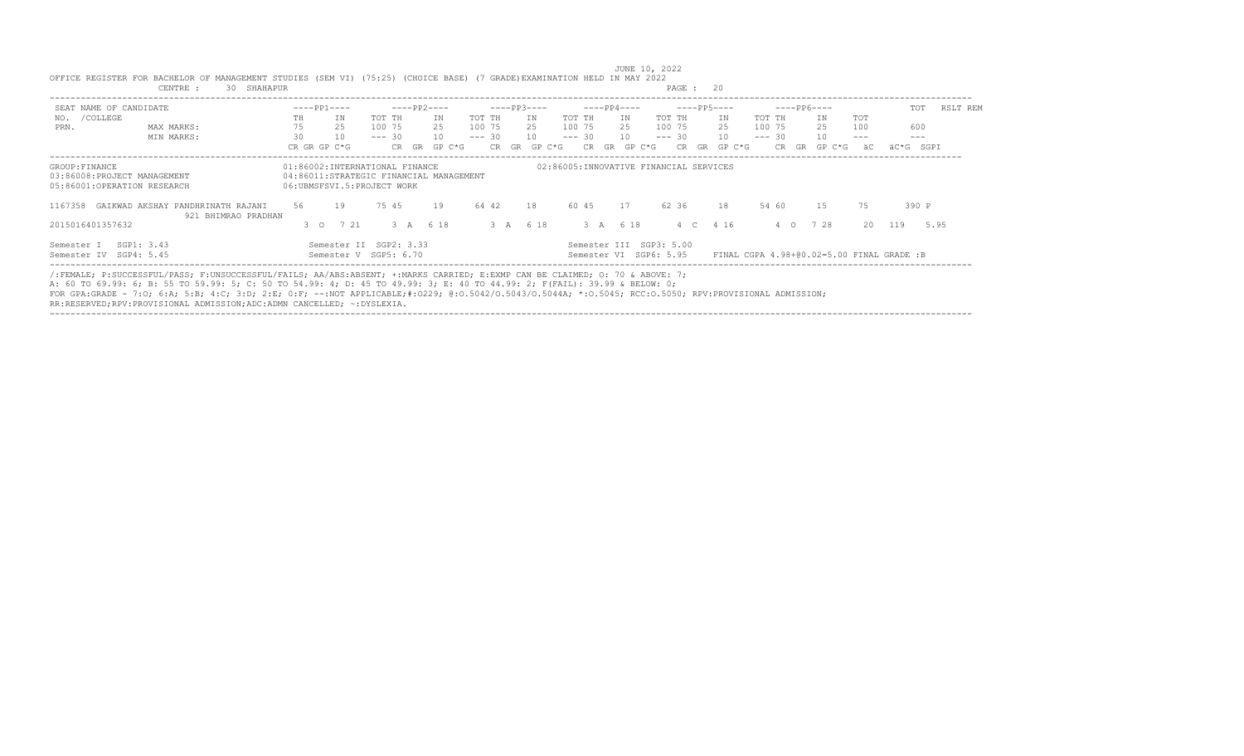| SEAT NAME OF CANDIDATE                                                       |                                                          | $---PP1---$                    |                                                                       |          |            | $---PP2---$ |          |       | $---PP3---$ |          |       | $---PP4---$  |                                                   | $---PP5---$  |                                           | $---PP6---$  |       | TOT         | RSLT REM |
|------------------------------------------------------------------------------|----------------------------------------------------------|--------------------------------|-----------------------------------------------------------------------|----------|------------|-------------|----------|-------|-------------|----------|-------|--------------|---------------------------------------------------|--------------|-------------------------------------------|--------------|-------|-------------|----------|
| /COLLEGE<br>NO.                                                              |                                                          | TH.                            | IN                                                                    | TOT TH   |            | ΙN          | TOT TH   |       | T N         | TOT TH   |       | IN           | TOT TH                                            | ΙN           | TOT TH                                    | IN           | TOT   |             |          |
| PRN.                                                                         | MAX MARKS:                                               | 75                             | 25                                                                    | 100 75   |            | 2.5         | 100 75   |       | 2.5         | 100 75   |       | 2.5          | 100 75                                            | 2.5          | 100 75                                    | 25           | 100   | 600         |          |
|                                                                              | MIN MARKS:                                               | 30                             | 10                                                                    | $--- 30$ |            | 10          | $--- 30$ |       | 10          | $--- 30$ |       | 10           | $--- 30$                                          | 10           | $--- 30$                                  | 10           | $---$ | $- - -$     |          |
|                                                                              |                                                          | CR GR GP C*G                   |                                                                       |          | GR<br>CR . | $GP C*G$    |          | CR GR | GP C*G      |          | CR.   | GP C*G<br>GR | CR.                                               | GP C*G<br>GR | CR.                                       | GP C*G<br>GR | äС    | äC*G SGPI   |          |
| GROUP: FINANCE<br>03:86008:PROJECT MANAGEMENT<br>05:86001:OPERATION RESEARCH |                                                          | 01:86002:INTERNATIONAL FINANCE | 04:86011:STRATEGIC FINANCIAL MANAGEMENT<br>06:UBMSFSVI.5:PROJECT WORK |          |            |             |          |       |             |          |       |              | 02:86005:INNOVATIVE FINANCIAL SERVICES            |              |                                           |              |       |             |          |
| 1167358                                                                      | GAIKWAD AKSHAY PANDHRINATH RAJANI<br>921 BHIMRAO PRADHAN | 56                             | 19                                                                    | 75 45    |            | 19          | 64 42    |       | 18          |          | 60 45 | 17           | 62 36                                             | 18           | 54 60                                     | 15           | 75    | 390 P       |          |
| 2015016401357632                                                             |                                                          | $3^{\circ}$ 0                  | 721                                                                   |          | 3A         | 6 18        |          | 3A    | 6 18        |          | 3A    | 6 18         | 4 C                                               | 4 16         | $\circ$<br>$\overline{4}$                 | 728          | 20    | 119<br>5.95 |          |
| Semester I<br>Semester IV                                                    | SGP1: 3.43<br>SGP4: 5.45                                 |                                | Semester II SGP2: 3.33<br>Semester V SGP5: 6.70                       |          |            |             |          |       |             |          |       |              | Semester III SGP3: 5.00<br>Semester VI SGP6: 5.95 |              | FINAL CGPA 4.98+00.02=5.00 FINAL GRADE :B |              |       |             |          |

---------------------------------------------------------------------------------------------------------------------------------------------------------------------------------- /:FEMALE; P:SUCCESSFUL/PASS; F:UNSUCCESSFUL/FAILS; AA/ABS:ABSENT; +:MARKS CARRIED; E:EXMP CAN BE CLAIMED; O: 70 & ABOVE: 7;

A: 60 TO 69.99: 6; B: 55 TO 59.99: 5; C: 50 TO 54.99: 4; D: 45 TO 49.99: 3; E: 40 TO 44.99: 2; F(FAIL): 39.99 & BELOW: 0;<br>FOR GPA:GRADE - 7:O; 6:A; 5:B; 4:C; 3:D; 2:E; 0:F; --:NOT APPLICABLE;#:O229; @:O.5042/O.5043/O.5043A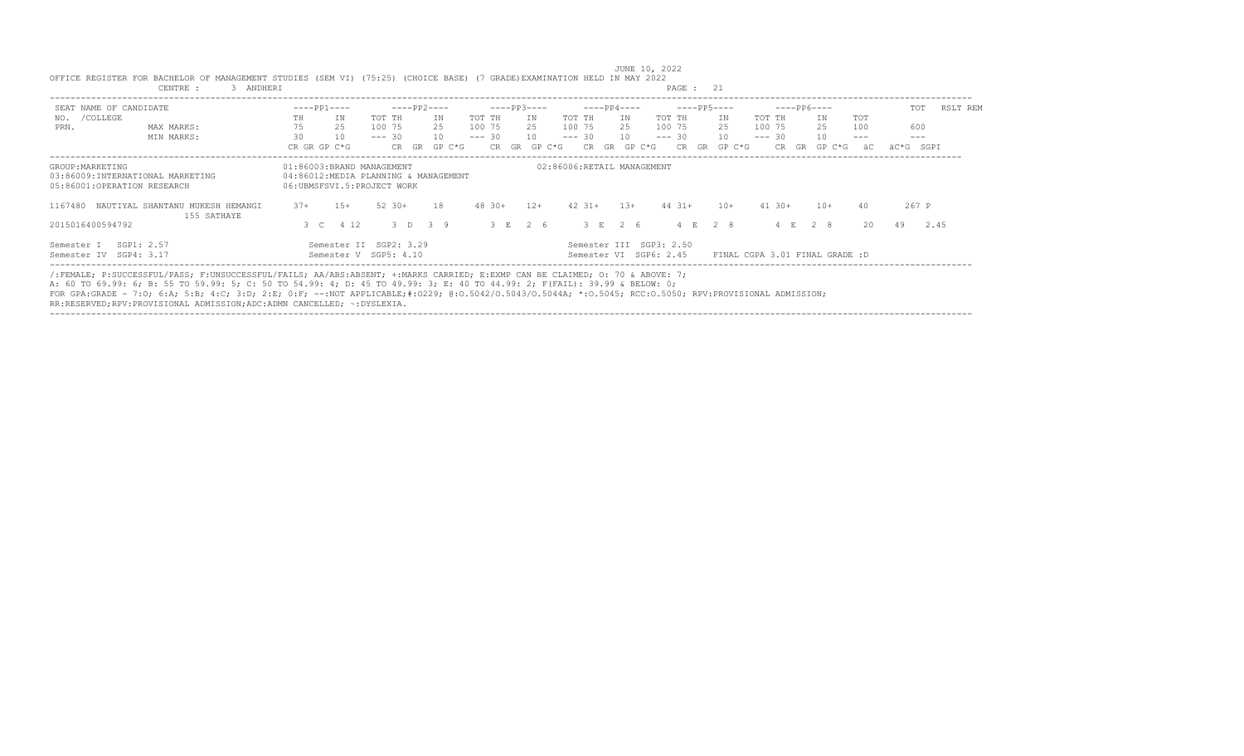| SEAT NAME OF CANDIDATE                                                              |                                                 |       | $---PP1---$                                                                                     |          |          | $---PP2---$ |            |       | $---PP3---$ |          | $---PP4---$ |    |                                                   |          |            | $---PP5---$  |             |     | $---PP6---$                    |       | TOT       | RSLT REM |
|-------------------------------------------------------------------------------------|-------------------------------------------------|-------|-------------------------------------------------------------------------------------------------|----------|----------|-------------|------------|-------|-------------|----------|-------------|----|---------------------------------------------------|----------|------------|--------------|-------------|-----|--------------------------------|-------|-----------|----------|
| /COLLEGE<br>NO.                                                                     |                                                 | TH.   | TN                                                                                              | TOT TH   |          | TN          | TOT TH     |       | TN          | TOT TH   |             |    | IN                                                | TOT TH   |            | TN           | TOT TH      |     | IN                             | TOT   |           |          |
| PRN.                                                                                | MAX MARKS:                                      | 75    | 25                                                                                              | 100 75   |          | 2.5         | 100 75     |       | 2.5         | 100 75   |             |    | 2.5                                               | 100 75   |            | 2.5          | 100 75      |     | 25                             | 100   | 600       |          |
|                                                                                     | MIN MARKS:                                      | 30    | 10                                                                                              | $--- 30$ |          | 10          | $--- 30$   |       | 10          | $--- 30$ |             |    | 10                                                | $--- 30$ |            | 10           | $--- 30$    |     | 10                             | $---$ | $- - -$   |          |
|                                                                                     |                                                 |       | CR GR GP C*G                                                                                    |          | CR GR    | $GP C*G$    |            | CR GR | GP C*G      |          | CR.         | GR | GP C*G                                            |          | CR.        | GP C*G<br>GR | CR.         | GR. | GP C*G                         | äC    | äC*G SGPI |          |
| GROUP: MARKETING<br>03:86009:INTERNATIONAL MARKETING<br>05:86001:OPERATION RESEARCH |                                                 |       | 01:86003:BRAND MANAGEMENT<br>04:86012:MEDIA PLANNING & MANAGEMENT<br>06:UBMSFSVI.5:PROJECT WORK |          |          |             |            |       |             |          |             |    | 02:86006:RETAIL MANAGEMENT                        |          |            |              |             |     |                                |       |           |          |
| 1167480                                                                             | NAUTIYAL SHANTANU MUKESH HEMANGI<br>155 SATHAYE | $37+$ | $1.5+$                                                                                          |          | $52.30+$ | 18          | $48.30+$   |       | $12+$       |          | $42.31+$    |    | $1.3+$                                            |          | $44 \t31+$ | $10+$        | $41.30+$    |     | $10+$                          | 40    | 267 P     |          |
| 2015016400594792                                                                    |                                                 |       | 3 C 4 12                                                                                        |          | 3 D      | $\sim$ 3 9  | $3 \times$ |       | 26          |          | $3$ F $2$ 6 |    |                                                   |          |            | 4 F. 2 8     | $E_{\rm c}$ |     | 2 8                            | 20    | 49        | 2.45     |
| SGP1: 2.57<br>Semester I<br>Semester IV SGP4: 3.17                                  |                                                 |       | Semester II SGP2: 3.29<br>Semester V SGP5: 4.10                                                 |          |          |             |            |       |             |          |             |    | Semester III SGP3: 2.50<br>Semester VI SGP6: 2.45 |          |            |              |             |     | FINAL CGPA 3.01 FINAL GRADE :D |       |           |          |

/:FEMALE; P:SUCCESSFUL/PASS; F:UNSUCCESSFUL/FAILS; AA/ABS:ABSENT; +:MARKS CARRIED; E:EXMP CAN BE CLAIMED; O: 70 & ABOVE: 7;

A: 60 TO 69.99: 6; B: 55 TO 59.99: 5; C: 50 TO 54.99: 4; D: 45 TO 49.99: 3; E: 40 TO 44.99: 2; F(FAIL): 39.99 & BELOW: 0;

FOR GPA:GRADE - 7:O; 6:A; 5:B; 4:C; 3:D; 2:E; 0:F; --:NOT APPLICABLE;#:O229; @:O.5042/O.5043/O.5044A; \*:O.5045; RCC:O.5050; RPV:PROVISIONAL ADMISSION;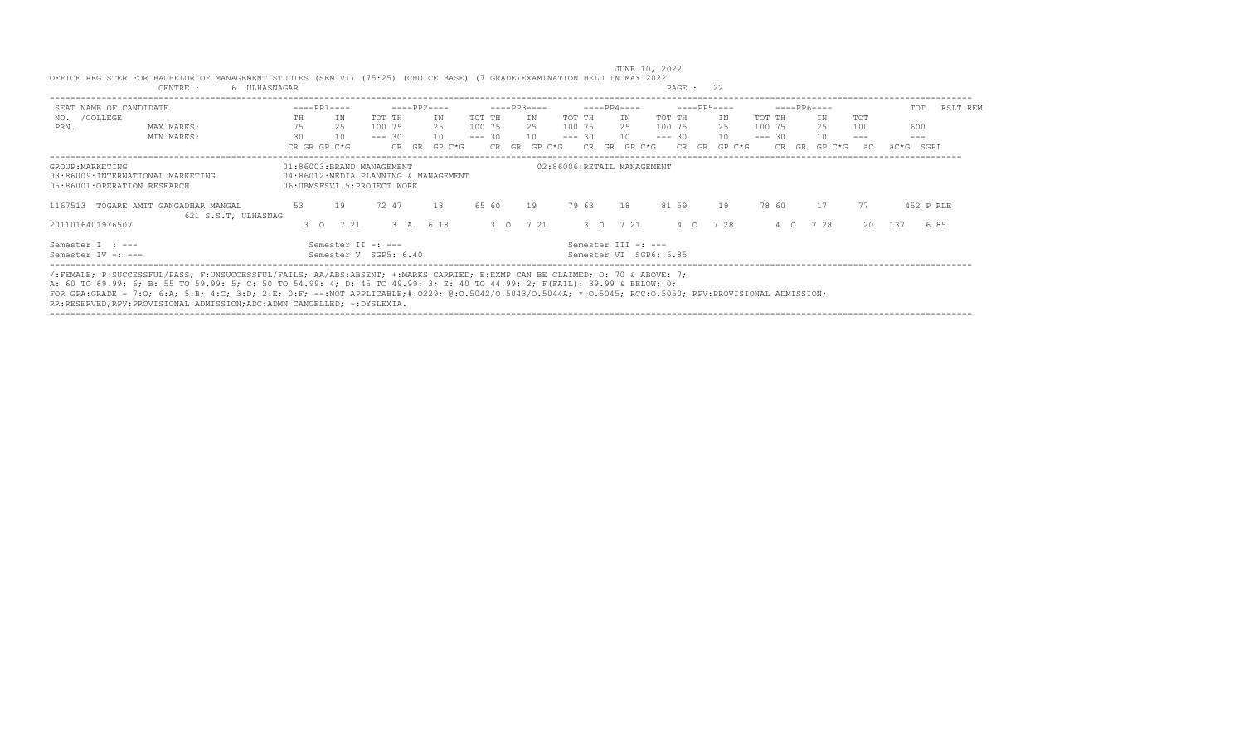| SEAT NAME OF CANDIDATE                                                              |                                                     |               | $---PP1---$                                             |          |       | $---PP2---$                          |          |       | $---PP3---$ |          | $---PP4---$ |                            |                        |          | $---PP5---$ |          | $---PP6---$ |        |       | TOT       | RSLT REM  |
|-------------------------------------------------------------------------------------|-----------------------------------------------------|---------------|---------------------------------------------------------|----------|-------|--------------------------------------|----------|-------|-------------|----------|-------------|----------------------------|------------------------|----------|-------------|----------|-------------|--------|-------|-----------|-----------|
| /COLLEGE<br>NO.                                                                     |                                                     | TH.           | ΙN                                                      | TOT TH   |       | ΙN                                   | TOT TH   |       | IN          | TOT TH   | ΙN          |                            | TOT TH                 |          | ΙN          | TOT TH   |             | ΙN     | TOT   |           |           |
| PRN.                                                                                | MAX MARKS:                                          | 75            | 25                                                      | 100 75   |       | 2.5                                  | 100 75   |       | 25          | 100 75   | 25          |                            | 100 75                 |          | 25          | 100 75   |             | 25     | 100   | 600       |           |
|                                                                                     | MIN MARKS:                                          | 30            | 10                                                      | $--- 30$ |       | 10                                   | $--- 30$ |       | 10          | $--- 30$ | 10          |                            | $--- 30$               |          | 10          | $--- 30$ |             | 10     | $---$ | $---$     |           |
|                                                                                     |                                                     |               | CR GR GP C*G                                            |          | CR    | GP C*G<br>GR                         |          | CR GR | GP C*G      | CR.      | GR          | GP C*G                     | CR.                    | GR       | GP C*G      |          | CR.<br>GR   | GP C*G | äС    | äC*G SGPI |           |
| GROUP: MARKETING<br>03:86009:INTERNATIONAL MARKETING<br>05:86001:OPERATION RESEARCH |                                                     |               | 01:86003:BRAND MANAGEMENT<br>06:UBMSFSVI.5:PROJECT WORK |          |       | 04:86012:MEDIA PLANNING & MANAGEMENT |          |       |             |          |             | 02:86006:RETAIL MANAGEMENT |                        |          |             |          |             |        |       |           |           |
| 1167513                                                                             | TOGARE AMIT GANGADHAR MANGAL<br>621 S.S.T. ULHASNAG | 53            | 19                                                      |          | 72 47 | 18                                   | 65 60    |       | 19          | 79 63    | 18          |                            | 81 59                  |          | 19          | 78 60    |             | 17     | 77    |           | 452 P RLE |
| 2011016401976507                                                                    |                                                     | $3^{\circ}$ 0 | 7 21                                                    |          | 3 A   | 6 18                                 |          |       | 3 0 7 21    |          | 3 0 7 21    |                            |                        | $4\circ$ | 7 28        |          | 4 0         | 7 28   |       | 20 137    | 6.85      |
| Semester I : ---<br>Semester IV -: ---                                              |                                                     |               | Semester II -: ---<br>Semester V SGP5: 6.40             |          |       |                                      |          |       |             |          |             | Semester III -: ---        | Semester VI SGP6: 6.85 |          |             |          |             |        |       |           |           |

---------------------------------------------------------------------------------------------------------------------------------------------------------------------------------- /:FEMALE; P:SUCCESSFUL/PASS; F:UNSUCCESSFUL/FAILS; AA/ABS:ABSENT; +:MARKS CARRIED; E:EXMP CAN BE CLAIMED; O: 70 & ABOVE: 7;

A: 60 TO 69.99: 6; B: 55 TO 59.99: 5; C: 50 TO 54.99: 4; D: 45 TO 49.99: 3; E: 40 TO 44.99: 2; F(FAIL): 39.99 & BELOW: 0;<br>FOR GPA:GRADE - 7:O; 6:A; 5:B; 4:C; 3:D; 2:E; 0:F; --:NOT APPLICABLE;#:O229; @:O.5042/O.5043/O.5043A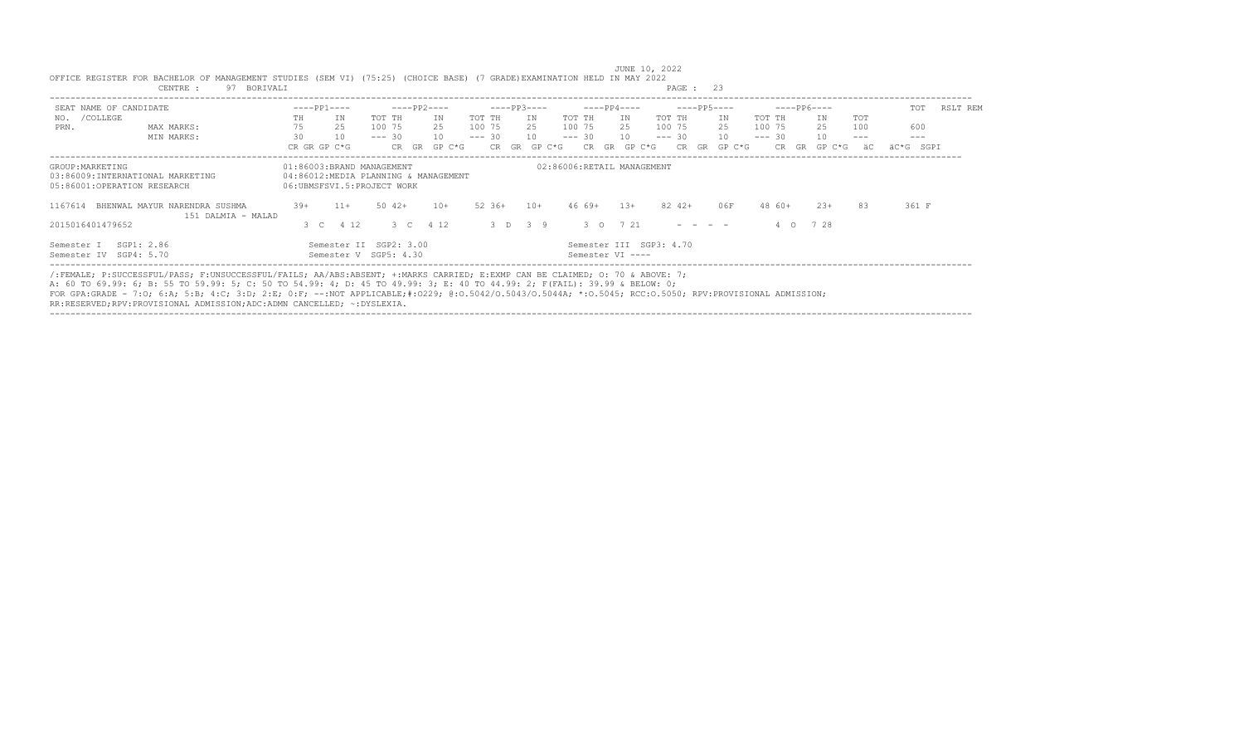| SEAT NAME OF CANDIDATE                                                              |                                                                                                                             |       | $---PP1---$                                             |          |             | $---PP2---$                          |          |        | $---PP3---$ |        |          | $---PP4---$                                 |        |          | $---PP5---$                                                                                     |        |          |           | $---PP6---$ |       | TOT          | RSLT REM |
|-------------------------------------------------------------------------------------|-----------------------------------------------------------------------------------------------------------------------------|-------|---------------------------------------------------------|----------|-------------|--------------------------------------|----------|--------|-------------|--------|----------|---------------------------------------------|--------|----------|-------------------------------------------------------------------------------------------------|--------|----------|-----------|-------------|-------|--------------|----------|
| /COLLEGE<br>NO.                                                                     |                                                                                                                             | TH.   | ΙN                                                      | TOT TH   |             | ΙN                                   | TOT TH   |        | IN          | TOT TH |          | IN                                          |        | TOT TH   |                                                                                                 | IN     | TOT TH   |           | IN          | TOT   |              |          |
| PRN.                                                                                | MAX MARKS:                                                                                                                  | 75    | 25                                                      | 100 75   |             | 2.5                                  | 100 75   |        | 25          | 100 75 |          | 25                                          |        | 100 75   |                                                                                                 | 25     | 100 75   |           | 25          | 100   | 600          |          |
|                                                                                     | MIN MARKS:                                                                                                                  | 30    | 10                                                      | $--- 30$ |             | 10                                   | $--- 30$ |        | 10          |        | $--- 30$ | 10                                          |        | $--- 30$ |                                                                                                 | 10     | $--- 30$ |           | 10          | $---$ | $---$        |          |
|                                                                                     |                                                                                                                             |       | CR GR GP C*G                                            |          | CR GR       | $GP C*G$                             |          | CR GR  | GP C*G      |        | CR.      | GR                                          | GP C*G | CR       | GR                                                                                              | GP C*G |          | CR.<br>GR | GP C*G      | äС    | SGPI<br>äC*G |          |
| GROUP: MARKETING<br>03:86009:INTERNATIONAL MARKETING<br>05:86001:OPERATION RESEARCH |                                                                                                                             |       | 01:86003:BRAND MANAGEMENT<br>06:UBMSFSVI.5:PROJECT WORK |          |             | 04:86012:MEDIA PLANNING & MANAGEMENT |          |        |             |        |          | 02:86006:RETAIL MANAGEMENT                  |        |          |                                                                                                 |        |          |           |             |       |              |          |
| 1167614                                                                             | BHENWAL MAYUR NARENDRA SUSHMA<br>151 DALMIA - MALAD                                                                         | $39+$ | $11+$                                                   |          | $50 \t 42+$ | $10+$                                |          | 52 36+ | $10+$       |        | 46 69+   | $1.3+$                                      |        | 82 42+   |                                                                                                 | 0.6F   |          | 48 60+    | $23+$       | 83    | 361 F        |          |
| 2015016401479652                                                                    |                                                                                                                             |       | 3 C 4 12                                                |          |             | 3 C 4 12                             |          |        | 3 D 3 9     |        |          | 3 0 7 21                                    |        |          | $\begin{array}{cccccccccccccc} \cdots & \cdots & \cdots & \cdots & \cdots & \cdots \end{array}$ |        |          | $\circ$   | 728         |       |              |          |
| Semester I<br>Semester IV SGP4: 5.70                                                | SGP1: 2.86                                                                                                                  |       | Semester II SGP2: 3.00<br>Semester V SGP5: 4.30         |          |             |                                      |          |        |             |        |          | Semester III SGP3: 4.70<br>Semester VI ---- |        |          |                                                                                                 |        |          |           |             |       |              |          |
|                                                                                     | /:FEMALE; P:SUCCESSFUL/PASS; F:UNSUCCESSFUL/FAILS; AA/ABS:ABSENT; +:MARKS CARRIED; E:EXMP CAN BE CLAIMED; 0: 70 & ABOVE: 7; |       |                                                         |          |             |                                      |          |        |             |        |          |                                             |        |          |                                                                                                 |        |          |           |             |       |              |          |

----------------------------------------------------------------------------------------------------------------------------------------------------------------------------------

JUNE 10, 2022<br>OFFICE REGISTER FOR BACHELOR OF MANAGEMENT STUDIES (SEM VI) (75:25) (CHOICE BASE) (7 GRADE)EXAMINATION HELD IN MAY 2022<br>PAGE : 23

A: 60 TO 69.99: 6; B: 55 TO 59.99: 5; C: 50 TO 54.99: 4; D: 45 TO 49.99: 3; E: 40 TO 44.99: 2; F(FAIL): 39.99 & BELOW: 0;<br>FOR GPA:GRADE - 7:O; 6:A; 5:B; 4:C; 3:D; 2:E; 0:F; --:NOT APPLICABLE;#:O229; @:O.5042/O.5043/O.5043A RR:RESERVED;RPV:PROVISIONAL ADMISSION;ADC:ADMN CANCELLED; ~:DYSLEXIA.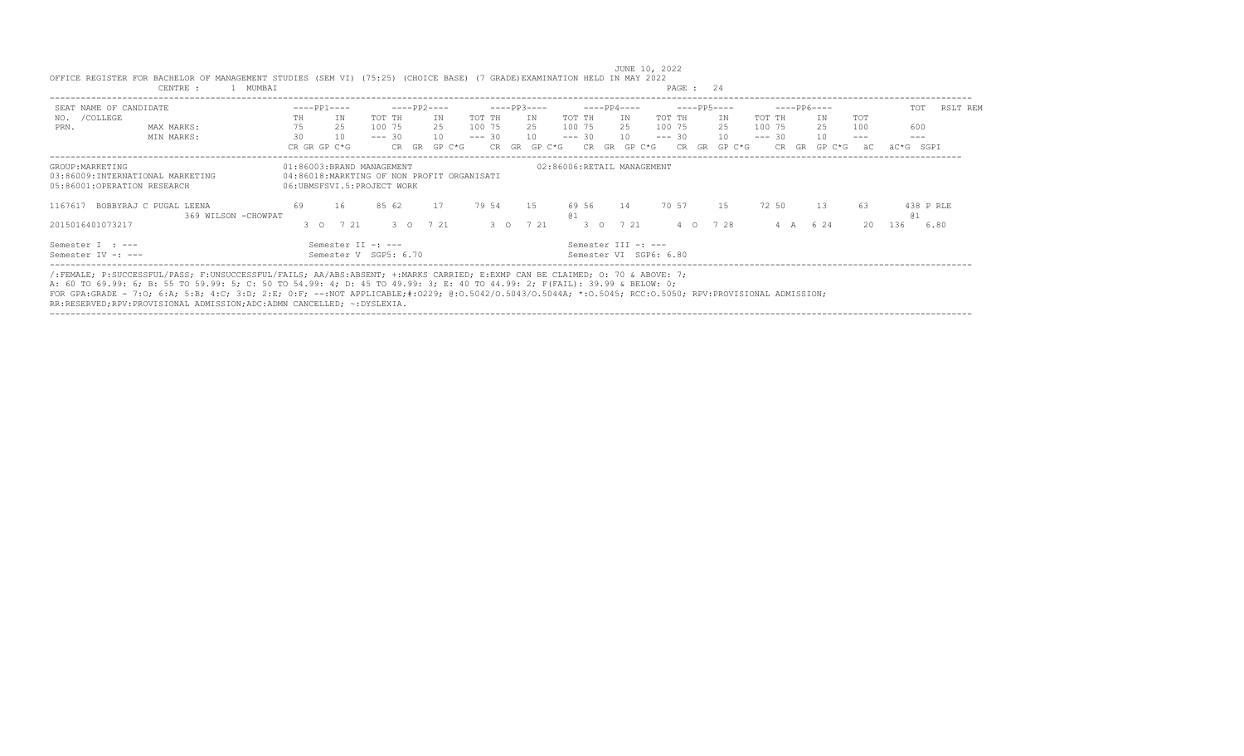| SEAT NAME OF CANDIDATE                                                              |                                                | $---PP1---$                                                                                           |                                             |          | $---PP2---$   |        |               | $---PP3---$ |        |                                               | $---PP4---$ |        |          | $---PP5---$  |          |     | $---PP6---$ |        | TOT             | RSLT REM |
|-------------------------------------------------------------------------------------|------------------------------------------------|-------------------------------------------------------------------------------------------------------|---------------------------------------------|----------|---------------|--------|---------------|-------------|--------|-----------------------------------------------|-------------|--------|----------|--------------|----------|-----|-------------|--------|-----------------|----------|
| /COLLEGE<br>NO.                                                                     |                                                | TH.                                                                                                   | ΙN.                                         | TOT TH   |               | IN     | TOT TH        | IN.         |        | TOT TH                                        | IN          |        | TOT TH   | IN           | TOT TH   |     | ΙN          | TOT    |                 |          |
| PRN.                                                                                | MAX MARKS:                                     |                                                                                                       | 2.5                                         | 100 75   |               | 2.5    | 100 75        | 25          |        | 100 75                                        | 2.5         |        | 100 75   | 2.5          | 100 75   |     | 25          | 100    | 600             |          |
|                                                                                     | MIN MARKS:                                     | 30                                                                                                    | 10                                          | $--- 30$ |               | 1 O    | $--- 30$      | 10          |        | $--- 30$                                      | 10          |        | $--- 30$ | 10           | $--- 30$ |     | 10          | $---$  | $---$           |          |
|                                                                                     |                                                | CR GR GP C*G                                                                                          |                                             |          | CR GR         | GP C*G |               | CR GR       | GP C*G | CR.                                           | GR          | GP C*G | CR.      | GP C*G<br>GR | CR.      | GR  | GP C*G      | äC     | äC*G SGPI       |          |
| GROUP: MARKETING<br>03:86009:INTERNATIONAL MARKETING<br>05:86001:OPERATION RESEARCH |                                                | 01:86003:BRAND MANAGEMENT<br>04:86018:MARKTING OF NON PROFIT ORGANISATI<br>06:UBMSFSVI.5:PROJECT WORK |                                             |          |               |        |               |             |        | 02:86006:RETAIL MANAGEMENT                    |             |        |          |              |          |     |             |        |                 |          |
| 1167617                                                                             | BOBBYRAJ C PUGAL LEENA<br>369 WILSON - CHOWPAT | 69                                                                                                    | 16                                          | 85 62    |               | 17     | 79 54         | 15          |        | 69 56                                         | 14          |        | 70 57    | 15           | 72 50    |     | 13          | 63     | 438 P RLE<br>01 |          |
| 2015016401073217                                                                    |                                                | 30                                                                                                    | 7 21                                        |          | $3^{\circ}$ 0 | 7 21   | $3^{\circ}$ 0 |             | 7 21   | $3^\circ$ 0                                   | 7 21        |        | $4\circ$ | 7 28         |          | 4 A | 6 2 4       | $20 -$ | 136             | 6.80     |
| Semester I : ---<br>Semester IV -: ---                                              |                                                |                                                                                                       | Semester II -: ---<br>Semester V SGP5: 6.70 |          |               |        |               |             |        | Semester III -: ---<br>Semester VI SGP6: 6.80 |             |        |          |              |          |     |             |        |                 |          |

/:FEMALE; P:SUCCESSFUL/PASS; F:UNSUCCESSFUL/FAILS; AA/ABS:ABSENT; +:MARKS CARRIED; E:EXMP CAN BE CLAIMED; O: 70 & ABOVE: 7;

A: 60 TO 69.99: 6; B: 55 TO 59.99: 5; C: 50 TO 54.99: 4; D: 45 TO 49.99: 3; E: 40 TO 44.99: 2; F(FAIL): 39.99 & BELOW: 0;

FOR GPA:GRADE - 7:O; 6:A; 5:B; 4:C; 3:D; 2:E; 0:F; --:NOT APPLICABLE;#:O229; @:O.5042/O.5043/O.5044A; \*:O.5045; RCC:O.5050; RPV:PROVISIONAL ADMISSION;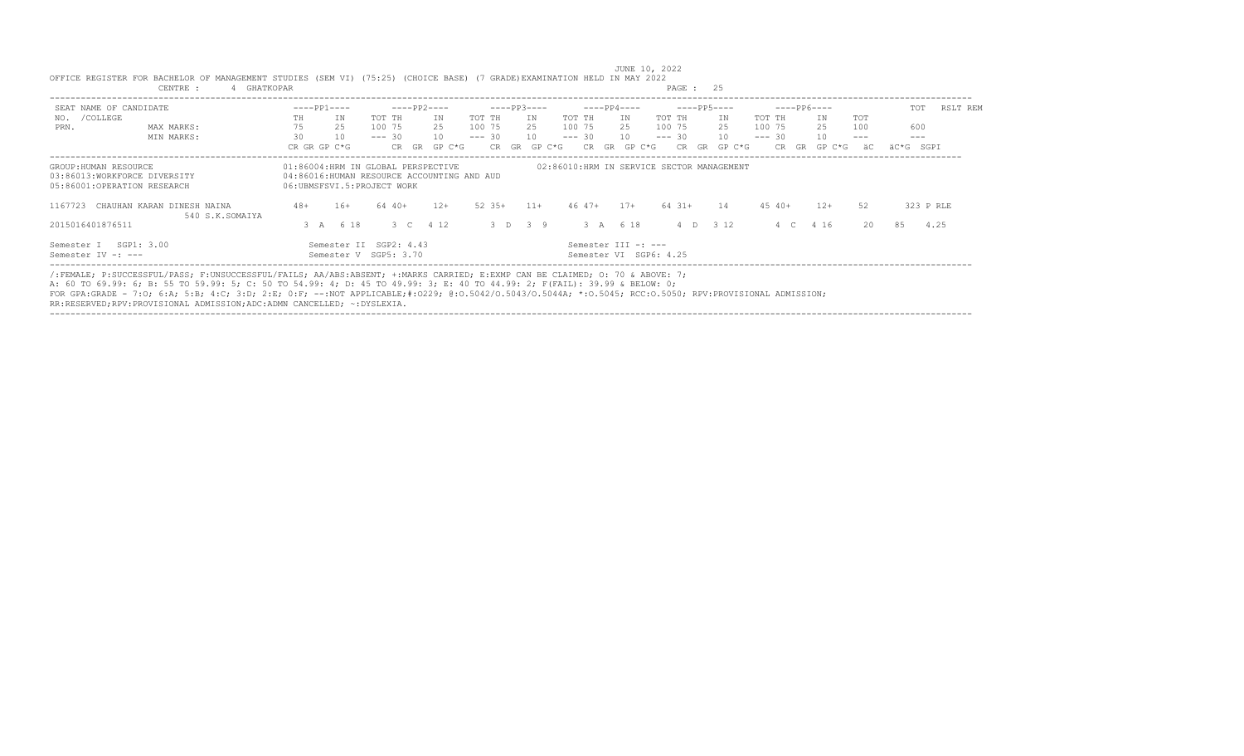| SEAT NAME OF CANDIDATE                                                               | $---PP1---$                | $---PP2---$                                                                      | $---PP3---$                | $---PP4---$                                   | $---PP5---$                  | ----- PP6----          | RSLT REM<br>TOT |
|--------------------------------------------------------------------------------------|----------------------------|----------------------------------------------------------------------------------|----------------------------|-----------------------------------------------|------------------------------|------------------------|-----------------|
| NO. / COLLEGE                                                                        | ΙN.<br>TH                  | TOT TH<br>ΙN                                                                     | TOT TH<br>IN               | TOT TH<br>TOT TH<br>IN                        | IN.<br>TOT TH                | TOT<br>ΙN              |                 |
| MAX MARKS:<br>PRN.                                                                   | 75<br>2.5                  | 100 75<br>2.5                                                                    | 100 75<br>2.5              | 100 75<br>100 75<br>2.5                       | 2.5<br>100 75                | 25<br>100              | 600             |
| MIN MARKS:                                                                           | 30<br>10                   | $--- 30$<br>10                                                                   | $--- 30$<br>10             | $--- 30$<br>$--- 30$<br>10                    | 10<br>$--- 30$               | 10<br>$---$            | $- - -$         |
|                                                                                      | CR GR GP C*G               | GP C*G<br>CR GR                                                                  | GP C*G<br>CR.<br><b>GR</b> | GR<br>CR.<br>GP C*G                           | CR.<br>GR<br>$GP C*G$<br>CR. | GR<br>GP C*G<br>äС     | äC*G SGPI       |
| GROUP: HUMAN RESOURCE<br>03:86013:WORKFORCE DIVERSITY<br>05:86001:OPERATION RESEARCH | 06:UBMSFSVI.5:PROJECT WORK | 01:86004:HRM IN GLOBAL PERSPECTIVE<br>04:86016:HUMAN RESOURCE ACCOUNTING AND AUD |                            | 02:86010:HRM IN SERVICE SECTOR MANAGEMENT     |                              |                        |                 |
| 1167723<br>CHAUHAN KARAN DINESH NAINA<br>540 S.K.SOMAIYA                             | $48+$<br>$16+$             | 64 40+<br>$12+$                                                                  | $52.35+$<br>$11+$          | $46 \t47+$<br>$64$ $31+$<br>$17 +$            | 14<br>$45\ 40+$              | $12+$<br>52            | 323 P RLE       |
| 2015016401876511                                                                     | 3 A 6 18                   | 3 C 4 12                                                                         | $3 \t 7 \t 3 \t 9$         | 3 A 6 18                                      | 4 D 3 12                     | $20 -$<br>4 1 6<br>4 C | 85<br>4.25      |
| SGP1: 3.00<br>Semester I<br>Semester IV -: ---                                       |                            | Semester II SGP2: 4.43<br>Semester V SGP5: 3.70                                  |                            | Semester III -: ---<br>Semester VI SGP6: 4.25 |                              |                        |                 |

---------------------------------------------------------------------------------------------------------------------------------------------------------------------------------- /:FEMALE; P:SUCCESSFUL/PASS; F:UNSUCCESSFUL/FAILS; AA/ABS:ABSENT; +:MARKS CARRIED; E:EXMP CAN BE CLAIMED; O: 70 & ABOVE: 7;

A: 60 TO 69.99: 6; B: 55 TO 59.99: 5; C: 50 TO 54.99: 4; D: 45 TO 49.99: 3; E: 40 TO 44.99: 2; F(FAIL): 39.99 & BELOW: 0;

FOR GPA:GRADE - 7:O; 6:A; 5:B; 4:C; 3:D; 2:E; 0:F; --:NOT APPLICABLE;#:O229; @:O.5042/O.5043/O.5044A; \*:O.5045; RCC:O.5050; RPV:PROVISIONAL ADMISSION;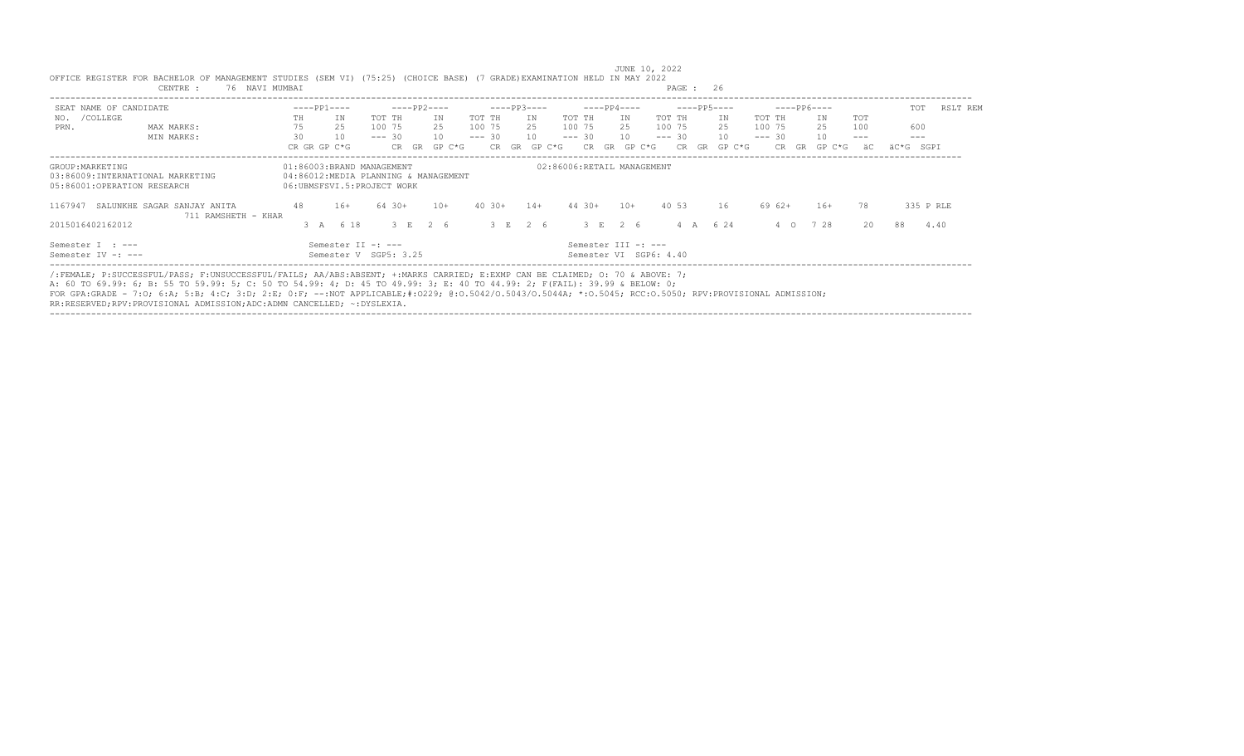| SEAT NAME OF CANDIDATE                          |                                                                                                                             |    |    | $---PP1---$                                             |          |        | $---PP2---$                          |          |          | $---PP3---$  |                            |        | $---PP4---$ |                                               |          |    | $---PP5---$     |          |           | $---PP6---$ |                     | TOT       | RSLT REM  |  |
|-------------------------------------------------|-----------------------------------------------------------------------------------------------------------------------------|----|----|---------------------------------------------------------|----------|--------|--------------------------------------|----------|----------|--------------|----------------------------|--------|-------------|-----------------------------------------------|----------|----|-----------------|----------|-----------|-------------|---------------------|-----------|-----------|--|
| /COLLEGE<br>NO.                                 |                                                                                                                             | TH |    | ΙN                                                      | TOT TH   |        | ΙN                                   | TOT TH   |          | ΙN           | TOT TH                     |        | IN          |                                               | TOT TH   |    | IN              | TOT TH   |           | ΙN          | TOT                 |           |           |  |
| PRN.                                            | MAX MARKS:                                                                                                                  |    | 75 | 2.5                                                     |          | 100 75 | 2.5                                  | 100 75   |          | 25           | 100 75                     |        | 25          |                                               | 100 75   |    | 25              | 100 75   |           | 25          | 100                 | 600       |           |  |
|                                                 | MIN MARKS:                                                                                                                  |    | 30 | 10                                                      | $--- 30$ |        | 10                                   | $--- 30$ |          | 10           | $--- 30$                   |        | 10          |                                               | $--- 30$ |    | 10 <sup>1</sup> | $--- 30$ |           | 10          | $\qquad \qquad - -$ | $---$     |           |  |
|                                                 |                                                                                                                             |    |    | CR GR GP C*G                                            |          | CR GR  | GP C*G                               |          |          | CR GR GP C*G |                            | CR.    | GR.         | GP C*G                                        | CR       | GR | GP C*G          |          | CR.<br>GR | GP C*G      | äС                  | äC*G SGPI |           |  |
| GROUP: MARKETING<br>05:86001:OPERATION RESEARCH | 03:86009:INTERNATIONAL MARKETING                                                                                            |    |    | 01:86003:BRAND MANAGEMENT<br>06:UBMSFSVI.5:PROJECT WORK |          |        | 04:86012:MEDIA PLANNING & MANAGEMENT |          |          |              | 02:86006:RETAIL MANAGEMENT |        |             |                                               |          |    |                 |          |           |             |                     |           |           |  |
| 1167947                                         | SALUNKHE SAGAR SANJAY ANITA<br>711 RAMSHETH - KHAR                                                                          |    | 48 | $16+$                                                   |          | 64 30+ | $10+$                                |          | $40.30+$ | $14+$        |                            | 44 30+ | $10+$       |                                               | 40 53    |    | 16              |          | 69 62+    | $16+$       | 78                  |           | 335 P RLE |  |
| 2015016402162012                                |                                                                                                                             |    |    | 3 A 6 18                                                |          |        | 3 E 2 6                              |          |          | 3 E 2 6      |                            |        | $3$ F $2$ 6 |                                               |          |    | 4 A 6 24        |          | 4 0       | 728         | 20                  | 88        | 4.40      |  |
| Semester I : ---<br>Semester IV -: ---          |                                                                                                                             |    |    | Semester II -: ---<br>Semester V SGP5: 3.25             |          |        |                                      |          |          |              |                            |        |             | Semester III -: ---<br>Semester VI SGP6: 4.40 |          |    |                 |          |           |             |                     |           |           |  |
|                                                 | /:FEMALE; P:SUCCESSFUL/PASS; F:UNSUCCESSFUL/FAILS; AA/ABS:ABSENT; +:MARKS CARRIED; E:EXMP CAN BE CLAIMED; 0: 70 & ABOVE: 7; |    |    |                                                         |          |        |                                      |          |          |              |                            |        |             |                                               |          |    |                 |          |           |             |                     |           |           |  |

 JUNE 10, 2022 OFFICE REGISTER FOR BACHELOR OF MANAGEMENT STUDIES (SEM VI) (75:25) (CHOICE BASE) (7 GRADE)EXAMINATION HELD IN MAY 2022<br>CENTRE : 76 NAVI MUMBAI CENTRE : 76 NAVI MUMBAI

A: 60 TO 69.99: 6; B: 55 TO 59.99: 5; C: 50 TO 54.99: 4; D: 45 TO 49.99: 3; E: 40 TO 44.99: 2; F(FAIL): 39.99 & BELOW: 0;<br>FOR GPA:GRADE - 7:O; 6:A; 5:B; 4:C; 3:D; 2:E; 0:F; --:NOT APPLICABLE;#:O229; @:O.5042/O.5043/O.5043A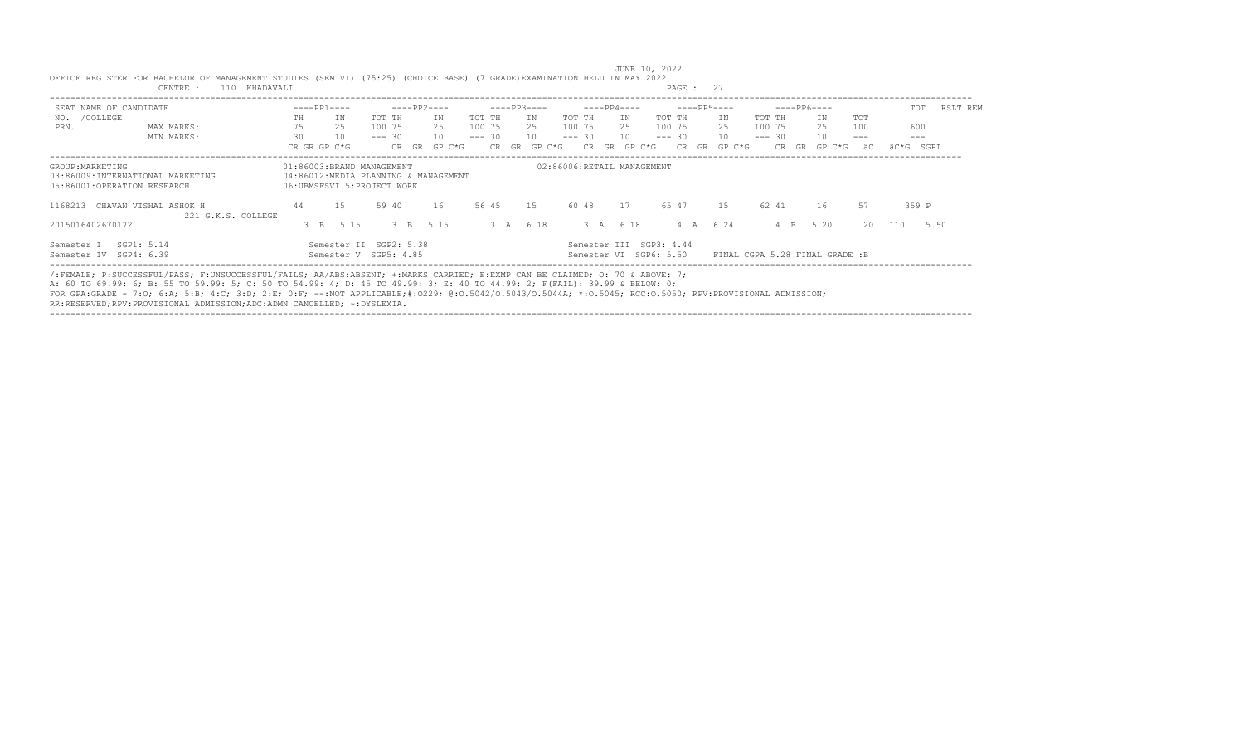| SEAT NAME OF CANDIDATE                                                              |                    |                            | $---PP1---$  |                                                                   |          |           | $---PP2---$ |        |          |       | $---PP3---$ |        |          | $---PP4---$ |    |                                                   |                  | $---PP5---$ |        |          | $---PP6---$  |    |                                |        |      | TOT     | RSLT REM |
|-------------------------------------------------------------------------------------|--------------------|----------------------------|--------------|-------------------------------------------------------------------|----------|-----------|-------------|--------|----------|-------|-------------|--------|----------|-------------|----|---------------------------------------------------|------------------|-------------|--------|----------|--------------|----|--------------------------------|--------|------|---------|----------|
| /COLLEGE<br>NO.                                                                     |                    | TH.                        |              | ΙN                                                                | TOT TH   |           |             | ΙN     | TOT TH   |       |             | IN     | TOT TH   |             |    | IN                                                | TOT TH           |             | IN.    | TOT TH   |              |    | IN                             | TOT    |      |         |          |
| PRN.                                                                                | MAX MARKS:         | 75                         |              | 25                                                                | 100 75   |           |             | 2.5    | 100 75   |       |             | 2.5    | 100 75   |             |    | 2.5                                               | 100 75           |             | 2.5    | 100 75   |              |    | 25                             | 100    | 600  |         |          |
|                                                                                     | MIN MARKS:         | 30                         |              | 10                                                                | $--- 30$ |           |             | 10     | $--- 30$ |       |             | 10     | $--- 30$ |             |    | 10                                                | $--- 30$         |             | 10     | $--- 30$ |              |    | 10                             | $-- -$ |      | $- - -$ |          |
|                                                                                     |                    |                            | CR GR GP C*G |                                                                   |          | CR GR     |             | GP C*G |          | CR.   | GR.         | GP C*G |          | CR.         | GR | GP C*G                                            | CR.              | GR          | GP C*G |          | CR.          | GR | GP C*G                         | äC     | äC*G | SGPI    |          |
| GROUP: MARKETING<br>03:86009:INTERNATIONAL MARKETING<br>05:86001:OPERATION RESEARCH |                    | 06:UBMSFSVI.5:PROJECT WORK |              | 01:86003:BRAND MANAGEMENT<br>04:86012:MEDIA PLANNING & MANAGEMENT |          |           |             |        |          |       |             |        |          |             |    | 02:86006:RETAIL MANAGEMENT                        |                  |             |        |          |              |    |                                |        |      |         |          |
| CHAVAN VISHAL ASHOK H<br>1168213                                                    | 221 G.K.S. COLLEGE | 44                         |              | 1.5                                                               | 59 40    |           |             | 16     |          | 56 45 |             | 1.5    |          | 60 48       |    | 17                                                | 65 47            |             | 1.5    | 62 41    |              |    | 16                             | 57     |      | 359 P   |          |
| 2015016402670172                                                                    |                    |                            | $\beta$ B    | 5 15                                                              |          | $\beta$ B | 5 1 5       |        |          | 3A    |             | 6 18   |          |             |    | 3 A 6 18                                          | $4 \overline{A}$ |             | 6 24   |          | $\mathbb{R}$ |    | $5 \t20$                       | 20     | 110  | 5.50    |          |
| SGP1: 5.14<br>Semester I<br>Semester IV SGP4: 6.39                                  |                    |                            |              | Semester II SGP2: 5.38<br>Semester V SGP5: 4.85                   |          |           |             |        |          |       |             |        |          |             |    | Semester III SGP3: 4.44<br>Semester VI SGP6: 5.50 |                  |             |        |          |              |    | FINAL CGPA 5.28 FINAL GRADE :B |        |      |         |          |

 JUNE 10, 2022 OFFICE REGISTER FOR BACHELOR OF MANAGEMENT STUDIES (SEM VI) (75:25) (CHOICE BASE) (7 GRADE)EXAMINATION HELD IN MAY 2022 CENTRE : 110 KHADAVALI

/:FEMALE; P:SUCCESSFUL/PASS; F:UNSUCCESSFUL/FAILS; AA/ABS:ABSENT; +:MARKS CARRIED; E:EXMP CAN BE CLAIMED; O: 70 & ABOVE: 7;

A: 60 TO 69.99: 6; B: 55 TO 59.99: 5; C: 50 TO 54.99: 4; D: 45 TO 49.99: 3; E: 40 TO 44.99: 2; F(FAIL): 39.99 & BELOW: 0;

FOR GPA:GRADE - 7:O; 6:A; 5:B; 4:C; 3:D; 2:E; 0:F; --:NOT APPLICABLE;#:O229; @:O.5042/O.5043/O.5044A; \*:O.5045; RCC:O.5050; RPV:PROVISIONAL ADMISSION;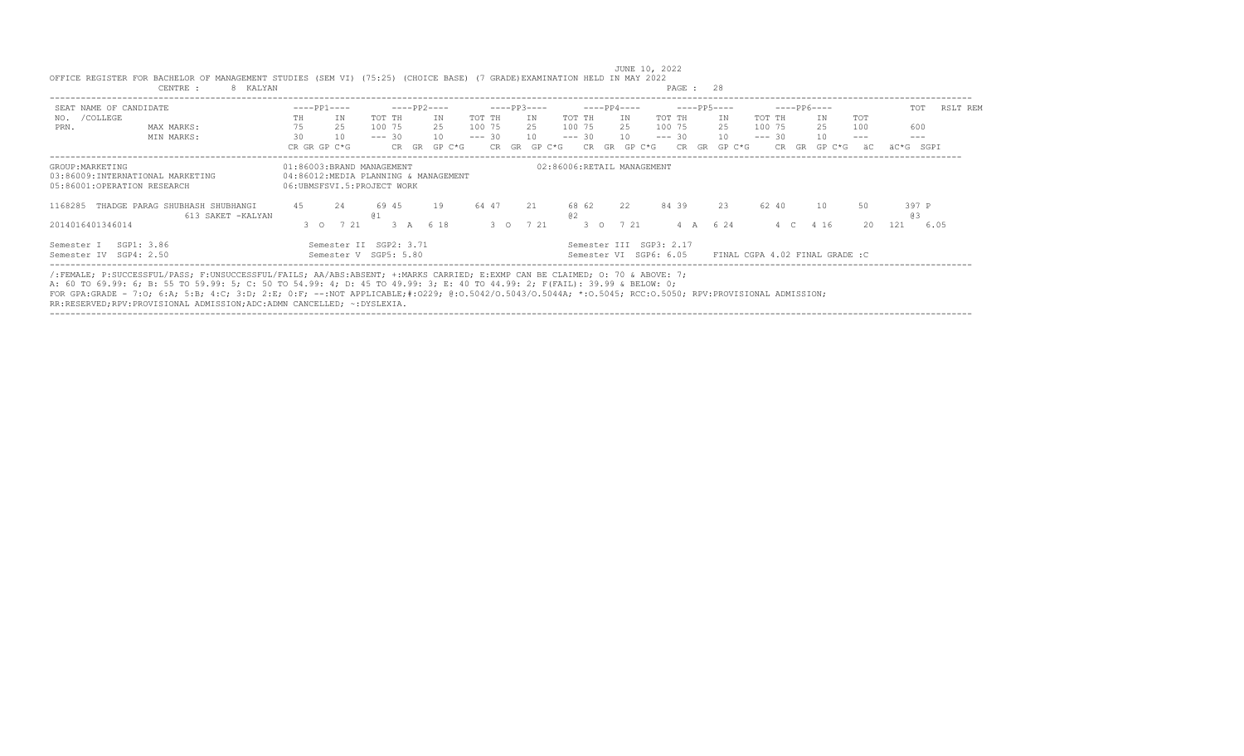| SEAT NAME OF CANDIDATE                                                              | $---PP1---$                                             | $---PP2---$                                     | $---PP3---$           | $---PP4---$                                       | $---PP5---$         | $---PP6---$                    | RSLT REM<br>TOT |
|-------------------------------------------------------------------------------------|---------------------------------------------------------|-------------------------------------------------|-----------------------|---------------------------------------------------|---------------------|--------------------------------|-----------------|
| /COLLEGE<br>NO.                                                                     | ΙN.<br>TH.                                              | TOT TH<br>ΙN                                    | TOT TH<br>IN          | TOT TH<br>TOT TH<br>ΙN.                           | IN.<br>TOT TH       | ΙN<br>TOT                      |                 |
| MAX MARKS:<br>PRN.                                                                  | 2.5                                                     | 2.5<br>100 75                                   | 100 75<br>25          | 100 75<br>100 75<br>2.5                           | 100 75<br>2.5       | 25<br>100                      | 600             |
| MIN MARKS:                                                                          | 30<br>10                                                | 10<br>$--- 30$                                  | $--- 30$<br>10        | 10<br>$--- 30$<br>$--- 30$                        | 10<br>$--- 30$      | 10<br>$---$                    | $- - -$         |
|                                                                                     | CR GR GP C*G                                            | CR GR<br>GP C*G                                 | GP C*G<br>CR GR       | CR.<br>GR<br>GP C*G                               | GP C*G<br>CR.<br>GR | CR.<br>GR<br>GP C*G<br>äC      | äC*G SGPI       |
| GROUP: MARKETING<br>03:86009:INTERNATIONAL MARKETING<br>05:86001:OPERATION RESEARCH | 01:86003:BRAND MANAGEMENT<br>06:UBMSFSVI.5:PROJECT WORK | 04:86012:MEDIA PLANNING & MANAGEMENT            |                       | 02:86006:RETAIL MANAGEMENT                        |                     |                                |                 |
| THADGE PARAG SHUBHASH SHUBHANGI<br>1168285<br>613 SAKET -KALYAN                     | 4.5<br>2.4                                              | 19<br>69 45<br>01                               | 64 47<br>21           | 84 39<br>68 62<br>22<br>@2                        | 23<br>62 40         | 10<br>50                       | 397 P<br>03     |
| 2014016401346014                                                                    | 7 21<br>$3^\circ$ 0                                     | 6 18<br>3A                                      | 7 21<br>$3^{\circ}$ 0 | 7 21<br>$3^\circ$ 0                               | 6 24<br>4 A         | 20<br>4 16<br>4 C              | 121<br>6.05     |
| SGP1: 3.86<br>Semester I<br>Semester IV SGP4: 2.50                                  |                                                         | Semester II SGP2: 3.71<br>Semester V SGP5: 5.80 |                       | Semester III SGP3: 2.17<br>Semester VI SGP6: 6.05 |                     | FINAL CGPA 4.02 FINAL GRADE :C |                 |

/:FEMALE; P:SUCCESSFUL/PASS; F:UNSUCCESSFUL/FAILS; AA/ABS:ABSENT; +:MARKS CARRIED; E:EXMP CAN BE CLAIMED; O: 70 & ABOVE: 7;

A: 60 TO 69.99: 6; B: 55 TO 59.99: 5; C: 50 TO 54.99: 4; D: 45 TO 49.99: 3; E: 40 TO 44.99: 2; F(FAIL): 39.99 & BELOW: 0;

FOR GPA:GRADE - 7:O; 6:A; 5:B; 4:C; 3:D; 2:E; 0:F; --:NOT APPLICABLE;#:O229; @:O.5042/O.5043/O.5044A; \*:O.5045; RCC:O.5050; RPV:PROVISIONAL ADMISSION;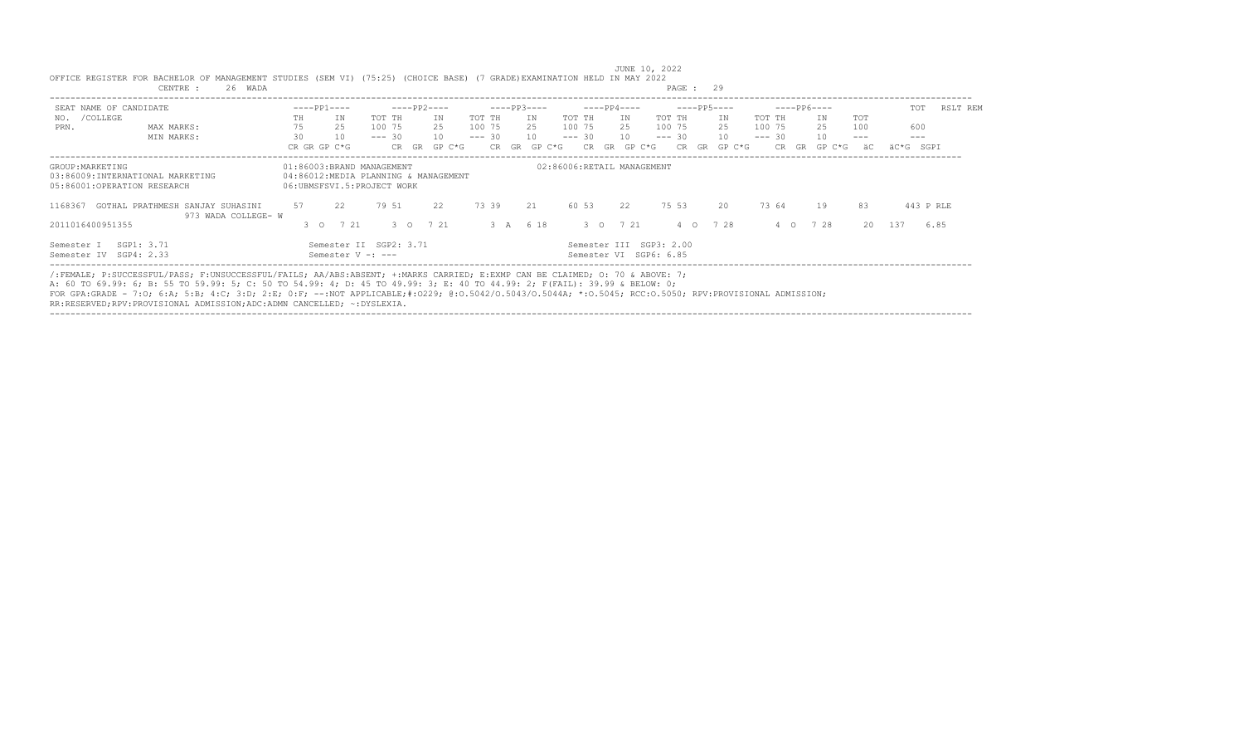| SEAT NAME OF CANDIDATE                                                              | $---PP1---$                                             | $---PP2---$                          | $---PP3---$    | $---PP4---$                                       | $---PP5---$        | $---PP6---$               | RSLT REM<br>TOT |
|-------------------------------------------------------------------------------------|---------------------------------------------------------|--------------------------------------|----------------|---------------------------------------------------|--------------------|---------------------------|-----------------|
| /COLLEGE<br>NO.                                                                     | ΙN.<br>TH.                                              | TOT TH<br>ΙN                         | TOT TH<br>IN   | TOT TH<br>ΙN.                                     | TOT TH<br>ΙN       | ΙN<br>TOT<br>TOT TH       |                 |
| MAX MARKS:<br>PRN.                                                                  | 2.5                                                     | 2.5<br>100 75                        | 100 75<br>2.5  | 100 75<br>2.5                                     | 100 75<br>2.5      | 100 75<br>25<br>100       | 600             |
| MIN MARKS:                                                                          | 30<br>10                                                | 10<br>$--- 30$                       | $--- 30$<br>10 | 10<br>$--- 30$                                    | 10<br>$--- 30$     | 10<br>$--- 30$<br>$---$   | $---$           |
|                                                                                     | CR GR GP C*G                                            | GP C*G<br>CR GR                      | CR GR GP C*G   | CR GR<br>GP C*G                                   | GP C*G<br>CR<br>GR | CR.<br>GR<br>GP C*G<br>äC | äC*G SGPI       |
| GROUP: MARKETING<br>03:86009:INTERNATIONAL MARKETING<br>05:86001:OPERATION RESEARCH | 01:86003:BRAND MANAGEMENT<br>06:UBMSFSVI.5:PROJECT WORK | 04:86012:MEDIA PLANNING & MANAGEMENT |                | 02:86006:RETAIL MANAGEMENT                        |                    |                           |                 |
| GOTHAL PRATHMESH SANJAY SUHASINI<br>1168367<br>973 WADA COLLEGE- W                  | 57<br>22                                                | 79 51<br>22                          | 73 39<br>21    | 60 53<br>22                                       | 75 53<br>20        | 73 64<br>19<br>83         | 443 P RLE       |
| 2011016400951355                                                                    | 7 21<br>$3^\circ$ 0                                     | 7 21<br>$3^{\circ}$ 0                | 3 A 6 18       | 3 0 7 21                                          | 7 28<br>$4\circ$   | 728<br>4 0                | 20 137<br>6.85  |
| SGP1: 3.71<br>Semester I<br>Semester IV SGP4: 2.33                                  | Semester V -: ---                                       | Semester II SGP2: 3.71               |                | Semester III SGP3: 2.00<br>Semester VI SGP6: 6.85 |                    |                           |                 |

/:FEMALE; P:SUCCESSFUL/PASS; F:UNSUCCESSFUL/FAILS; AA/ABS:ABSENT; +:MARKS CARRIED; E:EXMP CAN BE CLAIMED; O: 70 & ABOVE: 7;

A: 60 TO 69.99: 6; B: 55 TO 59.99: 5; C: 50 TO 54.99: 4; D: 45 TO 49.99: 3; E: 40 TO 44.99: 2; F(FAIL): 39.99 & BELOW: 0;

FOR GPA:GRADE - 7:O; 6:A; 5:B; 4:C; 3:D; 2:E; 0:F; --:NOT APPLICABLE;#:O229; @:O.5042/O.5043/O.5044A; \*:O.5045; RCC:O.5050; RPV:PROVISIONAL ADMISSION;